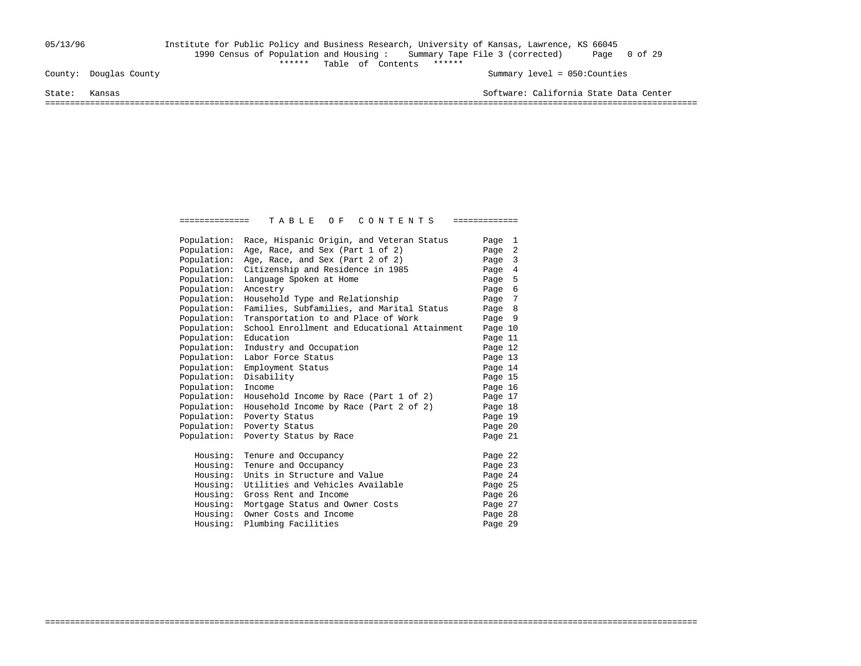## 05/13/96 Institute for Public Policy and Business Research, University of Kansas, Lawrence, KS 66045 1990 Census of Population and Housing : Summary Tape File 3 (corrected) Page 0 of 29 County: Douglas County<br>  $\begin{array}{ccccccc}\n\text{County:} & \text{Doudlas County}\n\end{array}$

Summary level =  $050$ : Counties

State: Kansas Software: California State Data Center

===================================================================================================================================

| Population: | Race, Hispanic Origin, and Veteran Status    | Page 1  |  |
|-------------|----------------------------------------------|---------|--|
| Population: | Age, Race, and Sex (Part 1 of 2)             | Page 2  |  |
| Population: | Age, Race, and Sex (Part 2 of 2)             | Page 3  |  |
| Population: | Citizenship and Residence in 1985            | Page 4  |  |
| Population: | Language Spoken at Home                      | Page 5  |  |
| Population: | Ancestry                                     | Page 6  |  |
| Population: | Household Type and Relationship              | Page 7  |  |
| Population: | Families, Subfamilies, and Marital Status    | Page 8  |  |
| Population: | Transportation to and Place of Work          | Page 9  |  |
| Population: | School Enrollment and Educational Attainment | Page 10 |  |
| Population: | Education                                    | Page 11 |  |
| Population: | Industry and Occupation                      | Page 12 |  |
| Population: | Labor Force Status                           | Page 13 |  |
| Population: | Employment Status                            | Page 14 |  |
| Population: | Disability                                   | Page 15 |  |
| Population: | Income                                       | Page 16 |  |
| Population: | Household Income by Race (Part 1 of 2)       | Page 17 |  |
| Population: | Household Income by Race (Part 2 of 2)       | Page 18 |  |
| Population: | Poverty Status                               | Page 19 |  |
| Population: | Poverty Status                               | Page 20 |  |
| Population: | Poverty Status by Race                       | Page 21 |  |
| Housing:    | Tenure and Occupancy                         | Page 22 |  |
| Housing:    | Tenure and Occupancy                         | Page 23 |  |
| Housing:    | Units in Structure and Value                 | Page 24 |  |
| Housing:    | Utilities and Vehicles Available             | Page 25 |  |
| Housing:    | Gross Rent and Income                        | Page 26 |  |
| Housing:    | Mortgage Status and Owner Costs              | Page 27 |  |
| Housing:    | Owner Costs and Income                       | Page 28 |  |
| Housing:    | Plumbing Facilities                          | Page 29 |  |

===================================================================================================================================

============== T A B L E O F C O N T E N T S =============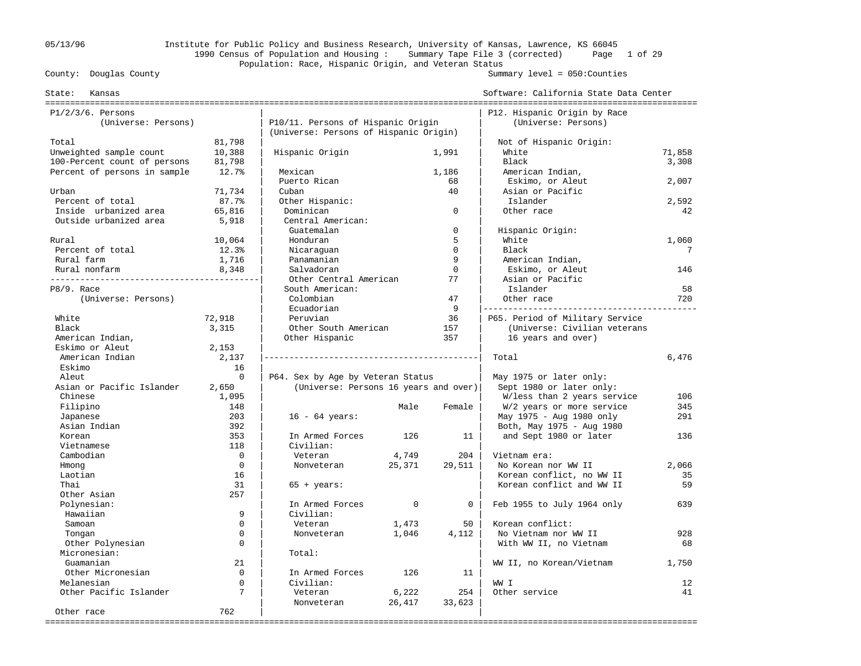## 05/13/96 Institute for Public Policy and Business Research, University of Kansas, Lawrence, KS 66045 1990 Census of Population and Housing : Summary Tape File 3 (corrected) Page 1 of 29 Population: Race, Hispanic Origin, and Veteran Status<br>County: Douglas County

#### Summary level =  $050$ : Counties

| Kansas<br>State:              |             |                                        |          |                | Software: California State Data Center |        |
|-------------------------------|-------------|----------------------------------------|----------|----------------|----------------------------------------|--------|
| $P1/2/3/6$ . Persons          |             |                                        |          |                | P12. Hispanic Origin by Race           |        |
| (Universe: Persons)           |             | P10/11. Persons of Hispanic Origin     |          |                | (Universe: Persons)                    |        |
|                               |             | (Universe: Persons of Hispanic Origin) |          |                |                                        |        |
| Total                         | 81,798      |                                        |          |                | Not of Hispanic Origin:                |        |
| Unweighted sample count       | 10,388      | Hispanic Origin                        |          | 1,991          | White                                  | 71,858 |
| 100-Percent count of persons  | 81,798      |                                        |          |                | Black                                  | 3,308  |
| Percent of persons in sample  | 12.7%       | Mexican                                |          | 1,186          | American Indian,                       |        |
|                               |             | Puerto Rican                           |          | 68             | Eskimo, or Aleut                       | 2,007  |
| Urban                         | 71,734      | Cuban                                  |          | 40             | Asian or Pacific                       |        |
| Percent of total              | 87.7%       | Other Hispanic:                        |          |                | Islander                               | 2,592  |
| Inside urbanized area         | 65,816      | Dominican                              |          | $\mathbf 0$    | Other race                             | 42     |
| Outside urbanized area        | 5,918       | Central American:                      |          |                |                                        |        |
|                               |             | Guatemalan                             |          | $\mathbf 0$    | Hispanic Origin:                       |        |
| Rural                         | 10,064      | Honduran                               |          | 5              | White                                  | 1,060  |
| Percent of total              | 12.3%       | Nicaraquan                             |          | $\Omega$       | Black                                  | 7      |
| Rural farm                    | 1,716       | Panamanian                             |          | 9              | American Indian,                       |        |
| Rural nonfarm                 | 8,348       | Salvadoran                             |          | $\Omega$       | Eskimo, or Aleut                       | 146    |
| _____________________________ |             | Other Central American                 |          | 77             | Asian or Pacific                       |        |
| P8/9. Race                    |             | South American:                        |          |                | Islander                               | 58     |
| (Universe: Persons)           |             | Colombian                              |          | 47             | Other race                             | 720    |
|                               |             | Ecuadorian                             |          | 9              |                                        |        |
| White                         | 72,918      | Peruvian                               |          | 36             | P65. Period of Military Service        |        |
| Black                         | 3,315       | Other South American                   |          | 157            | (Universe: Civilian veterans           |        |
| American Indian,              |             | Other Hispanic                         |          | 357            | 16 years and over)                     |        |
| Eskimo or Aleut               | 2,153       |                                        |          |                |                                        |        |
| American Indian               | 2,137       |                                        |          |                | Total                                  | 6,476  |
| Eskimo                        | 16          |                                        |          |                |                                        |        |
| Aleut                         | $\Omega$    | P64. Sex by Age by Veteran Status      |          |                | May 1975 or later only:                |        |
| Asian or Pacific Islander     | 2,650       | (Universe: Persons 16 years and over)  |          |                | Sept 1980 or later only:               |        |
| Chinese                       | 1,095       |                                        |          |                | W/less than 2 years service            | 106    |
| Filipino                      | 148         |                                        | Male     | Female         | W/2 years or more service              | 345    |
| Japanese                      | 203         | $16 - 64 \text{ years}$ :              |          |                | May 1975 - Aug 1980 only               | 291    |
| Asian Indian                  | 392         |                                        |          |                | Both, May 1975 - Aug 1980              |        |
| Korean                        | 353         | In Armed Forces                        | 126      | 11             | and Sept 1980 or later                 | 136    |
| Vietnamese                    | 118         | Civilian:                              |          |                |                                        |        |
| Cambodian                     | $\Omega$    | Veteran                                | 4,749    | 204            | Vietnam era:                           |        |
| Hmong                         | $\Omega$    | Nonveteran                             | 25,371   | 29,511         | No Korean nor WW II                    | 2,066  |
| Laotian                       | 16          |                                        |          |                | Korean conflict, no WW II              | 35     |
| Thai                          | 31          | $65 + years$ :                         |          |                | Korean conflict and WW II              | 59     |
| Other Asian                   | 257         |                                        |          |                |                                        |        |
| Polynesian:                   |             | In Armed Forces                        | $\Omega$ | $\overline{0}$ | Feb 1955 to July 1964 only             | 639    |
| Hawaiian                      | 9           | Civilian:                              |          |                |                                        |        |
| Samoan                        | $\Omega$    | Veteran                                | 1,473    | 50             | Korean conflict:                       |        |
| Tongan                        | $\mathbf 0$ | Nonveteran                             | 1,046    | 4,112          | No Vietnam nor WW II                   | 928    |
| Other Polynesian              | $\Omega$    |                                        |          |                | With WW II, no Vietnam                 | 68     |
| Micronesian:                  |             | Total:                                 |          |                |                                        |        |
| Guamanian                     | 21          |                                        |          |                | WW II, no Korean/Vietnam               | 1,750  |
| Other Micronesian             | $\Omega$    | In Armed Forces                        | 126      | 11             |                                        |        |
| Melanesian                    | $\mathbf 0$ | Civilian:                              |          |                | WW I                                   | 12     |
| Other Pacific Islander        | 7           | Veteran                                | 6,222    | 254            | Other service                          | 41     |
| Other race                    | 762         | Nonveteran                             | 26,417   | 33,623         |                                        |        |
|                               |             |                                        |          |                |                                        |        |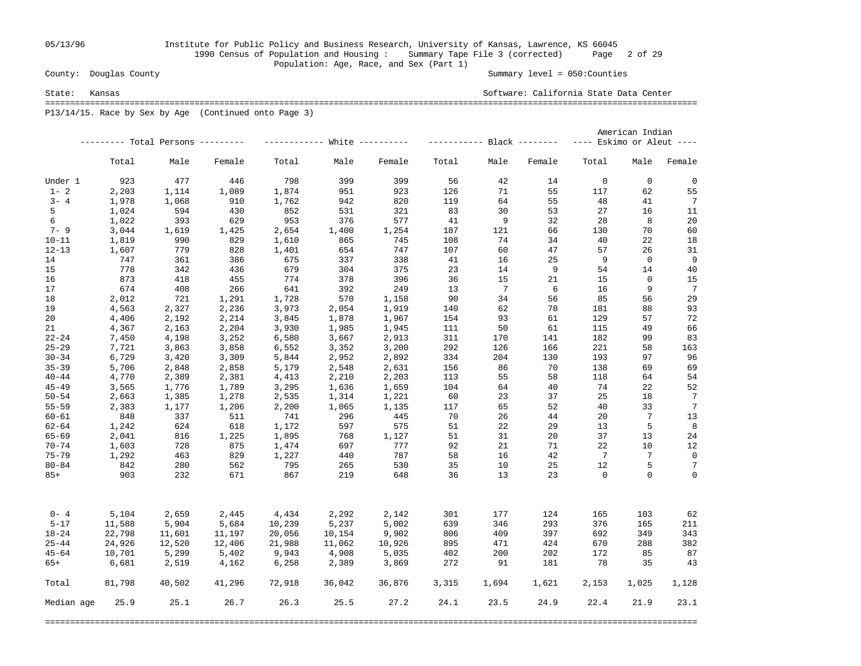## 05/13/96 Institute for Public Policy and Business Research, University of Kansas, Lawrence, KS 66045 1990 Census of Population and Housing : Summary Tape File 3 (corrected) Page 2 of 29 Population: Age, Race, and Sex (Part 1)<br>County: Douglas County

Summary level =  $050$ : Counties

State: Kansas Software: California State Data Center ===================================================================================================================================

P13/14/15. Race by Sex by Age (Continued onto Page 3)

|            |        |                                   |        |        |                               |        | American Indian |                       |        |                           |                |             |
|------------|--------|-----------------------------------|--------|--------|-------------------------------|--------|-----------------|-----------------------|--------|---------------------------|----------------|-------------|
|            |        | --------- Total Persons --------- |        |        | ------------ White ---------- |        |                 | $------Black$ ------- |        | ---- Eskimo or Aleut ---- |                |             |
|            | Total  | Male                              | Female | Total  | Male                          | Female | Total           | Male                  | Female | Total                     | Male           | Female      |
| Under 1    | 923    | 477                               | 446    | 798    | 399                           | 399    | 56              | 42                    | 14     | $\mathbf 0$               | $\mathbf 0$    | $\mathbf 0$ |
| $1 - 2$    | 2,203  | 1,114                             | 1,089  | 1,874  | 951                           | 923    | 126             | 71                    | 55     | 117                       | 62             | 55          |
| $3 - 4$    | 1,978  | 1,068                             | 910    | 1,762  | 942                           | 820    | 119             | 64                    | 55     | 48                        | 41             | 7           |
| 5          | 1,024  | 594                               | 430    | 852    | 531                           | 321    | 83              | 30                    | 53     | 27                        | 16             | 11          |
| 6          | 1,022  | 393                               | 629    | 953    | 376                           | 577    | 41              | 9                     | 32     | 28                        | 8              | 20          |
| $7 - 9$    | 3,044  | 1,619                             | 1,425  | 2,654  | 1,400                         | 1,254  | 187             | 121                   | 66     | 130                       | 70             | 60          |
| $10 - 11$  | 1,819  | 990                               | 829    | 1,610  | 865                           | 745    | 108             | 74                    | 34     | 40                        | 22             | 18          |
| $12 - 13$  | 1,607  | 779                               | 828    | 1,401  | 654                           | 747    | 107             | 60                    | 47     | 57                        | 26             | 31          |
| 14         | 747    | 361                               | 386    | 675    | 337                           | 338    | 41              | 16                    | 25     | - 9                       | $\overline{0}$ | 9           |
| 15         | 778    | 342                               | 436    | 679    | 304                           | 375    | 23              | 14                    | 9      | 54                        | 14             | 40          |
| 16         | 873    | 418                               | 455    | 774    | 378                           | 396    | 36              | 15                    | 21     | 15                        | $\mathbf 0$    | 15          |
| 17         | 674    | 408                               | 266    | 641    | 392                           | 249    | 13              | 7                     | 6      | 16                        | 9              | 7           |
| 18         | 2,012  | 721                               | 1,291  | 1,728  | 570                           | 1,158  | 90              | 34                    | 56     | 85                        | 56             | 29          |
| 19         | 4,563  | 2,327                             | 2,236  | 3,973  | 2,054                         | 1,919  | 140             | 62                    | 78     | 181                       | 88             | 93          |
| 20         | 4,406  | 2,192                             | 2,214  | 3,845  | 1,878                         | 1,967  | 154             | 93                    | 61     | 129                       | 57             | 72          |
| 21         | 4,367  | 2,163                             | 2,204  | 3,930  | 1,985                         | 1,945  | 111             | 50                    | 61     | 115                       | 49             | 66          |
| $22 - 24$  |        |                                   |        |        |                               |        | 311             | 170                   | 141    | 182                       | 99             | 83          |
|            | 7,450  | 4,198                             | 3,252  | 6,580  | 3,667                         | 2,913  | 292             | 126                   |        | 221                       | 58             |             |
| $25 - 29$  | 7,721  | 3,863                             | 3,858  | 6,552  | 3,352                         | 3,200  |                 |                       | 166    |                           |                | 163         |
| $30 - 34$  | 6,729  | 3,420                             | 3,309  | 5,844  | 2,952                         | 2,892  | 334             | 204                   | 130    | 193                       | 97             | 96          |
| $35 - 39$  | 5,706  | 2,848                             | 2,858  | 5,179  | 2,548                         | 2,631  | 156             | 86                    | 70     | 138                       | 69             | 69          |
| $40 - 44$  | 4,770  | 2,389                             | 2,381  | 4,413  | 2,210                         | 2,203  | 113             | 55                    | 58     | 118                       | 64             | 54          |
| $45 - 49$  | 3,565  | 1,776                             | 1,789  | 3,295  | 1,636                         | 1,659  | 104             | 64                    | 40     | 74                        | 22             | 52          |
| $50 - 54$  | 2,663  | 1,385                             | 1,278  | 2,535  | 1,314                         | 1,221  | 60              | 23                    | 37     | 25                        | 18             | 7           |
| $55 - 59$  | 2,383  | 1,177                             | 1,206  | 2,200  | 1,065                         | 1,135  | 117             | 65                    | 52     | 40                        | 33             | 7           |
| $60 - 61$  | 848    | 337                               | 511    | 741    | 296                           | 445    | 70              | 26                    | 44     | 20                        | 7              | 13          |
| $62 - 64$  | 1,242  | 624                               | 618    | 1,172  | 597                           | 575    | 51              | 22                    | 29     | 13                        | 5              | 8           |
| $65 - 69$  | 2,041  | 816                               | 1,225  | 1,895  | 768                           | 1,127  | 51              | 31                    | 20     | 37                        | 13             | 24          |
| $70 - 74$  | 1,603  | 728                               | 875    | 1,474  | 697                           | 777    | 92              | 21                    | 71     | 22                        | 10             | 12          |
| $75 - 79$  | 1,292  | 463                               | 829    | 1,227  | 440                           | 787    | 58              | 16                    | 42     | $\overline{7}$            | 7              | $\mathbf 0$ |
| $80 - 84$  | 842    | 280                               | 562    | 795    | 265                           | 530    | 35              | 10                    | 25     | 12                        | 5              | 7           |
| $85+$      | 903    | 232                               | 671    | 867    | 219                           | 648    | 36              | 13                    | 23     | $\Omega$                  | $\Omega$       | $\mathbf 0$ |
| $0 - 4$    | 5,104  | 2,659                             | 2,445  | 4,434  | 2,292                         | 2,142  | 301             | 177                   | 124    | 165                       | 103            | 62          |
| $5 - 17$   | 11,588 | 5,904                             | 5,684  | 10,239 | 5,237                         | 5,002  | 639             | 346                   | 293    | 376                       | 165            | 211         |
| $18 - 24$  | 22,798 | 11,601                            | 11,197 | 20,056 | 10,154                        | 9,902  | 806             | 409                   | 397    | 692                       | 349            | 343         |
| $25 - 44$  | 24,926 | 12,520                            | 12,406 | 21,988 | 11,062                        | 10,926 | 895             | 471                   | 424    | 670                       | 288            | 382         |
| $45 - 64$  | 10,701 | 5,299                             | 5,402  | 9,943  | 4,908                         | 5,035  | 402             | 200                   | 202    | 172                       | 85             | 87          |
| 65+        | 6,681  | 2,519                             | 4,162  | 6,258  | 2,389                         | 3,869  | 272             | 91                    | 181    | 78                        | 35             | 43          |
|            |        |                                   |        |        |                               |        |                 |                       |        |                           |                |             |
| Total      | 81,798 | 40,502                            | 41,296 | 72,918 | 36,042                        | 36,876 | 3,315           | 1,694                 | 1,621  | 2,153                     | 1,025          | 1,128       |
| Median age | 25.9   | 25.1                              | 26.7   | 26.3   | 25.5                          | 27.2   | 24.1            | 23.5                  | 24.9   | 22.4                      | 21.9           | 23.1        |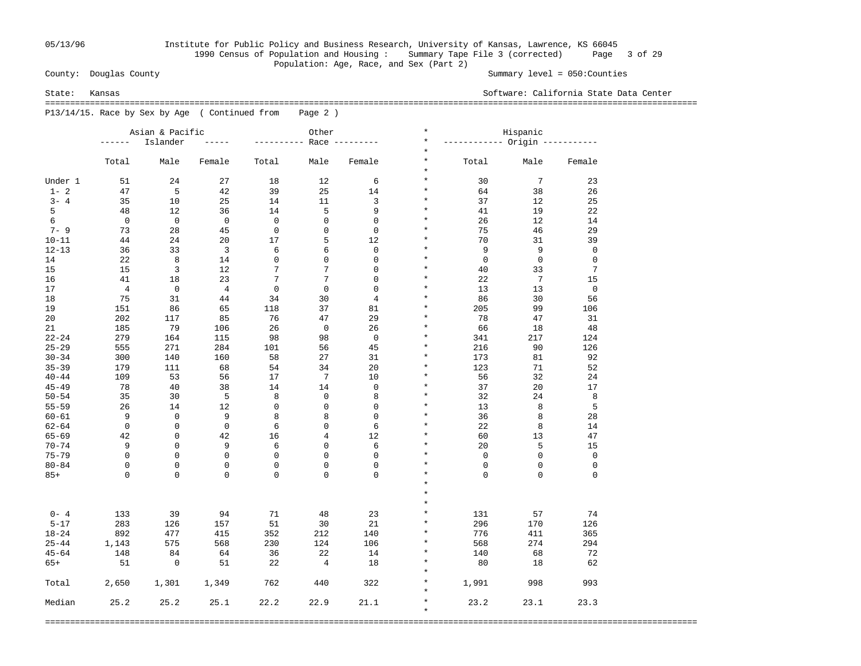## 05/13/96 Institute for Public Policy and Business Research, University of Kansas, Lawrence, KS 66045 1990 Census of Population and Housing : Summary Tape File 3 (corrected) Page 3 of 29 Population: Age, Race, and Sex (Part 2)<br>County: Douglas County

Summary level =  $050$ : Counties

State: Kansas Software: California State Data Center

 =================================================================================================================================== P13/14/15. Race by Sex by Age ( Continued from Page 2 )

|           |                | Asian & Pacific         |                         | Other               |               |                | $^\star$<br>Hispanic |                                |                 |             |  |
|-----------|----------------|-------------------------|-------------------------|---------------------|---------------|----------------|----------------------|--------------------------------|-----------------|-------------|--|
|           | ------         | Islander                |                         | $- - - - - - - - -$ |               | Race $------$  | $\star$              | ----------- Origin ----------- |                 |             |  |
|           |                |                         |                         |                     |               |                | $\star$              |                                |                 |             |  |
|           | Total          | Male                    | Female                  | Total               | Male          | Female         | $\star$<br>$\star$   | Total                          | Male            | Female      |  |
| Under 1   | 51             | 24                      | 27                      | 18                  | 12            | 6              | $\star$              | 30                             | $7\phantom{.0}$ | 23          |  |
| $1 - 2$   | 47             | 5                       | 42                      | 39                  | 25            | 14             | $\star$              | 64                             | 38              | 26          |  |
| $3 - 4$   | 35             | 10                      | 25                      | 14                  | 11            | 3              | $\star$              | 37                             | 12              | 25          |  |
| 5         | 48             | 12                      | 36                      | 14                  | 5             | 9              | $\star$              | 41                             | 19              | 22          |  |
| 6         | $\mathbf 0$    | $\mathbf 0$             | $\mathbf 0$             | $\mathbf 0$         | $\mathbf{0}$  | $\mathbf 0$    | $\star$              | 26                             | 12              | 14          |  |
| $7 - 9$   | 73             | 28                      | 45                      | $\mathbf 0$         | $\mathbf 0$   | $\mathbf 0$    | $\star$              | 75                             | 46              | 29          |  |
| $10 - 11$ | 44             | 24                      | 20                      | 17                  | 5             | 12             | $\star$              | 70                             | 31              | 39          |  |
| $12 - 13$ | 36             | 33                      | $\overline{\mathbf{3}}$ | 6                   | 6             | $\mathbf 0$    | $\star$              | 9                              | 9               | $\mathbf 0$ |  |
| 14        | 22             | 8                       | 14                      | $\mathbf 0$         | $\mathbf{0}$  | $\mathbf 0$    | $\star$              | $\mathbf 0$                    | $\mathbf 0$     | $\mathbf 0$ |  |
| 15        | 15             | 3                       | 12                      | 7                   | 7             | $\mathbf 0$    | $\star$              | 40                             | 33              | 7           |  |
| 16        | 41             | 18                      | 23                      | 7                   | 7             | $\mathbf 0$    | $\star$              | 22                             | $7\phantom{.0}$ | 15          |  |
| 17        | $\overline{4}$ | $\mathbf 0$             | $\overline{4}$          | $\mathbf 0$         | $\mathbf 0$   | $\mathbf 0$    | $\star$              | 13                             | 13              | $\mathbf 0$ |  |
| 18        | 75             | 31                      | 44                      | 34                  | 30            | $\overline{4}$ | $\star$              | 86                             | 30              | 56          |  |
| 19        | 151            | 86                      | 65                      | 118                 | 37            | 81             | $\star$              | 205                            | 99              | 106         |  |
| 20        | 202            | 117                     | 85                      | 76                  | 47            | 29             | $^\star$             | 78                             | 47              | 31          |  |
| 21        | 185            | 79                      | 106                     | 26                  | $\mathbf 0$   | 26             | $\star$              | 66                             | 18              | 48          |  |
| $22 - 24$ | 279            | 164                     | 115                     | 98                  | 98            | $\mathbf 0$    | $\star$              | 341                            | 217             | 124         |  |
| $25 - 29$ | 555            | 271                     | 284                     | 101                 | 56            | 45             | $\star$              | 216                            | 90              | 126         |  |
| $30 - 34$ | 300            |                         |                         | 58                  | 27            | 31             | $\star$              | 173                            | 81              | 92          |  |
| $35 - 39$ |                | 140                     | 160                     |                     | 34            | 20             | $^\star$             |                                | 71              |             |  |
| $40 - 44$ | 179<br>109     | 111<br>53               | 68<br>56                | 54                  | 7             | 10             | $\star$              | 123<br>56                      | 32              | 52          |  |
| $45 - 49$ | 78             | 40                      | 38                      | 17                  | 14            | $\Omega$       | $\star$              | 37                             | 20              | 24<br>17    |  |
| $50 - 54$ |                |                         |                         | 14<br>8             | $\mathbf 0$   | 8              | $\star$              |                                |                 |             |  |
|           | 35             | 30                      | 5                       | $\mathbf 0$         | $\mathbf 0$   | $\mathbf 0$    | $\star$              | 32<br>13                       | 24              | 8           |  |
| $55 - 59$ | 26             | 14                      | 12                      |                     |               | $\Omega$       | $\star$              |                                | 8               | 5           |  |
| $60 - 61$ | 9              | $\mathbf 0$<br>$\Omega$ | 9                       | 8                   | 8<br>$\Omega$ |                | $\star$              | 36                             | 8               | 28          |  |
| $62 - 64$ | $\mathbf 0$    |                         | $\mathbf 0$             | 6                   |               | 6              | $\star$              | 22                             | 8               | 14          |  |
| $65 - 69$ | 42             | $\mathbf 0$             | 42                      | 16                  | 4             | 12             | $\star$              | 60                             | 13              | 47          |  |
| $70 - 74$ | 9              | $\Omega$                | 9                       | 6                   | $\mathbf 0$   | 6              |                      | 20                             | 5               | 15          |  |
| $75 - 79$ | $\mathbf 0$    | $\Omega$                | $\mathbf 0$             | $\mathbf 0$         | $\mathbf{0}$  | $\mathbf 0$    | $\star$              | $\mathbf 0$                    | $\mathbf 0$     | $\mathbf 0$ |  |
| $80 - 84$ | $\mathbf 0$    | $\Omega$                | $\mathbf 0$             | $\mathbf 0$         | $\Omega$      | $\Omega$       | $\star$              | $\mathbf 0$                    | $\mathbf 0$     | $\mathbf 0$ |  |
| $85+$     | $\Omega$       | $\Omega$                | $\Omega$                | $\Omega$            | $\Omega$      | $\Omega$       | $\star$<br>$\star$   | $\Omega$                       | $\Omega$        | $\Omega$    |  |
|           |                |                         |                         |                     |               |                |                      |                                |                 |             |  |
|           |                |                         |                         |                     |               |                | $\star$              |                                |                 |             |  |
|           |                |                         |                         |                     |               |                | $\star$              |                                |                 |             |  |
| $0 - 4$   | 133            | 39                      | 94                      | 71                  | 48            | 23             | $\star$              | 131                            | 57              | 74          |  |
| $5 - 17$  | 283            | 126                     | 157                     | 51                  | 30            | 21             | $\star$              | 296                            | 170             | 126         |  |
| $18 - 24$ | 892            | 477                     | 415                     | 352                 | 212           | 140            | $\star$              | 776                            | 411             | 365         |  |
| $25 - 44$ | 1,143          | 575                     | 568                     | 230                 | 124           | 106            | $\star$              | 568                            | 274             | 294         |  |
| $45 - 64$ | 148            | 84                      | 64                      | 36                  | 22            | 14             | $\star$              | 140                            | 68              | 72          |  |
| $65+$     | 51             | $\mathbf 0$             | 51                      | 22                  | 4             | 18             | $\star$              | 80                             | 18              | 62          |  |
|           |                |                         |                         |                     |               |                | $\star$              |                                |                 |             |  |
| Total     | 2,650          | 1,301                   | 1,349                   | 762                 | 440           | 322            | $\star$              | 1,991                          | 998             | 993         |  |
|           |                |                         |                         |                     |               |                | $\star$              |                                |                 |             |  |
| Median    | 25.2           | 25.2                    | 25.1                    | 22.2                | 22.9          | 21.1           | $\star$              | 23.2                           | 23.1            | 23.3        |  |
|           |                |                         |                         |                     |               |                | $\star$              |                                |                 |             |  |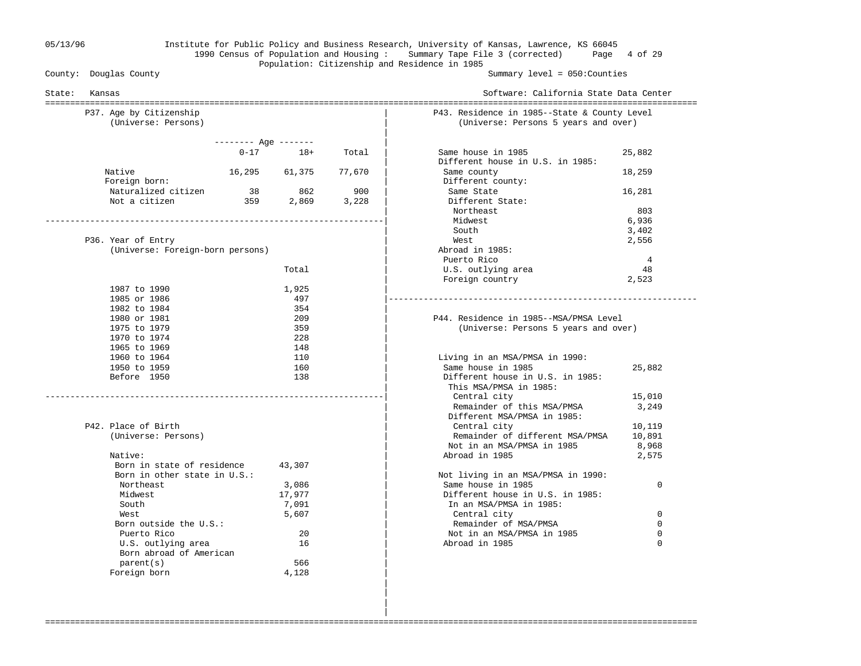### 05/13/96 Institute for Public Policy and Business Research, University of Kansas, Lawrence, KS 66045 1990 Census of Population and Housing : Summary Tape File 3 (corrected) Page 4 of 29 Population: Citizenship and Residence in 1985<br>County: Douglas County

Summary level =  $050$ : Counties

|                                                                            | Software: California State Data Center                                                     |
|----------------------------------------------------------------------------|--------------------------------------------------------------------------------------------|
| P37. Age by Citizenship<br>(Universe: Persons)                             | P43. Residence in 1985--State & County Level<br>(Universe: Persons 5 years and over)       |
| $------$ Age $------$                                                      |                                                                                            |
| $18+$<br>$0 - 17$<br>Total                                                 | Same house in 1985<br>25,882<br>Different house in U.S. in 1985:                           |
| Native<br>16,295 61,375<br>77,670<br>Foreign born:                         | 18,259<br>Same county<br>Different county:                                                 |
| 862<br>Naturalized citizen<br>38<br>Not a citizen<br>359<br>2,869<br>3,228 | 900<br>Same State<br>16,281<br>Different State:                                            |
|                                                                            | Northeast<br>803<br>Midwest<br>6,936                                                       |
|                                                                            | South<br>3,402                                                                             |
| P36. Year of Entry                                                         | West<br>2,556                                                                              |
| (Universe: Foreign-born persons)                                           | Abroad in 1985:                                                                            |
|                                                                            | Puerto Rico<br>4                                                                           |
| Total                                                                      | U.S. outlying area<br>48                                                                   |
|                                                                            | Foreign country<br>2,523                                                                   |
| 1987 to 1990<br>1,925                                                      |                                                                                            |
| 1985 or 1986<br>497                                                        |                                                                                            |
| 1982 to 1984<br>354                                                        |                                                                                            |
| 1980 or 1981<br>209                                                        | P44. Residence in 1985--MSA/PMSA Level                                                     |
| 1975 to 1979<br>359                                                        | (Universe: Persons 5 years and over)                                                       |
| 1970 to 1974<br>228                                                        |                                                                                            |
| 1965 to 1969<br>148                                                        |                                                                                            |
| 1960 to 1964<br>110                                                        | Living in an MSA/PMSA in 1990:                                                             |
| 1950 to 1959<br>160<br>Before 1950<br>138                                  | Same house in 1985<br>25,882<br>Different house in U.S. in 1985:<br>This MSA/PMSA in 1985: |
|                                                                            | Central city<br>15,010                                                                     |
|                                                                            | Remainder of this MSA/PMSA<br>3,249                                                        |
|                                                                            | Different MSA/PMSA in 1985:                                                                |
| P42. Place of Birth                                                        | Central city<br>10,119<br>Remainder of different MSA/PMSA<br>10,891                        |
| (Universe: Persons)                                                        | Not in an MSA/PMSA in 1985<br>8,968                                                        |
| Native:                                                                    | Abroad in 1985<br>2,575                                                                    |
| Born in state of residence<br>43,307                                       |                                                                                            |
| Born in other state in U.S.:                                               | Not living in an MSA/PMSA in 1990:                                                         |
| Northeast<br>3,086                                                         | Same house in 1985<br>0                                                                    |
| Midwest<br>17,977                                                          | Different house in U.S. in 1985:                                                           |
| South<br>7,091                                                             | In an MSA/PMSA in 1985:                                                                    |
| West<br>5,607                                                              | Central city<br>$\mathbf 0$                                                                |
| Born outside the U.S.:                                                     | Remainder of MSA/PMSA<br>$\Omega$                                                          |
| Puerto Rico<br>20                                                          | Not in an MSA/PMSA in 1985<br>0                                                            |
| U.S. outlying area<br>16<br>Born abroad of American                        | Abroad in 1985<br>$\mathbf 0$                                                              |
| parent(s)<br>566                                                           |                                                                                            |
| Foreign born                                                               |                                                                                            |
| 4,128                                                                      |                                                                                            |

===================================================================================================================================

 | |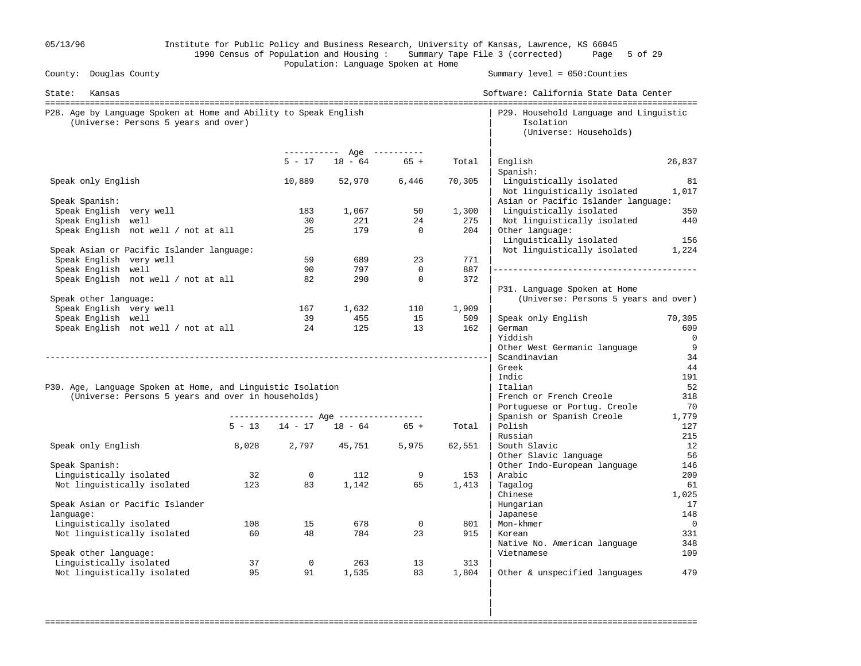| 05/13/96                                                                                                          |       |                |                                       |                |              | Institute for Public Policy and Business Research, University of Kansas, Lawrence, KS 66045<br>1990 Census of Population and Housing: Summary Tape File 3 (corrected) Page 5 of 29 |             |
|-------------------------------------------------------------------------------------------------------------------|-------|----------------|---------------------------------------|----------------|--------------|------------------------------------------------------------------------------------------------------------------------------------------------------------------------------------|-------------|
| County: Douglas County                                                                                            |       |                | Population: Language Spoken at Home   |                |              | Summary level = 050: Counties                                                                                                                                                      |             |
| State:<br>Kansas                                                                                                  |       |                |                                       |                |              | Software: California State Data Center                                                                                                                                             |             |
| P28. Age by Language Spoken at Home and Ability to Speak English<br>(Universe: Persons 5 years and over)          |       |                |                                       |                |              | P29. Household Language and Linguistic<br>Isolation<br>(Universe: Households)                                                                                                      |             |
|                                                                                                                   |       |                | ----------- Age ----------            |                |              |                                                                                                                                                                                    |             |
|                                                                                                                   |       | $5 - 17$       | $18 - 64$                             | $65 +$         | Total        | English<br>Spanish:                                                                                                                                                                | 26,837      |
| Speak only English                                                                                                |       | 10,889         | 52,970                                | 6,446          | 70,305       | Linguistically isolated<br>Not linguistically isolated                                                                                                                             | 81<br>1,017 |
| Speak Spanish:                                                                                                    |       |                |                                       |                |              | Asian or Pacific Islander language:                                                                                                                                                |             |
| Speak English very well                                                                                           |       | 183<br>30      | 1,067                                 | 50<br>24       | 1,300<br>275 | Linguistically isolated                                                                                                                                                            | 350         |
| Speak English well<br>Speak English not well / not at all                                                         |       | 25             | 221<br>179                            | $\overline{0}$ | 204          | Not linguistically isolated<br>Other language:<br>Linguistically isolated                                                                                                          | 440<br>156  |
| Speak Asian or Pacific Islander language:                                                                         |       |                |                                       |                |              | Not linguistically isolated                                                                                                                                                        | 1,224       |
| Speak English very well                                                                                           |       | 59             | 689                                   | 23             | 771          |                                                                                                                                                                                    |             |
| Speak English well                                                                                                |       | 90             | 797                                   | $\mathbf 0$    | 887          |                                                                                                                                                                                    |             |
| Speak English not well / not at all                                                                               |       | 82             | 290                                   | $\mathbf 0$    | 372          | P31. Language Spoken at Home                                                                                                                                                       |             |
| Speak other language:                                                                                             |       |                |                                       |                |              | (Universe: Persons 5 years and over)                                                                                                                                               |             |
| Speak English very well                                                                                           |       | 167            | 1,632                                 | 110            | 1,909        |                                                                                                                                                                                    |             |
| Speak English well                                                                                                |       | 39             | 455                                   | 15             | 509          | Speak only English                                                                                                                                                                 | 70,305      |
| Speak English not well / not at all                                                                               |       | 24             | 125                                   | 13             | 162          | German                                                                                                                                                                             | 609         |
|                                                                                                                   |       |                |                                       |                |              | Yiddish                                                                                                                                                                            | 0           |
|                                                                                                                   |       |                |                                       |                |              | Other West Germanic language                                                                                                                                                       | 9           |
|                                                                                                                   |       |                |                                       |                |              | Scandinavian                                                                                                                                                                       | 34          |
|                                                                                                                   |       |                |                                       |                |              | Greek                                                                                                                                                                              | 44          |
|                                                                                                                   |       |                |                                       |                |              | Indic                                                                                                                                                                              | 191         |
| P30. Age, Language Spoken at Home, and Linguistic Isolation<br>(Universe: Persons 5 years and over in households) |       |                |                                       |                |              | Italian<br>French or French Creole                                                                                                                                                 | 52<br>318   |
|                                                                                                                   |       |                |                                       |                |              | Portuguese or Portug. Creole                                                                                                                                                       | 70          |
|                                                                                                                   |       |                | ---------------- Age ---------------- |                |              | Spanish or Spanish Creole                                                                                                                                                          | 1,779       |
|                                                                                                                   |       |                | $5 - 13$ $14 - 17$ $18 - 64$ $65 +$   |                | Total        | Polish                                                                                                                                                                             | 127         |
|                                                                                                                   |       |                |                                       |                |              | Russian                                                                                                                                                                            | 215         |
| Speak only English                                                                                                | 8,028 | 2,797          | 45,751                                | 5,975          | 62,551       | South Slavic                                                                                                                                                                       | 12          |
|                                                                                                                   |       |                |                                       |                |              | Other Slavic language                                                                                                                                                              | 56          |
| Speak Spanish:                                                                                                    |       |                |                                       |                |              | Other Indo-European language                                                                                                                                                       | 146         |
| Linguistically isolated                                                                                           | 32    | $\overline{0}$ | 112                                   | 9              | 153          | Arabic                                                                                                                                                                             | 209         |
| Not linguistically isolated                                                                                       | 123   | 83             | 1,142                                 | 65             | 1,413        | Tagalog                                                                                                                                                                            | 61          |
|                                                                                                                   |       |                |                                       |                |              | Chinese                                                                                                                                                                            | 1,025       |
| Speak Asian or Pacific Islander                                                                                   |       |                |                                       |                |              | Hungarian                                                                                                                                                                          | 17          |
| language:                                                                                                         | 108   |                |                                       | $\mathbf 0$    |              | Japanese                                                                                                                                                                           | 148         |
| Linguistically isolated<br>Not linguistically isolated                                                            | 60    | 15<br>48       | 678<br>784                            | 23             | 801<br>915   | Mon-khmer<br>Korean                                                                                                                                                                | 0<br>331    |
|                                                                                                                   |       |                |                                       |                |              | Native No. American language                                                                                                                                                       | 348         |
| Speak other language:                                                                                             |       |                |                                       |                |              | Vietnamese                                                                                                                                                                         | 109         |
| Linguistically isolated                                                                                           | 37    | $\mathsf{O}$   | 263                                   | 13             | 313          |                                                                                                                                                                                    |             |
| Not linguistically isolated                                                                                       | 95    | 91             | 1,535                                 | 83             | 1,804        | Other & unspecified languages                                                                                                                                                      | 479         |
|                                                                                                                   |       |                |                                       |                |              |                                                                                                                                                                                    |             |

===================================================================================================================================

in the contract of the contract of the contract of the contract of the contract of the contract of the contract in the contract of the contract of the contract of the contract of the contract of the contract of the contract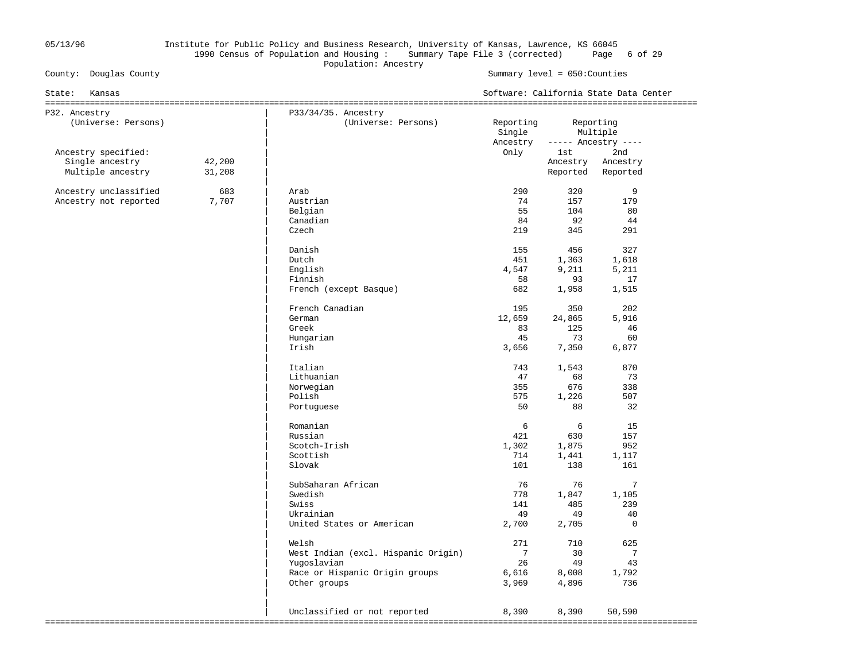### 05/13/96 Institute for Public Policy and Business Research, University of Kansas, Lawrence, KS 66045 1990 Census of Population and Housing : Summary Tape File 3 (corrected) Page 6 of 29 Population: Ancestry<br>
County: Douglas County<br>
Population: Ancestry

#### Summary level =  $050$ : Counties

| State:<br>Kansas                                            |                  |                                                                                                               | Software: California State Data Center     |                                                |                                                    |  |  |
|-------------------------------------------------------------|------------------|---------------------------------------------------------------------------------------------------------------|--------------------------------------------|------------------------------------------------|----------------------------------------------------|--|--|
| P32. Ancestry<br>(Universe: Persons)                        |                  | P33/34/35. Ancestry<br>(Universe: Persons)                                                                    | Reporting<br>Single                        | Reporting<br>Multiple                          |                                                    |  |  |
| Ancestry specified:<br>Single ancestry<br>Multiple ancestry | 42,200<br>31,208 |                                                                                                               | Ancestry<br>Only                           | 1st<br>Ancestry<br>Reported                    | ----- Ancestry ----<br>2nd<br>Ancestry<br>Reported |  |  |
| Ancestry unclassified<br>Ancestry not reported              | 683<br>7,707     | Arab<br>Austrian<br>Belgian<br>Canadian<br>Czech<br>Danish<br>Dutch                                           | 290<br>74<br>55<br>84<br>219<br>155<br>451 | 320<br>157<br>104<br>92<br>345<br>456<br>1,363 | 9<br>179<br>80<br>44<br>291<br>327<br>1,618        |  |  |
|                                                             |                  | English<br>Finnish<br>French (except Basque)                                                                  | 4,547<br>58<br>682                         | 9,211<br>93<br>1,958                           | 5,211<br>17<br>1,515                               |  |  |
|                                                             |                  | French Canadian<br>German<br>Greek<br>Hungarian<br>Irish                                                      | 195<br>12,659<br>83<br>45<br>3,656         | 350<br>24,865<br>125<br>73<br>7,350            | 202<br>5,916<br>46<br>60<br>6,877                  |  |  |
|                                                             |                  | Italian<br>Lithuanian<br>Norwegian<br>Polish<br>Portuguese                                                    | 743<br>47<br>355<br>575<br>50              | 1,543<br>68<br>676<br>1,226<br>88              | 870<br>73<br>338<br>507<br>32                      |  |  |
|                                                             |                  | Romanian<br>Russian<br>Scotch-Irish<br>Scottish<br>Slovak                                                     | 6<br>421<br>1,302<br>714<br>101            | 6<br>630<br>1,875<br>1,441<br>138              | 15<br>157<br>952<br>1,117<br>161                   |  |  |
|                                                             |                  | SubSaharan African<br>Swedish<br>Swiss<br>Ukrainian<br>United States or American                              | 76<br>778<br>141<br>49<br>2,700            | 76<br>1,847<br>485<br>49<br>2,705              | $7\overline{ }$<br>1,105<br>239<br>40<br>$\Omega$  |  |  |
|                                                             |                  | Welsh<br>West Indian (excl. Hispanic Origin)<br>Yugoslavian<br>Race or Hispanic Origin groups<br>Other groups | 271<br>7<br>26<br>6,616<br>3,969           | 710<br>30<br>49<br>8,008<br>4,896              | 625<br>7<br>43<br>1,792<br>736                     |  |  |
|                                                             |                  | Unclassified or not reported                                                                                  | 8,390                                      | 8,390                                          | 50,590                                             |  |  |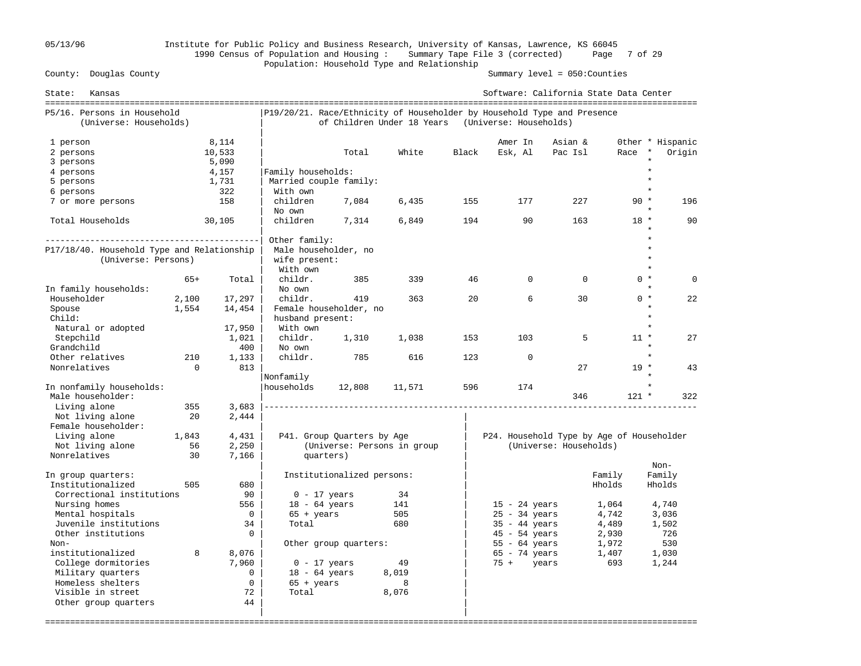## 05/13/96 Institute for Public Policy and Business Research, University of Kansas, Lawrence, KS 66045 1990 Census of Population and Housing : Summary Tape File 3 (corrected) Page 7 of 29 Population: Household Type and Relationship

Summary level =  $050$ : Counties

| State:<br>Kansas                                      |          |                |                        |                             |        |       | Software: California State Data Center                                                            |                        |                  |                  |
|-------------------------------------------------------|----------|----------------|------------------------|-----------------------------|--------|-------|---------------------------------------------------------------------------------------------------|------------------------|------------------|------------------|
| P5/16. Persons in Household<br>(Universe: Households) |          |                |                        | of Children Under 18 Years  |        |       | P19/20/21. Race/Ethnicity of Householder by Household Type and Presence<br>(Universe: Households) |                        |                  |                  |
| 1 person                                              |          | 8,114          |                        |                             |        |       | Amer In                                                                                           | Asian &                |                  | Other * Hispanic |
| 2 persons                                             |          | 10,533         |                        | Total                       | White  | Black | Esk, Al                                                                                           | Pac Isl                | Race             | Origin<br>$\ast$ |
| 3 persons                                             |          | 5,090          |                        |                             |        |       |                                                                                                   |                        |                  |                  |
| 4 persons                                             |          | 4,157          | Family households:     |                             |        |       |                                                                                                   |                        |                  |                  |
| 5 persons                                             |          | 1,731          | Married couple family: |                             |        |       |                                                                                                   |                        |                  | $\star$          |
| 6 persons                                             |          | 322            | With own               |                             |        |       |                                                                                                   |                        |                  |                  |
| 7 or more persons                                     |          | 158            | children<br>No own     | 7,084                       | 6,435  | 155   | 177                                                                                               | 227                    | $90 *$           | 196              |
| Total Households                                      |          | 30,105         | children               | 7,314                       | 6,849  | 194   | 90                                                                                                | 163                    | $18 *$           | 90               |
|                                                       |          |                | Other family:          |                             |        |       |                                                                                                   |                        |                  | $\star$          |
| P17/18/40. Household Type and Relationship            |          |                | Male householder, no   |                             |        |       |                                                                                                   |                        |                  | $\star$          |
| (Universe: Persons)                                   |          |                | wife present:          |                             |        |       |                                                                                                   |                        |                  |                  |
|                                                       | $65+$    |                | With own               |                             | 339    | 46    | $\Omega$                                                                                          | $\mathbf 0$            | $0 *$            | $\Omega$         |
|                                                       |          | Total          | childr.                | 385                         |        |       |                                                                                                   |                        |                  | $\star$          |
| In family households:<br>Householder                  |          |                | No own                 |                             |        | 20    | 6                                                                                                 | 30                     | $0 *$            |                  |
|                                                       | 2,100    | 17,297         | childr.                | 419                         | 363    |       |                                                                                                   |                        |                  | 22               |
| Spouse                                                | 1,554    | 14,454         |                        | Female householder, no      |        |       |                                                                                                   |                        |                  | $\star$          |
| Child:                                                |          |                | husband present:       |                             |        |       |                                                                                                   |                        |                  |                  |
| Natural or adopted                                    |          | 17,950         | With own               |                             |        |       |                                                                                                   |                        |                  |                  |
| Stepchild                                             |          | 1,021          | childr.                | 1,310                       | 1,038  | 153   | 103                                                                                               | 5                      | $11 *$           | 27               |
| Grandchild                                            |          | 400            | No own                 |                             |        |       |                                                                                                   |                        |                  |                  |
| Other relatives                                       | 210      | 1,133          | childr.                | 785                         | 616    | 123   | $\Omega$                                                                                          |                        |                  |                  |
| Nonrelatives                                          | $\Omega$ | 813            |                        |                             |        |       |                                                                                                   | 27                     | $19 *$           | 43               |
|                                                       |          |                | Nonfamily              |                             |        |       |                                                                                                   |                        |                  |                  |
| In nonfamily households:                              |          |                | households             | 12,808                      | 11,571 | 596   | 174                                                                                               |                        |                  |                  |
| Male householder:                                     |          |                |                        |                             |        |       |                                                                                                   | 346                    | $121 *$          | 322              |
| Living alone                                          | 355      | 3,683          |                        |                             |        |       |                                                                                                   |                        |                  |                  |
| Not living alone                                      | 20       | 2,444          |                        |                             |        |       |                                                                                                   |                        |                  |                  |
| Female householder:                                   |          |                |                        |                             |        |       |                                                                                                   |                        |                  |                  |
| Living alone                                          | 1,843    | 4,431          |                        | P41. Group Quarters by Age  |        |       | P24. Household Type by Age of Householder                                                         |                        |                  |                  |
| Not living alone<br>Nonrelatives                      | 56       | 2,250          |                        | (Universe: Persons in group |        |       |                                                                                                   | (Universe: Households) |                  |                  |
|                                                       | 30       | 7,166          |                        | quarters)                   |        |       |                                                                                                   |                        |                  | Non-             |
|                                                       |          |                |                        |                             |        |       |                                                                                                   |                        |                  |                  |
| In group quarters:<br>Institutionalized               | 505      | 680            |                        | Institutionalized persons:  |        |       |                                                                                                   |                        | Family<br>Hholds | Family<br>Hholds |
| Correctional institutions                             |          | 90             | $0 - 17$ years         |                             | 34     |       |                                                                                                   |                        |                  |                  |
| Nursing homes                                         |          | 556            | $18 - 64$ years        |                             | 141    |       |                                                                                                   |                        |                  |                  |
| Mental hospitals                                      |          | $\mathbf 0$    | $65 + \text{years}$    |                             | 505    |       | $15 - 24$ years<br>$25 - 34$ years                                                                |                        | 1,064<br>4,742   | 4,740            |
| Juvenile institutions                                 |          | 34             | Total                  |                             | 680    |       |                                                                                                   |                        |                  | 3,036            |
| Other institutions                                    |          | $\Omega$       |                        |                             |        |       | $35 - 44$ years<br>$45 - 54$ years                                                                |                        | 4,489<br>2,930   | 1,502<br>726     |
| $Non-$                                                |          |                |                        |                             |        |       |                                                                                                   |                        |                  | 530              |
| institutionalized                                     | 8        |                |                        | Other group quarters:       |        |       | $55 - 64$ years                                                                                   |                        | 1,972            |                  |
|                                                       |          | 8,076<br>7,960 |                        |                             |        |       | $65 - 74$ years                                                                                   |                        | 1,407            | 1,030            |
| College dormitories                                   |          | 0              | $0 - 17$ years         |                             | 49     |       | $75 +$<br>years                                                                                   |                        | 693              | 1,244            |
| Military quarters<br>Homeless shelters                |          | $\mathbf 0$    | $18 - 64$ years        |                             | 8,019  |       |                                                                                                   |                        |                  |                  |
|                                                       |          |                | $65 + years$           |                             | 8      |       |                                                                                                   |                        |                  |                  |
| Visible in street                                     |          | 72<br>44       | Total                  |                             | 8,076  |       |                                                                                                   |                        |                  |                  |
| Other group quarters                                  |          |                |                        |                             |        |       |                                                                                                   |                        |                  |                  |
|                                                       |          |                |                        |                             |        |       |                                                                                                   |                        |                  |                  |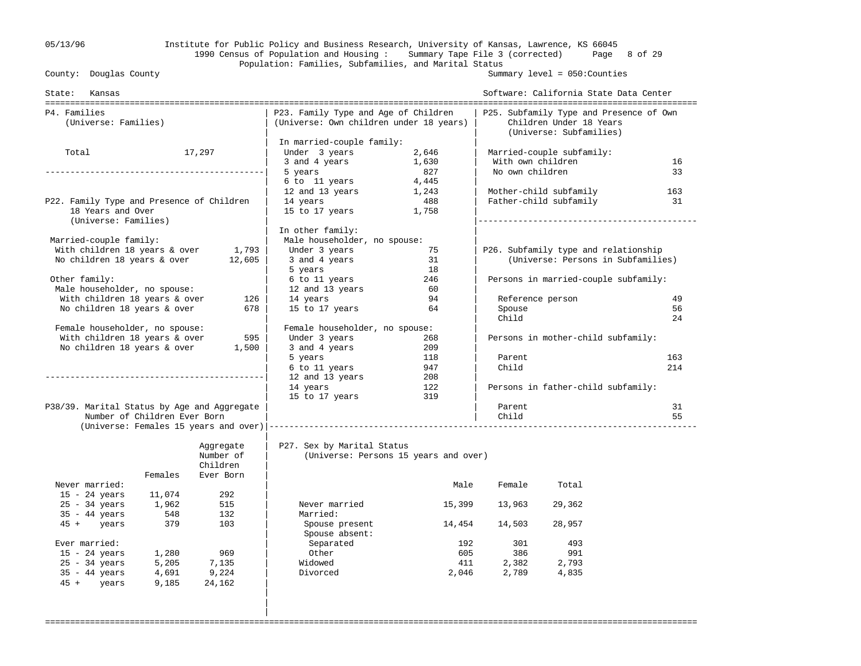### 05/13/96 Institute for Public Policy and Business Research, University of Kansas, Lawrence, KS 66045 1990 Census of Population and Housing : Summary Tape File 3 (corrected) Page 8 of 29 Population: Families, Subfamilies, and Marital Status<br>County: Douglas County

Summary level =  $050$ : Counties

| State: Kansas                                                       |                              |                       |                                                                                 |                                       | Software: California State Data Center |                                                                                               |     |  |
|---------------------------------------------------------------------|------------------------------|-----------------------|---------------------------------------------------------------------------------|---------------------------------------|----------------------------------------|-----------------------------------------------------------------------------------------------|-----|--|
| P4. Families<br>(Universe: Families)                                |                              |                       | P23. Family Type and Age of Children<br>(Universe: Own children under 18 years) |                                       |                                        | P25. Subfamily Type and Presence of Own<br>Children Under 18 Years<br>(Universe: Subfamilies) |     |  |
|                                                                     |                              |                       | In married-couple family:                                                       |                                       |                                        |                                                                                               |     |  |
| Total                                                               |                              | 17,297                | Under 3 years                                                                   | 2,646                                 |                                        | Married-couple subfamily:                                                                     |     |  |
|                                                                     |                              |                       | 3 and 4 years                                                                   | 1,630                                 | With own children                      |                                                                                               | 16  |  |
|                                                                     |                              |                       | 5 years                                                                         | 827                                   | No own children                        |                                                                                               | 33  |  |
|                                                                     |                              |                       | 6 to 11 years                                                                   | 4,445                                 |                                        |                                                                                               |     |  |
|                                                                     |                              |                       | 12 and 13 years                                                                 | 1,243                                 |                                        | Mother-child subfamily                                                                        | 163 |  |
| P22. Family Type and Presence of Children<br>18 Years and Over      |                              |                       | 14 years<br>15 to 17 years                                                      | 488<br>1,758                          |                                        | Father-child subfamily                                                                        | 31  |  |
| (Universe: Families)                                                |                              |                       |                                                                                 |                                       |                                        |                                                                                               |     |  |
|                                                                     |                              |                       | In other family:                                                                |                                       |                                        |                                                                                               |     |  |
| Married-couple family:                                              |                              |                       | Male householder, no spouse:                                                    |                                       |                                        |                                                                                               |     |  |
| With children 18 years & over<br>No children 18 years & over 12,605 |                              | 1,793                 | Under 3 years                                                                   | 75<br>31                              |                                        | P26. Subfamily type and relationship<br>(Universe: Persons in Subfamilies)                    |     |  |
|                                                                     |                              |                       | 3 and 4 years                                                                   | 18                                    |                                        |                                                                                               |     |  |
| Other family:                                                       |                              |                       | 5 years                                                                         | 246                                   |                                        | Persons in married-couple subfamily:                                                          |     |  |
| Male householder, no spouse:                                        |                              |                       | 6 to 11 years<br>12 and 13 years                                                | 60                                    |                                        |                                                                                               |     |  |
| With children 18 years & over                                       |                              | 126                   | 14 years                                                                        | 94                                    |                                        | Reference person                                                                              | 49  |  |
| No children 18 years & over                                         |                              | 678                   | 15 to 17 years                                                                  | 64                                    | Spouse                                 |                                                                                               | 56  |  |
|                                                                     |                              |                       |                                                                                 |                                       | Child                                  |                                                                                               | 24  |  |
| Female householder, no spouse:                                      |                              |                       | Female householder, no spouse:                                                  |                                       |                                        |                                                                                               |     |  |
| With children 18 years & over                                       |                              | 595                   | Under 3 years                                                                   | 268                                   |                                        | Persons in mother-child subfamily:                                                            |     |  |
| No children 18 years & over                                         |                              | 1,500                 | 3 and 4 years                                                                   | 209                                   |                                        |                                                                                               |     |  |
|                                                                     |                              |                       | 5 years                                                                         | 118                                   | Parent                                 |                                                                                               | 163 |  |
|                                                                     |                              |                       | 6 to 11 years                                                                   | 947                                   | Child                                  |                                                                                               | 214 |  |
|                                                                     |                              |                       | 12 and 13 years                                                                 | 208                                   |                                        |                                                                                               |     |  |
|                                                                     |                              |                       | 14 years                                                                        | 122                                   |                                        | Persons in father-child subfamily:                                                            |     |  |
|                                                                     |                              |                       | 15 to 17 years                                                                  | 319                                   |                                        |                                                                                               |     |  |
| P38/39. Marital Status by Age and Aggregate                         |                              |                       |                                                                                 |                                       | Parent                                 |                                                                                               | 31  |  |
|                                                                     | Number of Children Ever Born |                       |                                                                                 |                                       | Child                                  |                                                                                               | 55  |  |
|                                                                     |                              |                       |                                                                                 |                                       |                                        |                                                                                               |     |  |
|                                                                     |                              | Aggregate             | P27. Sex by Marital Status                                                      |                                       |                                        |                                                                                               |     |  |
|                                                                     |                              | Number of<br>Children |                                                                                 | (Universe: Persons 15 years and over) |                                        |                                                                                               |     |  |
|                                                                     | Females                      | Ever Born             |                                                                                 |                                       |                                        |                                                                                               |     |  |
| Never married:                                                      |                              |                       |                                                                                 | Male                                  | Female                                 | Total                                                                                         |     |  |
| $15 - 24$ years                                                     | 11,074                       | 292                   |                                                                                 |                                       |                                        |                                                                                               |     |  |
| $25 - 34$ years                                                     | 1,962                        | 515                   | Never married                                                                   | 15,399                                | 13,963                                 | 29,362                                                                                        |     |  |
| $35 - 44$ years                                                     | 548                          | 132                   | Married:                                                                        |                                       |                                        |                                                                                               |     |  |
| $45 + \text{years}$                                                 | 379                          | 103                   | Spouse present                                                                  | 14,454                                | 14,503                                 | 28,957                                                                                        |     |  |
|                                                                     |                              |                       | Spouse absent:                                                                  |                                       |                                        |                                                                                               |     |  |
| Ever married:                                                       |                              |                       | Separated                                                                       | 192                                   | 301                                    | 493                                                                                           |     |  |
| $15 - 24$ years                                                     | 1,280                        | 969                   | Other                                                                           | 605                                   | 386                                    | 991                                                                                           |     |  |
| $25 - 34$ years                                                     | 5,205                        | 7,135                 | Widowed                                                                         | 411                                   | 2,382                                  | 2,793                                                                                         |     |  |
| $35 - 44$ years                                                     | 4,691                        | 9,224                 | Divorced                                                                        | 2,046                                 | 2,789                                  | 4,835                                                                                         |     |  |
| 45 + years                                                          | 9,185                        | 24,162                |                                                                                 |                                       |                                        |                                                                                               |     |  |
|                                                                     |                              |                       |                                                                                 |                                       |                                        |                                                                                               |     |  |
|                                                                     |                              |                       |                                                                                 |                                       |                                        |                                                                                               |     |  |
|                                                                     |                              |                       |                                                                                 |                                       |                                        |                                                                                               |     |  |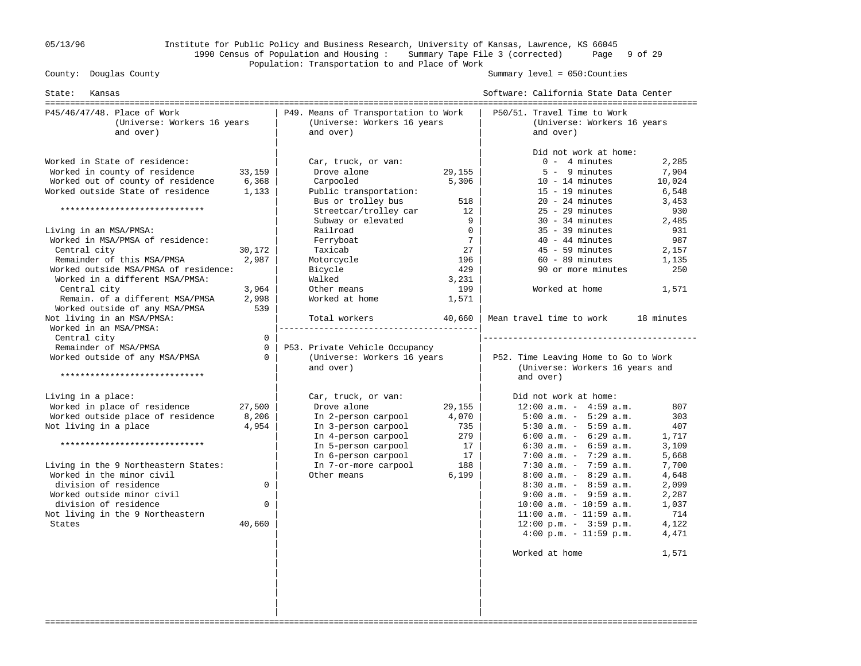### 05/13/96 Institute for Public Policy and Business Research, University of Kansas, Lawrence, KS 66045 1990 Census of Population and Housing : Summary Tape File 3 (corrected) Page 9 of 29 Population: Transportation to and Place of Work

Summary level =  $050$ : Counties

| State:<br>Kansas                                                                                                                                                                                                                                                                                                                                                                                                                                       |                                                                      | -------------------------                                                                                                                                                                                                                              |                                                                                                               | Software: California State Data Center                                                                                                                                                                                                                                                                                                                                                                                                                                                          |                                                                                                                             |
|--------------------------------------------------------------------------------------------------------------------------------------------------------------------------------------------------------------------------------------------------------------------------------------------------------------------------------------------------------------------------------------------------------------------------------------------------------|----------------------------------------------------------------------|--------------------------------------------------------------------------------------------------------------------------------------------------------------------------------------------------------------------------------------------------------|---------------------------------------------------------------------------------------------------------------|-------------------------------------------------------------------------------------------------------------------------------------------------------------------------------------------------------------------------------------------------------------------------------------------------------------------------------------------------------------------------------------------------------------------------------------------------------------------------------------------------|-----------------------------------------------------------------------------------------------------------------------------|
| P45/46/47/48. Place of Work<br>(Universe: Workers 16 years<br>and over)                                                                                                                                                                                                                                                                                                                                                                                |                                                                      | P49. Means of Transportation to Work<br>(Universe: Workers 16 years<br>and over)                                                                                                                                                                       |                                                                                                               | P50/51. Travel Time to Work<br>(Universe: Workers 16 years<br>and over)                                                                                                                                                                                                                                                                                                                                                                                                                         |                                                                                                                             |
| Worked in State of residence:<br>Worked in county of residence<br>Worked out of county of residence<br>Worked outside State of residence<br>*****************************<br>Living in an MSA/PMSA:<br>Worked in MSA/PMSA of residence:<br>Central city<br>Remainder of this MSA/PMSA<br>Worked outside MSA/PMSA of residence:<br>Worked in a different MSA/PMSA:<br>Central city<br>Remain. of a different MSA/PMSA<br>Worked outside of any MSA/PMSA | 33,159<br>6,368<br>1,133<br>30,172<br>2,987<br>3,964<br>2,998<br>539 | Car, truck, or van:<br>Drove alone<br>Carpooled<br>Public transportation:<br>Bus or trolley bus<br>Streetcar/trolley car<br>Subway or elevated<br>Railroad<br>Ferryboat<br>Taxicab<br>Motorcycle<br>Bicycle<br>Walked<br>Other means<br>Worked at home | 29,155<br>5,306<br>518<br>12<br>9<br>$\Omega$<br>$7\overline{ }$<br>27<br>196<br>429<br>3,231<br>199<br>1,571 | Did not work at home:<br>$0 - 4$ minutes<br>$5 - 9$ minutes<br>$10 - 14$ minutes<br>$15 - 19$ minutes<br>$20 - 24$ minutes<br>$25 - 29$ minutes<br>$30 - 34$ minutes<br>$35 - 39$ minutes<br>$40 - 44$ minutes<br>$45 - 59$ minutes<br>$60 - 89$ minutes<br>90 or more minutes<br>Worked at home                                                                                                                                                                                                | 2,285<br>7,904<br>10,024<br>6,548<br>3,453<br>930<br>2,485<br>931<br>987<br>2,157<br>1,135<br>250<br>1,571<br>18 minutes    |
| Not living in an MSA/PMSA:<br>Worked in an MSA/PMSA:<br>Central city<br>Remainder of MSA/PMSA<br>Worked outside of any MSA/PMSA<br>*****************************                                                                                                                                                                                                                                                                                       | $\mathbf 0$<br>$\mathbf 0$<br>$\Omega$                               | Total workers<br>P53. Private Vehicle Occupancy<br>(Universe: Workers 16 years<br>and over)                                                                                                                                                            | 40,660                                                                                                        | Mean travel time to work<br>P52. Time Leaving Home to Go to Work<br>(Universe: Workers 16 years and<br>and over)                                                                                                                                                                                                                                                                                                                                                                                |                                                                                                                             |
| Living in a place:<br>Worked in place of residence<br>Worked outside place of residence<br>Not living in a place<br>*****************************<br>Living in the 9 Northeastern States:<br>Worked in the minor civil<br>division of residence<br>Worked outside minor civil<br>division of residence<br>Not living in the 9 Northeastern<br>States                                                                                                   | 27,500<br>8,206<br>4,954<br>$\mathbf 0$<br>0<br>40,660               | Car, truck, or van:<br>Drove alone<br>In 2-person carpool<br>In 3-person carpool<br>In 4-person carpool<br>In 5-person carpool<br>In 6-person carpool<br>In 7-or-more carpool<br>Other means                                                           | 29,155<br>4,070<br>735<br>279<br>17<br>17<br>188<br>6,199                                                     | Did not work at home:<br>$12:00$ a.m. - $4:59$ a.m.<br>$5:00$ a.m. - $5:29$ a.m.<br>$5:30$ a.m. $-5:59$ a.m.<br>$6:00$ a.m. - $6:29$ a.m.<br>$6:30$ a.m. - $6:59$ a.m.<br>$7:00$ a.m. - $7:29$ a.m.<br>$7:30$ a.m. - $7:59$ a.m.<br>$8:00$ a.m. - $8:29$ a.m.<br>$8:30$ a.m. - $8:59$ a.m.<br>$9:00$ a.m. - $9:59$ a.m.<br>$10:00$ a.m. - $10:59$ a.m.<br>$11:00$ a.m. - $11:59$ a.m.<br>$12:00 \text{ p.m.} - 3:59 \text{ p.m.}$<br>$4:00 \text{ p.m.} - 11:59 \text{ p.m.}$<br>Worked at home | 807<br>303<br>407<br>1,717<br>3,109<br>5,668<br>7,700<br>4,648<br>2,099<br>2,287<br>1,037<br>714<br>4,122<br>4,471<br>1,571 |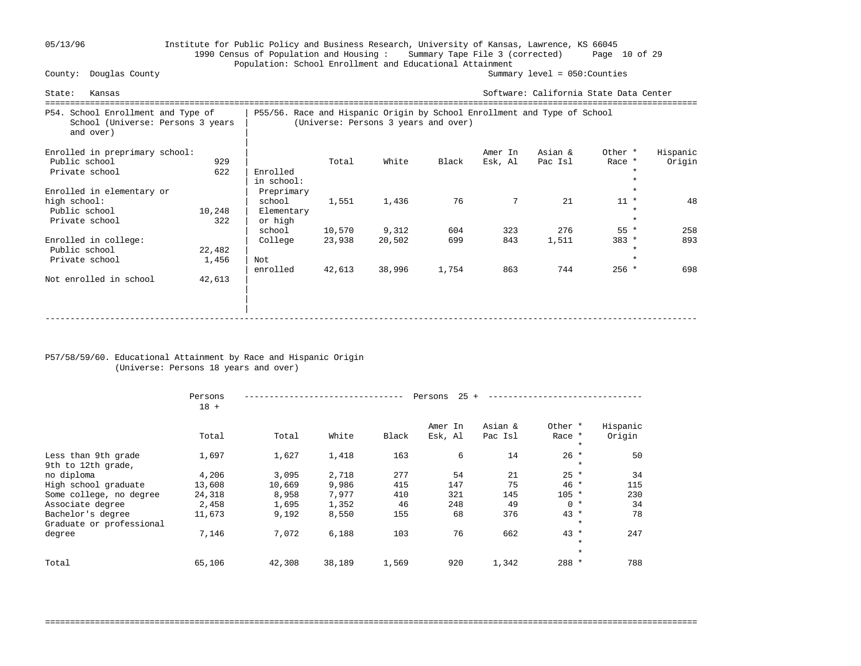## 05/13/96 Institute for Public Policy and Business Research, University of Kansas, Lawrence, KS 66045 1990 Census of Population and Housing : Summary Tape File 3 (corrected) Page 10 of 29 Population: School Enrollment and Educational Attainment<br>County: Douglas County

Summary level =  $050$ : Counties

| State:<br>Kansas                                                                     |        |            |                                                                                                                  |        |       |         | Software: California State Data Center |         |          |  |
|--------------------------------------------------------------------------------------|--------|------------|------------------------------------------------------------------------------------------------------------------|--------|-------|---------|----------------------------------------|---------|----------|--|
| P54. School Enrollment and Type of<br>School (Universe: Persons 3 years<br>and over) |        |            | P55/56. Race and Hispanic Origin by School Enrollment and Type of School<br>(Universe: Persons 3 years and over) |        |       |         |                                        |         |          |  |
| Enrolled in preprimary school:                                                       |        |            |                                                                                                                  |        |       | Amer In | Asian &                                | Other * | Hispanic |  |
| Public school                                                                        | 929    |            | Total                                                                                                            | White  | Black | Esk, Al | Pac Isl                                | Race *  | Origin   |  |
| Private school                                                                       | 622    | Enrolled   |                                                                                                                  |        |       |         |                                        |         |          |  |
|                                                                                      |        | in school: |                                                                                                                  |        |       |         |                                        |         |          |  |
| Enrolled in elementary or                                                            |        | Preprimary |                                                                                                                  |        |       |         |                                        |         |          |  |
| high school:                                                                         |        | school     | 1,551                                                                                                            | 1,436  | 76    | 7       | 21                                     | $11 *$  | 48       |  |
| Public school                                                                        | 10,248 | Elementary |                                                                                                                  |        |       |         |                                        |         |          |  |
| Private school                                                                       | 322    | or high    |                                                                                                                  |        |       |         |                                        | $\star$ |          |  |
|                                                                                      |        | school     | 10,570                                                                                                           | 9,312  | 604   | 323     | 276                                    | $55 *$  | 258      |  |
| Enrolled in college:                                                                 |        | College    | 23,938                                                                                                           | 20,502 | 699   | 843     | 1,511                                  | $383 *$ | 893      |  |
| Public school                                                                        | 22,482 |            |                                                                                                                  |        |       |         |                                        |         |          |  |
| Private school                                                                       | 1,456  | Not        |                                                                                                                  |        |       |         |                                        | $\star$ |          |  |
|                                                                                      |        | enrolled   | 42,613                                                                                                           | 38,996 | 1,754 | 863     | 744                                    | $256 *$ | 698      |  |
| Not enrolled in school                                                               | 42,613 |            |                                                                                                                  |        |       |         |                                        |         |          |  |
|                                                                                      |        |            |                                                                                                                  |        |       |         |                                        |         |          |  |
|                                                                                      |        |            |                                                                                                                  |        |       |         |                                        |         |          |  |
|                                                                                      |        |            |                                                                                                                  |        |       |         |                                        |         |          |  |
|                                                                                      |        |            |                                                                                                                  |        |       |         |                                        |         |          |  |

#### P57/58/59/60. Educational Attainment by Race and Hispanic Origin (Universe: Persons 18 years and over)

|                                               | Persons<br>$18 +$ |        |        |       | 25<br>Persons      |                    |                              |                    |  |
|-----------------------------------------------|-------------------|--------|--------|-------|--------------------|--------------------|------------------------------|--------------------|--|
|                                               | Total             | Total  | White  | Black | Amer In<br>Esk, Al | Asian &<br>Pac Isl | Other *<br>Race *<br>$\star$ | Hispanic<br>Origin |  |
| Less than 9th grade<br>9th to 12th grade,     | 1,697             | 1,627  | 1,418  | 163   | 6                  | 14                 | $26 *$<br>$\ast$             | 50                 |  |
| no diploma                                    | 4,206             | 3,095  | 2,718  | 277   | 54                 | 21                 | $25 *$                       | 34                 |  |
| High school graduate                          | 13,608            | 10,669 | 9,986  | 415   | 147                | 75                 | $46 *$                       | 115                |  |
| Some college, no degree                       | 24,318            | 8,958  | 7,977  | 410   | 321                | 145                | $105 *$                      | 230                |  |
| Associate degree                              | 2,458             | 1,695  | 1,352  | 46    | 248                | 49                 | $0 *$                        | 34                 |  |
| Bachelor's degree<br>Graduate or professional | 11,673            | 9,192  | 8,550  | 155   | 68                 | 376                | $43 *$<br>$\ast$             | 78                 |  |
| degree                                        | 7,146             | 7,072  | 6,188  | 103   | 76                 | 662                | $43 *$<br>$\star$            | 247                |  |
| Total                                         | 65,106            | 42,308 | 38,189 | 1,569 | 920                | 1,342              | $\ast$<br>288 *              | 788                |  |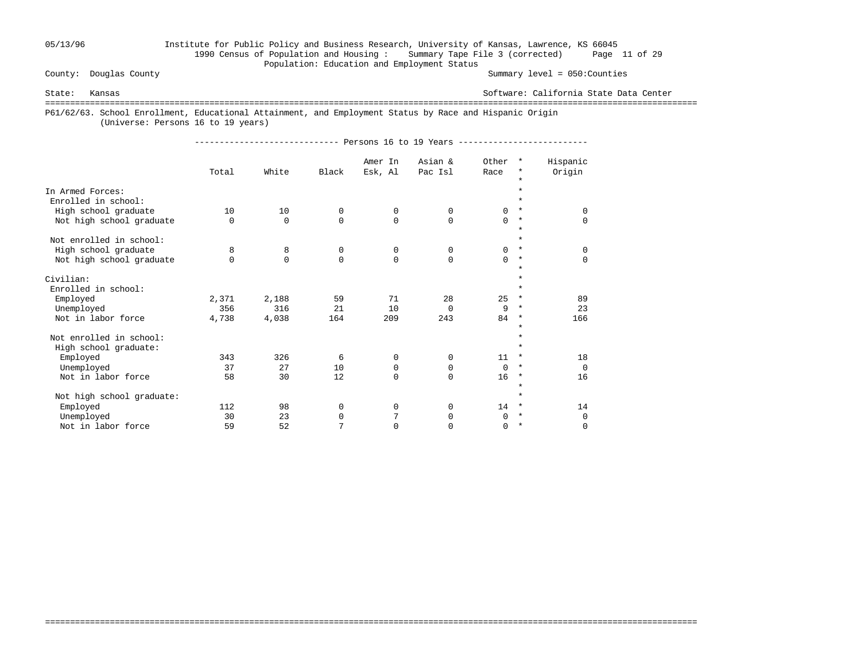## 05/13/96 Institute for Public Policy and Business Research, University of Kansas, Lawrence, KS 66045 1990 Census of Population and Housing : Summary Tape File 3 (corrected) Page 11 of 29 Population: Education and Employment Status

Summary level =  $050$ : Counties

State: Kansas Software: California State Data Center

===================================================================================================================================

===================================================================================================================================

P61/62/63. School Enrollment, Educational Attainment, and Employment Status by Race and Hispanic Origin

(Universe: Persons 16 to 19 years)

----------------------------- Persons 16 to 19 Years --------------------------

|                                         | Total    | White       | Black       | Amer In<br>Esk, Al | Asian &<br>Pac Isl | Other<br>Race | $^\star$<br>$^\star$ | Hispanic<br>Origin |
|-----------------------------------------|----------|-------------|-------------|--------------------|--------------------|---------------|----------------------|--------------------|
|                                         |          |             |             |                    |                    |               | $\star$              |                    |
| In Armed Forces:<br>Enrolled in school: |          |             |             |                    |                    |               | $\star$              |                    |
| High school graduate                    | 10       | 10          | $\mathbf 0$ | 0                  | 0                  | 0             | $\ast$               | $\Omega$           |
| Not high school graduate                | $\Omega$ | $\mathbf 0$ | $\Omega$    | $\mathbf 0$        | $\Omega$           | 0             | $\star$              | 0                  |
|                                         |          |             |             |                    |                    |               | $\star$              |                    |
| Not enrolled in school:                 |          |             |             |                    |                    |               | $\star$              |                    |
| High school graduate                    | 8        | 8           | $\mathbf 0$ | 0                  | $\Omega$           | 0             | $\ast$               | $\mathbf 0$        |
| Not high school graduate                | 0        | $\Omega$    | $\Omega$    | $\mathbf 0$        | $\Omega$           | $\Omega$      | $\star$              | $\mathbf 0$        |
|                                         |          |             |             |                    |                    |               | $\star$              |                    |
| Civilian:                               |          |             |             |                    |                    |               | $\star$              |                    |
| Enrolled in school:                     |          |             |             |                    |                    |               | $\star$              |                    |
| Employed                                | 2,371    | 2,188       | 59          | 71                 | 28                 | 25            | $\star$              | 89                 |
| Unemployed                              | 356      | 316         | 21          | 10                 | 0                  | 9             | $^\star$             | 23                 |
| Not in labor force                      | 4,738    | 4,038       | 164         | 209                | 243                | 84            | $\star$              | 166                |
|                                         |          |             |             |                    |                    |               | $\star$              |                    |
| Not enrolled in school:                 |          |             |             |                    |                    |               |                      |                    |
| High school graduate:                   |          |             |             |                    |                    |               | $\star$              |                    |
| Employed                                | 343      | 326         | 6           | $\mathbf 0$        | 0                  | 11            | $\star$              | 18                 |
| Unemployed                              | 37       | 27          | 10          | 0                  | 0                  | $\mathbf 0$   | $^\star$             | $\Omega$           |
| Not in labor force                      | 58       | 30          | 12          | $\Omega$           | $\Omega$           | 16            | $\star$              | 16                 |
|                                         |          |             |             |                    |                    |               | $\star$<br>$\star$   |                    |
| Not high school graduate:               |          |             |             |                    |                    |               | $\star$              |                    |
| Employed                                | 112      | 98          | 0           | 0                  | $\Omega$           | 14            | $^\ast$              | 14                 |
| Unemployed                              | 30       | 23          | 0           | 7                  | 0                  | $\Omega$      | $\star$              | $\mathbf 0$        |
| Not in labor force                      | 59       | 52          | 7           | 0                  | $\Omega$           | 0             |                      | 0                  |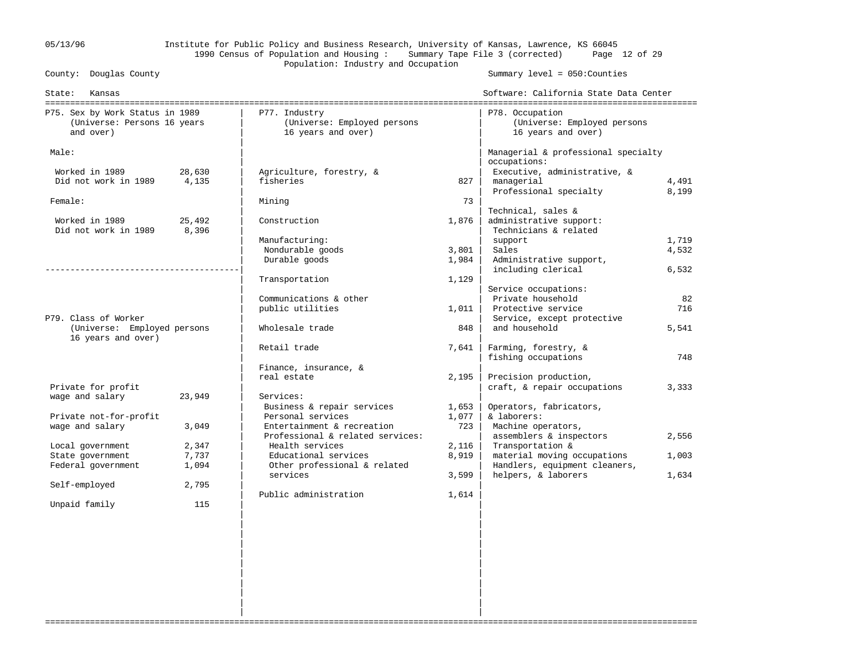## 05/13/96 Institute for Public Policy and Business Research, University of Kansas, Lawrence, KS 66045 1990 Census of Population and Housing : Summary Tape File 3 (corrected) Page 12 of 29 Population: Industry and Occupation<br>
Population: Industry and Occupation<br>
Population: Industry and Occupation

Summary level =  $050$ : Counties

| State:<br>Kansas                                                            |                 |                                                                    |       | Software: California State Data Center                               |           |
|-----------------------------------------------------------------------------|-----------------|--------------------------------------------------------------------|-------|----------------------------------------------------------------------|-----------|
| P75. Sex by Work Status in 1989<br>(Universe: Persons 16 years<br>and over) |                 | P77. Industry<br>(Universe: Employed persons<br>16 years and over) |       | P78. Occupation<br>(Universe: Employed persons<br>16 years and over) |           |
|                                                                             |                 |                                                                    |       |                                                                      |           |
| Male:                                                                       |                 |                                                                    |       | Managerial & professional specialty                                  |           |
|                                                                             |                 |                                                                    |       | occupations:                                                         |           |
| Worked in 1989<br>Did not work in 1989                                      | 28,630<br>4,135 | Agriculture, forestry, &<br>fisheries                              | 827   | Executive, administrative, &<br>managerial                           | 4,491     |
|                                                                             |                 |                                                                    |       | Professional specialty                                               | 8,199     |
| Female:                                                                     |                 | Mining                                                             | 73    |                                                                      |           |
|                                                                             |                 |                                                                    |       | Technical, sales &                                                   |           |
| Worked in 1989                                                              | 25,492          | Construction                                                       | 1,876 | administrative support:                                              |           |
| Did not work in 1989                                                        | 8,396           |                                                                    |       | Technicians & related                                                |           |
|                                                                             |                 | Manufacturing:                                                     |       | support                                                              | 1,719     |
|                                                                             |                 | Nondurable goods                                                   | 3,801 | Sales                                                                | 4,532     |
|                                                                             |                 | Durable goods                                                      | 1,984 | Administrative support,                                              |           |
|                                                                             |                 |                                                                    |       | including clerical                                                   | 6,532     |
|                                                                             |                 | Transportation                                                     | 1,129 |                                                                      |           |
|                                                                             |                 | Communications & other                                             |       | Service occupations:<br>Private household                            |           |
|                                                                             |                 | public utilities                                                   | 1,011 | Protective service                                                   | 82<br>716 |
| P79. Class of Worker                                                        |                 |                                                                    |       | Service, except protective                                           |           |
| (Universe: Employed persons                                                 |                 | Wholesale trade                                                    | 848   | and household                                                        | 5,541     |
| 16 years and over)                                                          |                 |                                                                    |       |                                                                      |           |
|                                                                             |                 | Retail trade                                                       | 7,641 | Farming, forestry, &                                                 |           |
|                                                                             |                 |                                                                    |       | fishing occupations                                                  | 748       |
|                                                                             |                 | Finance, insurance, &                                              |       |                                                                      |           |
|                                                                             |                 | real estate                                                        | 2,195 | Precision production,                                                |           |
| Private for profit                                                          |                 |                                                                    |       | craft, & repair occupations                                          | 3,333     |
| wage and salary                                                             | 23,949          | Services:                                                          |       |                                                                      |           |
|                                                                             |                 | Business & repair services                                         | 1,653 | Operators, fabricators,                                              |           |
| Private not-for-profit                                                      |                 | Personal services                                                  | 1,077 | & laborers:                                                          |           |
| wage and salary                                                             | 3,049           | Entertainment & recreation                                         | 723   | Machine operators,                                                   |           |
| Local government                                                            | 2,347           | Professional & related services:<br>Health services                | 2,116 | assemblers & inspectors<br>Transportation &                          | 2,556     |
| State government                                                            | 7,737           | Educational services                                               | 8,919 | material moving occupations                                          | 1,003     |
| Federal government                                                          | 1,094           | Other professional & related                                       |       | Handlers, equipment cleaners,                                        |           |
|                                                                             |                 | services                                                           | 3,599 | helpers, & laborers                                                  | 1,634     |
| Self-employed                                                               | 2,795           |                                                                    |       |                                                                      |           |
|                                                                             |                 | Public administration                                              | 1,614 |                                                                      |           |
| Unpaid family                                                               | 115             |                                                                    |       |                                                                      |           |
|                                                                             |                 |                                                                    |       |                                                                      |           |
|                                                                             |                 |                                                                    |       |                                                                      |           |
|                                                                             |                 |                                                                    |       |                                                                      |           |
|                                                                             |                 |                                                                    |       |                                                                      |           |
|                                                                             |                 |                                                                    |       |                                                                      |           |
|                                                                             |                 |                                                                    |       |                                                                      |           |
|                                                                             |                 |                                                                    |       |                                                                      |           |

===================================================================================================================================

 | | | | | | | |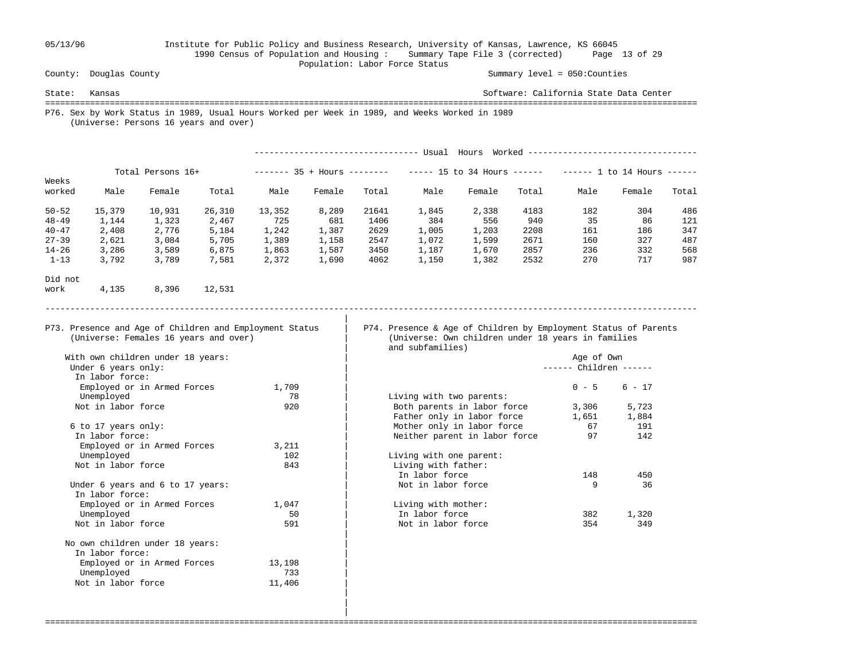## 05/13/96 Institute for Public Policy and Business Research, University of Kansas, Lawrence, KS 66045 1990 Census of Population and Housing : Summary Tape File 3 (corrected) Page 13 of 29 Population: Labor Force Status<br>
County: Douglas County

 | | | Summary level =  $050$ : Counties

State: Kansas Software: California State Data Center =================================================================================================================================== P76. Sex by Work Status in 1989, Usual Hours Worked per Week in 1989, and Weeks Worked in 1989 (Universe: Persons 16 years and over)

|                 |                                  |                                   |                                       |                                                         |        |       | -------------------------------- Usual Hours Worked --------------------------------                                  |        |       |                      |          |       |
|-----------------|----------------------------------|-----------------------------------|---------------------------------------|---------------------------------------------------------|--------|-------|-----------------------------------------------------------------------------------------------------------------------|--------|-------|----------------------|----------|-------|
|                 |                                  | Total Persons 16+                 |                                       |                                                         |        |       | ------ 35 + Hours ------- ----- 15 to 34 Hours ------ ------ 1 to 14 Hours -----                                      |        |       |                      |          |       |
| Weeks<br>worked | Male                             | Female                            | Total                                 | Male                                                    | Female | Total | Male                                                                                                                  | Female | Total | Male                 | Female   | Total |
| $50 - 52$       | 15,379                           | 10,931                            | 26,310                                | 13,352                                                  | 8,289  | 21641 | 1,845                                                                                                                 | 2,338  | 4183  | 182                  | 304      | 486   |
| $48 - 49$       | 1,144                            | 1,323                             | 2,467                                 | 725                                                     | 681    | 1406  | 384                                                                                                                   | 556    | 940   | 35                   | 86       | 121   |
| $40 - 47$       | 2,408                            | 2,776                             | 5,184                                 | 1,242                                                   | 1,387  | 2629  | 1,005                                                                                                                 | 1,203  | 2208  | 161                  | 186      | 347   |
| $27 - 39$       | 2,621                            | 3,084                             | 5,705                                 | 1,389                                                   | 1,158  | 2547  | 1,072                                                                                                                 | 1,599  | 2671  | 160                  | 327      | 487   |
| $14 - 26$       | 3,286                            | 3,589                             | 6,875                                 | 1,863                                                   | 1,587  | 3450  | 1,187                                                                                                                 | 1,670  | 2857  | 236                  | 332      | 568   |
| $1 - 13$        | 3,792                            | 3,789                             | 7,581                                 | 2,372                                                   | 1,690  | 4062  | 1,150                                                                                                                 | 1,382  | 2532  | 270                  | 717      | 987   |
| Did not         |                                  |                                   |                                       |                                                         |        |       |                                                                                                                       |        |       |                      |          |       |
| work            | 4,135                            | 8,396                             | 12,531                                |                                                         |        |       |                                                                                                                       |        |       |                      |          |       |
|                 |                                  |                                   | (Universe: Females 16 years and over) | P73. Presence and Age of Children and Employment Status |        |       | P74. Presence & Age of Children by Employment Status of Parents<br>(Universe: Own children under 18 years in families |        |       |                      |          |       |
|                 |                                  |                                   |                                       |                                                         |        |       | and subfamilies)                                                                                                      |        |       |                      |          |       |
|                 |                                  | With own children under 18 years: |                                       |                                                         |        |       |                                                                                                                       |        |       | Age of Own           |          |       |
|                 | Under 6 years only:              |                                   |                                       |                                                         |        |       |                                                                                                                       |        |       | $---$ Children $---$ |          |       |
|                 | In labor force:                  |                                   |                                       |                                                         |        |       |                                                                                                                       |        |       |                      |          |       |
|                 |                                  | Employed or in Armed Forces       |                                       | 1,709                                                   |        |       |                                                                                                                       |        |       | $0 - 5$              | $6 - 17$ |       |
|                 | Unemployed                       |                                   |                                       | 78                                                      |        |       | Living with two parents:                                                                                              |        |       |                      |          |       |
|                 | Not in labor force               |                                   |                                       | 920                                                     |        |       | Both parents in labor force                                                                                           |        |       | 3,306                | 5,723    |       |
|                 |                                  |                                   |                                       |                                                         |        |       | Father only in labor force                                                                                            |        |       | 1,651                | 1,884    |       |
|                 | 6 to 17 years only:              |                                   |                                       |                                                         |        |       | Mother only in labor force                                                                                            |        |       | 67                   | 191      |       |
|                 | In labor force:                  |                                   |                                       |                                                         |        |       | Neither parent in labor force                                                                                         |        |       | 97                   | 142      |       |
|                 |                                  | Employed or in Armed Forces       |                                       | 3,211                                                   |        |       |                                                                                                                       |        |       |                      |          |       |
|                 | Unemployed<br>Not in labor force |                                   |                                       | 102                                                     |        |       | Living with one parent:                                                                                               |        |       |                      |          |       |
|                 |                                  |                                   |                                       | 843                                                     |        |       | Living with father:<br>In labor force                                                                                 |        |       | 148                  | 450      |       |
|                 |                                  | Under 6 years and 6 to 17 years:  |                                       |                                                         |        |       | Not in labor force                                                                                                    |        |       | 9                    | 36       |       |
|                 | In labor force:                  |                                   |                                       |                                                         |        |       |                                                                                                                       |        |       |                      |          |       |
|                 |                                  | Employed or in Armed Forces       |                                       | 1,047                                                   |        |       | Living with mother:                                                                                                   |        |       |                      |          |       |
|                 | Unemployed                       |                                   |                                       | 50                                                      |        |       | In labor force                                                                                                        |        |       | 382                  | 1,320    |       |
|                 | Not in labor force               |                                   |                                       | 591                                                     |        |       | Not in labor force                                                                                                    |        |       | 354                  | 349      |       |
|                 |                                  |                                   |                                       |                                                         |        |       |                                                                                                                       |        |       |                      |          |       |
|                 | In labor force:                  | No own children under 18 years:   |                                       |                                                         |        |       |                                                                                                                       |        |       |                      |          |       |
|                 |                                  | Employed or in Armed Forces       |                                       | 13,198                                                  |        |       |                                                                                                                       |        |       |                      |          |       |
|                 | Unemployed                       |                                   |                                       | 733                                                     |        |       |                                                                                                                       |        |       |                      |          |       |
|                 | Not in labor force               |                                   |                                       | 11,406                                                  |        |       |                                                                                                                       |        |       |                      |          |       |
|                 |                                  |                                   |                                       |                                                         |        |       |                                                                                                                       |        |       |                      |          |       |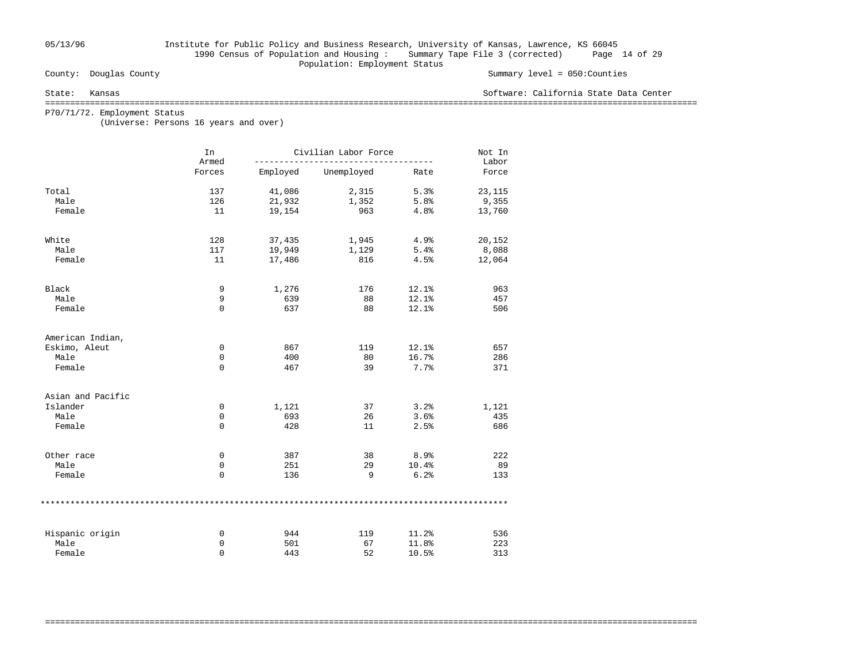## 05/13/96 Institute for Public Policy and Business Research, University of Kansas, Lawrence, KS 66045 1990 Census of Population and Housing : Summary Tape File 3 (corrected) Page 14 of 29 Population: Employment Status<br>
County: Douglas County

#### Summary level =  $050$ : Counties

#### State: Kansas Software: California State Data Center

===================================================================================================================================

===================================================================================================================================

P70/71/72. Employment Status

(Universe: Persons 16 years and over)

|                   | In<br>Armed |          | Civilian Labor Force |       | Not In<br>Labor |
|-------------------|-------------|----------|----------------------|-------|-----------------|
|                   | Forces      | Employed | Unemployed           | Rate  | Force           |
| Total             | 137         | 41,086   | 2,315                | 5.3%  | 23,115          |
| Male              | 126         | 21,932   | 1,352                | 5.8%  | 9,355           |
| Female            | 11          | 19,154   | 963                  | 4.8%  | 13,760          |
| White             | 128         | 37,435   | 1,945                | 4.9%  | 20,152          |
| Male              | 117         | 19,949   | 1,129                | 5.4%  | 8,088           |
| Female            | 11          | 17,486   | 816                  | 4.5%  | 12,064          |
| Black             | 9           | 1,276    | 176                  | 12.1% | 963             |
| Male              | 9           | 639      | 88                   | 12.1% | 457             |
| Female            | $\mathbf 0$ | 637      | 88                   | 12.1% | 506             |
| American Indian,  |             |          |                      |       |                 |
| Eskimo, Aleut     | 0           | 867      | 119                  | 12.1% | 657             |
| Male              | 0           | 400      | 80                   | 16.7% | 286             |
| Female            | $\Omega$    | 467      | 39                   | 7.7%  | 371             |
| Asian and Pacific |             |          |                      |       |                 |
| Islander          | 0           | 1,121    | 37                   | 3.2%  | 1,121           |
| Male              | 0           | 693      | 26                   | 3.6%  | 435             |
| Female            | 0           | 428      | 11                   | 2.5%  | 686             |
| Other race        | 0           | 387      | 38                   | 8.9%  | 222             |
| Male              | $\mathbf 0$ | 251      | 29                   | 10.4% | 89              |
| Female            | $\mathbf 0$ | 136      | 9                    | 6.2%  | 133             |
|                   |             |          |                      |       |                 |
| Hispanic origin   | 0           | 944      | 119                  | 11.2% | 536             |
| Male              | 0           | 501      | 67                   | 11.8% | 223             |
| Female            | $\Omega$    | 443      | 52                   | 10.5% | 313             |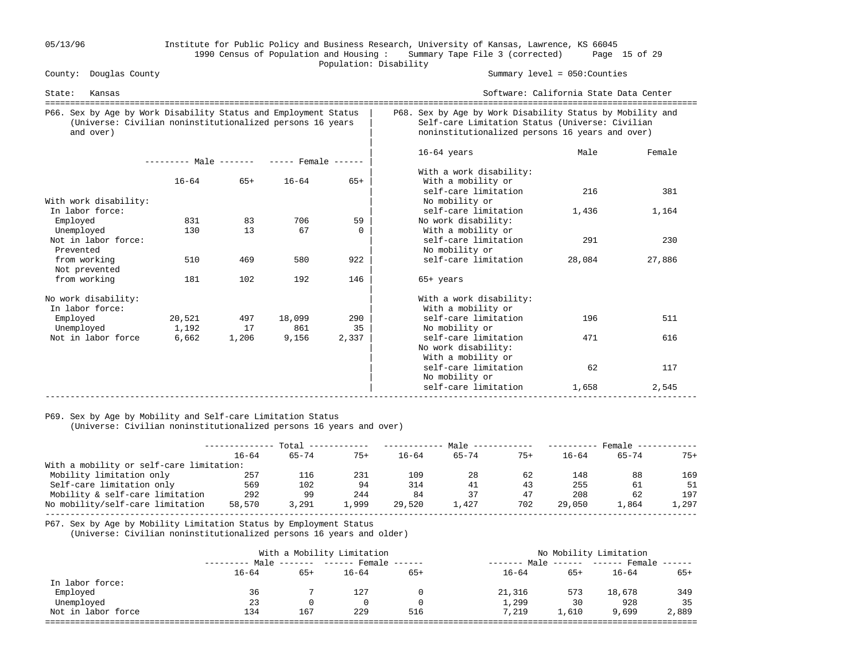## 05/13/96 Institute for Public Policy and Business Research, University of Kansas, Lawrence, KS 66045 1990 Census of Population and Housing : Summary Tape File 3 (corrected) Page 15 of 29 Population: Disability<br>
County: Douglas County

Summary level =  $050$ : Counties

| State:<br>Kansas                                                                                                                          |                                            |             |              |             |                                                                                     | Software: California State Data Center<br>===========================                                                                                           |        |  |  |  |
|-------------------------------------------------------------------------------------------------------------------------------------------|--------------------------------------------|-------------|--------------|-------------|-------------------------------------------------------------------------------------|-----------------------------------------------------------------------------------------------------------------------------------------------------------------|--------|--|--|--|
| P66. Sex by Age by Work Disability Status and Employment Status<br>(Universe: Civilian noninstitutionalized persons 16 years<br>and over) |                                            |             |              |             |                                                                                     | P68. Sex by Age by Work Disability Status by Mobility and<br>Self-care Limitation Status (Universe: Civilian<br>noninstitutionalized persons 16 years and over) |        |  |  |  |
|                                                                                                                                           | --------- Male ------- ----- Female ------ |             |              |             | $16-64$ years                                                                       | Male                                                                                                                                                            | Female |  |  |  |
|                                                                                                                                           | $16 - 64$                                  | $65+$       | $16 - 64$    | $65+$       | With a work disability:<br>With a mobility or<br>self-care limitation               | 216                                                                                                                                                             | 381    |  |  |  |
| With work disability:                                                                                                                     |                                            |             |              |             | No mobility or                                                                      |                                                                                                                                                                 |        |  |  |  |
| In labor force:<br>Employed                                                                                                               | 831                                        | 83          | 706          | 59          | self-care limitation<br>No work disability:                                         | 1,436                                                                                                                                                           | 1,164  |  |  |  |
| Unemployed                                                                                                                                | 130                                        | 13          | 67           | $\Omega$    | With a mobility or                                                                  |                                                                                                                                                                 |        |  |  |  |
| Not in labor force:<br>Prevented                                                                                                          |                                            |             |              |             | self-care limitation<br>No mobility or                                              | 291                                                                                                                                                             | 230    |  |  |  |
| from working<br>Not prevented                                                                                                             | 510                                        | 469         | 580          | 922         | self-care limitation                                                                | 28,084                                                                                                                                                          | 27,886 |  |  |  |
| from working                                                                                                                              | 181                                        | 102         | 192          | 146         | $65+$ years                                                                         |                                                                                                                                                                 |        |  |  |  |
| No work disability:<br>In labor force:                                                                                                    |                                            |             |              |             | With a work disability:<br>With a mobility or                                       |                                                                                                                                                                 |        |  |  |  |
| Employed                                                                                                                                  | 20,521                                     | 497         | 18,099       | 290         | self-care limitation                                                                | 196                                                                                                                                                             | 511    |  |  |  |
| Unemployed<br>Not in labor force                                                                                                          | 1,192<br>6,662                             | 17<br>1,206 | 861<br>9,156 | 35<br>2,337 | No mobility or<br>self-care limitation<br>No work disability:<br>With a mobility or | 471                                                                                                                                                             | 616    |  |  |  |
|                                                                                                                                           |                                            |             |              |             | self-care limitation<br>No mobility or                                              | 62                                                                                                                                                              | 117    |  |  |  |
|                                                                                                                                           |                                            |             |              |             | self-care limitation                                                                | 1,658                                                                                                                                                           | 2,545  |  |  |  |

## P69. Sex by Age by Mobility and Self-care Limitation Status

(Universe: Civilian noninstitutionalized persons 16 years and over)

|                                          | Total     |           |       | Male -    |           |       | Female    |           |       |
|------------------------------------------|-----------|-----------|-------|-----------|-----------|-------|-----------|-----------|-------|
|                                          | $16 - 64$ | $65 - 74$ | $75+$ | $16 - 64$ | $65 - 74$ | $75+$ | $16 - 64$ | $65 - 74$ | $75+$ |
| With a mobility or self-care limitation: |           |           |       |           |           |       |           |           |       |
| Mobility limitation only                 | 257       | 116       | 231   | 109       | 28        | 62    | 148       | 88        | 169   |
| Self-care limitation only                | 569       | 102       | 94    | 314       | 41        | 43    | 255       | 61        | 51    |
| Mobility & self-care limitation          | 292       | 99        | 244   | 84        | 37        | 47    | 208       | 62        | 197   |
| No mobility/self-care limitation         | 58,570    | 3,291     | L.999 | 29,520    | 1,427     | 702   | 29,050    | 1,864     | 1,297 |
|                                          |           |           |       |           |           |       |           |           |       |

P67. Sex by Age by Mobility Limitation Status by Employment Status

(Universe: Civilian noninstitutionalized persons 16 years and older)

| With a Mobility Limitation |       |           |       | No Mobility Limitation            |       |           |                                |  |
|----------------------------|-------|-----------|-------|-----------------------------------|-------|-----------|--------------------------------|--|
|                            |       |           |       |                                   |       |           |                                |  |
| $16 - 64$                  | $65+$ | $16 - 64$ | $65+$ | $16 - 64$                         | $65+$ | $16 - 64$ | 65+                            |  |
|                            |       |           |       |                                   |       |           |                                |  |
| 36                         |       | 127       |       | 21,316                            | 573   | 18,678    | 349                            |  |
| 23                         |       |           |       | 1,299                             | 30    | 928       | 35                             |  |
| 134                        | 167   | 229       | 516   | 7,219                             | 1,610 | 9,699     | 2,889                          |  |
|                            |       |           |       | Male ------- ------ Female ------ |       | Male      | $--- - - - --- From the --- -$ |  |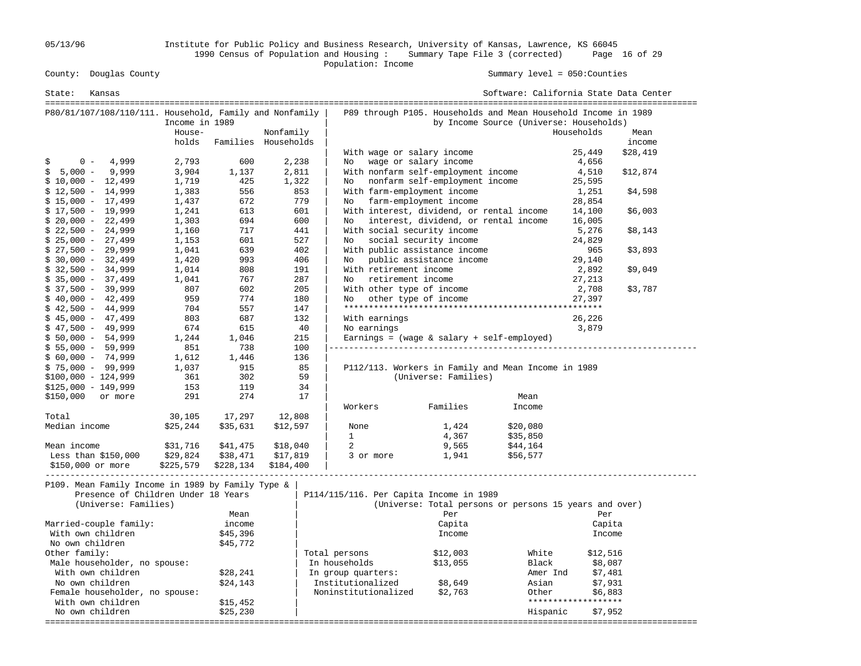05/13/96 Institute for Public Policy and Business Research, University of Kansas, Lawrence, KS 66045 1990 Census of Population and Housing : Summary Tape File 3 (corrected) Page 16 of 29

Population: Income

Summary level =  $050$ : Counties

| State:<br>Kansas                                                                                                 |                |                     |           |                                           |                                | Software: California State Data Center                                                                    |                     |          |
|------------------------------------------------------------------------------------------------------------------|----------------|---------------------|-----------|-------------------------------------------|--------------------------------|-----------------------------------------------------------------------------------------------------------|---------------------|----------|
| P80/81/107/108/110/111. Household, Family and Nonfamily                                                          | Income in 1989 |                     |           |                                           |                                | P89 through P105. Households and Mean Household Income in 1989<br>by Income Source (Universe: Households) |                     |          |
|                                                                                                                  | House-         |                     | Nonfamily |                                           |                                |                                                                                                           | Households          | Mean     |
|                                                                                                                  | holds          | Families Households |           |                                           |                                |                                                                                                           |                     | income   |
|                                                                                                                  |                |                     |           | With wage or salary income                |                                |                                                                                                           | 25,449              | \$28,419 |
| 4,999<br>$0 -$<br>S                                                                                              | 2,793          | 600                 | 2,238     | No                                        | wage or salary income          |                                                                                                           | 4,656               |          |
| $$5,000 -$<br>9,999                                                                                              | 3,904          | 1,137               | 2,811     | With nonfarm self-employment income       |                                |                                                                                                           | 4,510               | \$12,874 |
| $$10,000 - 12,499$                                                                                               | 1,719          | 425                 | 1,322     | No                                        | nonfarm self-employment income |                                                                                                           | 25,595              |          |
| $$12,500 - 14,999$                                                                                               | 1,383          | 556                 | 853       | With farm-employment income               |                                |                                                                                                           | 1,251               | \$4,598  |
| $$15,000 - 17,499$                                                                                               | 1,437          | 672                 | 779       | No.                                       | farm-employment income         |                                                                                                           | 28,854              |          |
| $$17,500 - 19,999$                                                                                               | 1,241          | 613                 | 601       | With interest, dividend, or rental income |                                |                                                                                                           | 14,100              | \$6,003  |
| $$20,000 - 22,499$                                                                                               | 1,303          | 694                 | 600       | No                                        |                                | interest, dividend, or rental income                                                                      | 16,005              |          |
| $$22,500 - 24,999$                                                                                               | 1,160          | 717                 | 441       | With social security income               |                                |                                                                                                           | 5,276               | \$8,143  |
| $$25,000 - 27,499$                                                                                               | 1,153          | 601                 | 527       | No                                        | social security income         |                                                                                                           | 24,829              |          |
| $$27,500 - 29,999$                                                                                               | 1,041          | 639                 | 402       | With public assistance income             |                                |                                                                                                           | 965                 | \$3,893  |
| $$30,000 - 32,499$                                                                                               | 1,420          | 993                 | 406       | No                                        | public assistance income       |                                                                                                           | 29,140              |          |
| $$32,500 - 34,999$                                                                                               | 1,014          | 808                 | 191       | With retirement income                    |                                |                                                                                                           | 2,892               | \$9,049  |
| $$35,000 - 37,499$                                                                                               | 1,041          | 767                 | 287       | retirement income<br>No                   |                                |                                                                                                           | 27,213              |          |
| $$37,500 - 39,999$                                                                                               | 807            | 602                 | 205       | With other type of income                 |                                |                                                                                                           | 2,708               | \$3,787  |
| $$40,000 - 42,499$                                                                                               | 959            | 774                 | 180       | No                                        | other type of income           |                                                                                                           | 27,397              |          |
| $$42,500 - 44,999$                                                                                               | 704            | 557                 | 147       |                                           |                                |                                                                                                           |                     |          |
| $$45,000 - 47,499$                                                                                               | 803            | 687                 | 132       | With earnings                             |                                |                                                                                                           | 26,226              |          |
| $$47,500 - 49,999$                                                                                               | 674            | 615                 | -40       | No earnings                               |                                |                                                                                                           | 3,879               |          |
| $$50,000 - 54,999$                                                                                               | 1,244          | 1,046               | 215       |                                           |                                | Earnings = $(wage & salary + self-employed)$                                                              |                     |          |
| $$5,000 - 59,999$                                                                                                | 851            | 738                 | 100       |                                           |                                |                                                                                                           |                     |          |
| $$60,000 - 74,999$                                                                                               | 1,612          | 1,446<br>915        | 136<br>85 |                                           |                                |                                                                                                           |                     |          |
| $$75,000 - 99,999$                                                                                               | 1,037<br>361   | 302                 | 59        |                                           | (Universe: Families)           | P112/113. Workers in Family and Mean Income in 1989                                                       |                     |          |
| $$100,000 - 124,999$<br>$$125,000 - 149,999$                                                                     | 153            | 119                 | 34        |                                           |                                |                                                                                                           |                     |          |
| or more                                                                                                          | 291            | 274                 | 17        |                                           |                                | Mean                                                                                                      |                     |          |
| \$150,000                                                                                                        |                |                     |           | Workers                                   | Families                       | Income                                                                                                    |                     |          |
| Total                                                                                                            | 30,105         | 17,297              | 12,808    |                                           |                                |                                                                                                           |                     |          |
| Median income                                                                                                    | \$25,244       | \$35,631            | \$12,597  | None                                      | 1,424                          | \$20,080                                                                                                  |                     |          |
|                                                                                                                  |                |                     |           | $\mathbf{1}$                              | 4,367                          | \$35,850                                                                                                  |                     |          |
| Mean income                                                                                                      | \$31,716       | \$41,475            | \$18,040  | 2                                         | 9,565                          | \$44,164                                                                                                  |                     |          |
| Less than $$150,000$                                                                                             | \$29,824       | \$38,471            | \$17,819  | 3 or more                                 | 1,941                          | \$56,577                                                                                                  |                     |          |
| \$150,000 or more                                                                                                | \$225,579      | \$228,134           | \$184,400 |                                           |                                |                                                                                                           |                     |          |
| P109. Mean Family Income in 1989 by Family Type &<br>Presence of Children Under 18 Years<br>(Universe: Families) |                |                     |           | P114/115/116. Per Capita Income in 1989   |                                | (Universe: Total persons or persons 15 years and over)                                                    |                     |          |
|                                                                                                                  |                | Mean                |           |                                           | Per                            |                                                                                                           | Per                 |          |
| Married-couple family:                                                                                           |                | income              |           |                                           | Capita                         |                                                                                                           | Capita              |          |
| With own children                                                                                                |                | \$45,396            |           |                                           | Income                         |                                                                                                           | Income              |          |
| No own children                                                                                                  |                | \$45,772            |           |                                           |                                |                                                                                                           |                     |          |
| Other family:                                                                                                    |                |                     |           | Total persons                             | \$12,003                       | White                                                                                                     | \$12,516            |          |
| Male householder, no spouse:                                                                                     |                |                     |           | In households                             | \$13,055                       | Black                                                                                                     | \$8,087             |          |
| With own children                                                                                                |                | \$28,241            |           | In group quarters:                        |                                | Amer Ind                                                                                                  | \$7,481             |          |
| No own children                                                                                                  |                | \$24,143            |           | Institutionalized                         | \$8,649                        | Asian                                                                                                     | \$7,931             |          |
| Female householder, no spouse:                                                                                   |                |                     |           | Noninstitutionalized                      | \$2,763                        | Other                                                                                                     | \$6,883             |          |
| With own children                                                                                                |                | \$15,452            |           |                                           |                                |                                                                                                           | ******************* |          |
| No own children                                                                                                  |                | \$25,230            |           |                                           |                                | Hispanic                                                                                                  | \$7,952             |          |
|                                                                                                                  |                |                     |           |                                           |                                |                                                                                                           |                     |          |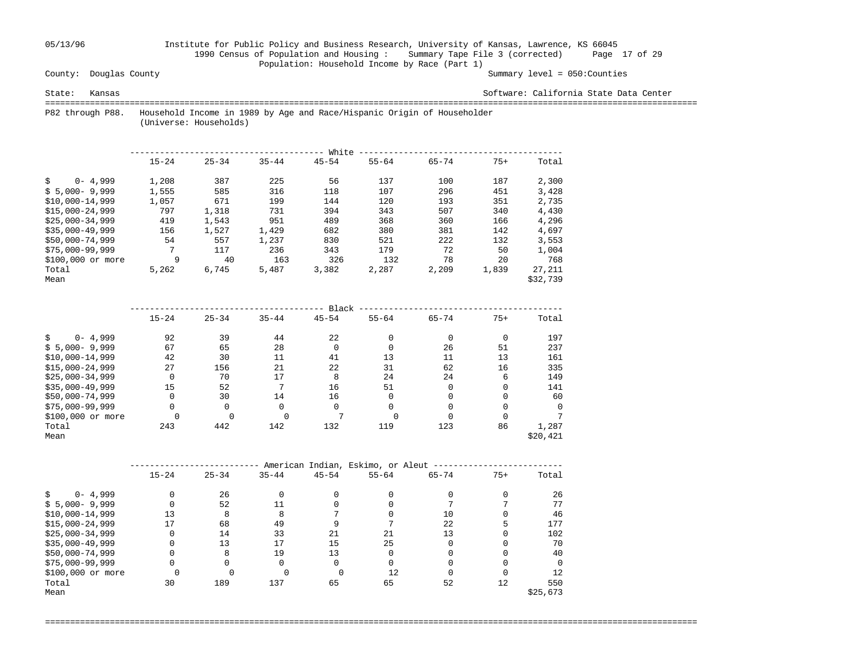## 05/13/96 Institute for Public Policy and Business Research, University of Kansas, Lawrence, KS 66045 1990 Census of Population and Housing : Summary Tape File 3 (corrected) Page 17 of 29 Population: Household Income by Race (Part 1)<br>County: Douglas County

#### Summary level =  $050$ : Counties

State: Kansas Software: California State Data Center

 =================================================================================================================================== P82 through P88. Household Income in 1989 by Age and Race/Hispanic Origin of Householder

(Universe: Households)

|                    | White     |           |           |           |           |           |       |          |  |  |
|--------------------|-----------|-----------|-----------|-----------|-----------|-----------|-------|----------|--|--|
|                    | $15 - 24$ | $25 - 34$ | $35 - 44$ | $45 - 54$ | $55 - 64$ | $65 - 74$ | $75+$ | Total    |  |  |
| $0 - 4,999$<br>\$  | 1,208     | 387       | 225       | 56        | 137       | 100       | 187   | 2,300    |  |  |
| $$5,000-9,999$     | 1,555     | 585       | 316       | 118       | 107       | 296       | 451   | 3,428    |  |  |
| $$10.000-14.999$   | 1,057     | 671       | 199       | 144       | 120       | 193       | 351   | 2,735    |  |  |
| $$15.000 - 24.999$ | 797       | 1,318     | 731       | 394       | 343       | 507       | 340   | 4,430    |  |  |
| $$25.000-34.999$   | 419       | 1,543     | 951       | 489       | 368       | 360       | 166   | 4,296    |  |  |
| $$35,000-49,999$   | 156       | 1,527     | 1,429     | 682       | 380       | 381       | 142   | 4,697    |  |  |
| $$50.000 - 74.999$ | 54        | 557       | 1,237     | 830       | 521       | 222       | 132   | 3,553    |  |  |
| $$75,000-99,999$   | 7         | 117       | 236       | 343       | 179       | 72        | 50    | 1,004    |  |  |
| \$100,000 or more  | 9         | 40        | 163       | 326       | 132       | 78        | 20    | 768      |  |  |
| Total              | 5,262     | 6,745     | 5,487     | 3,382     | 2,287     | 2,209     | 1,839 | 27,211   |  |  |
| Mean               |           |           |           |           |           |           |       | \$32,739 |  |  |

|                   | Black     |           |           |           |           |           |          |          |  |  |  |
|-------------------|-----------|-----------|-----------|-----------|-----------|-----------|----------|----------|--|--|--|
|                   | $15 - 24$ | $25 - 34$ | $35 - 44$ | $45 - 54$ | $55 - 64$ | $65 - 74$ | $75+$    | Total    |  |  |  |
| $0 - 4,999$       | 92        | 39        | 44        | 22        |           |           | $\Omega$ | 197      |  |  |  |
| $$5,000-9,999$    | 67        | 65        | 28        | 0         |           | 26        | 51       | 237      |  |  |  |
| $$10,000-14,999$  | 42        | 30        | 11        | 41        | 13        | 11        | 13       | 161      |  |  |  |
| $$15,000-24,999$  | 27        | 156       | 21        | 22        | 31        | 62        | 16       | 335      |  |  |  |
| $$25,000-34,999$  | $\Omega$  | 70        | 17        | 8         | 24        | 24        | 6        | 149      |  |  |  |
| $$35,000-49,999$  | 15        | 52        | 7         | 16        | 51        |           |          | 141      |  |  |  |
| $$50,000-74,999$  | 0         | 30        | 14        | 16        |           |           | $\Omega$ | 60       |  |  |  |
| $$75,000-99,999$  | $\Omega$  | 0         | 0         | $\Omega$  |           |           | O        | $\Omega$ |  |  |  |
| \$100,000 or more |           |           |           |           | U         |           |          |          |  |  |  |
| Total             | 243       | 442       | 142       | 132       | 119       | 123       | 86       | 1,287    |  |  |  |
| Mean              |           |           |           |           |           |           |          | \$20,421 |  |  |  |

|                   | American Indian, Eskimo, or Aleut |           |           |              |           |           |       |          |  |  |
|-------------------|-----------------------------------|-----------|-----------|--------------|-----------|-----------|-------|----------|--|--|
|                   | $15 - 24$                         | $25 - 34$ | $35 - 44$ | $45 - 54$    | $55 - 64$ | $65 - 74$ | $75+$ | Total    |  |  |
| $0 - 4,999$       | $\Omega$                          | 26        |           |              |           |           |       | 26       |  |  |
| $$5,000-9,999$    |                                   | 52        |           |              |           |           |       | 77       |  |  |
| $$10,000-14,999$  | 13                                | 8         | 8         |              |           | 10        |       | 46       |  |  |
| $$15,000-24,999$  | 17                                | 68        | 49        |              |           | 22        |       | 177      |  |  |
| $$25,000-34,999$  | 0                                 | 14        | 33        | 21           | 21        | 13        |       | 102      |  |  |
| $$35,000-49,999$  | U                                 | 13        | 17        | 15           | 25        |           |       | 70       |  |  |
| \$50,000-74,999   |                                   | 8         | 19        | 13           |           |           |       | 40       |  |  |
| $$75,000-99,999$  | 0                                 |           |           | <sup>0</sup> |           |           |       | $\cap$   |  |  |
| \$100,000 or more |                                   |           |           |              | 12        |           |       | 12       |  |  |
| Total             | 30                                | 189       | 137       | 65           | 65        | 52        | 12    | 550      |  |  |
| Mean              |                                   |           |           |              |           |           |       | \$25,673 |  |  |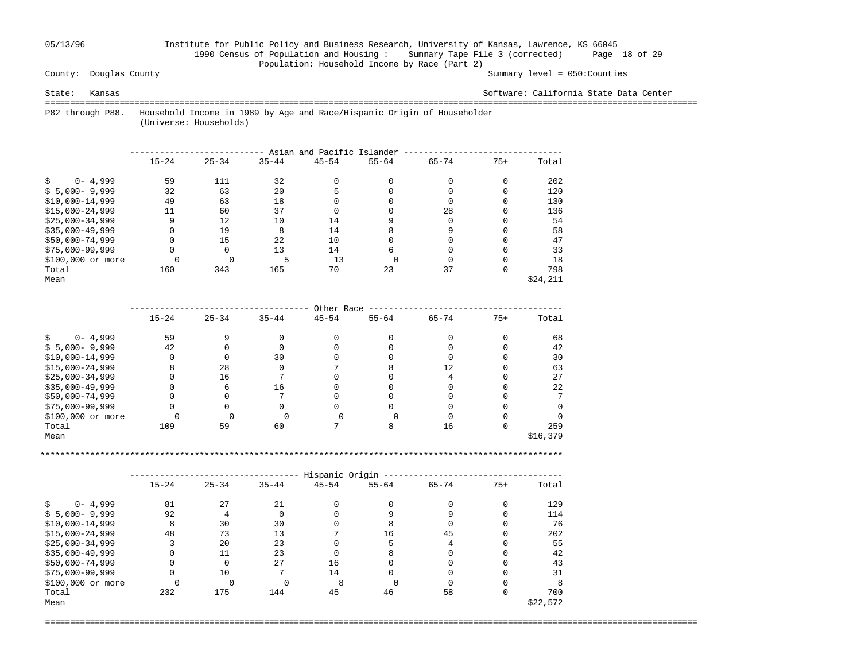## 05/13/96 Institute for Public Policy and Business Research, University of Kansas, Lawrence, KS 66045 1990 Census of Population and Housing : Summary Tape File 3 (corrected) Page 18 of 29 Population: Household Income by Race (Part 2)<br>County: Douglas County

#### Summary level =  $050$ : Counties

State: Kansas Software: California State Data Center

===================================================================================================================================

 P82 through P88. Household Income in 1989 by Age and Race/Hispanic Origin of Householder (Universe: Households)

|                   | Asian and Pacific Islander |           |           |           |           |           |       |          |  |  |  |
|-------------------|----------------------------|-----------|-----------|-----------|-----------|-----------|-------|----------|--|--|--|
|                   | $15 - 24$                  | $25 - 34$ | $35 - 44$ | $45 - 54$ | $55 - 64$ | $65 - 74$ | $75+$ | Total    |  |  |  |
| $0 - 4,999$       | 59                         | 111       | 32        |           |           |           |       | 202      |  |  |  |
| $$5,000-9,999$    | 32                         | 63        | 20        |           |           |           |       | 120      |  |  |  |
| $$10,000-14,999$  | 49                         | 63        | 18        |           |           |           |       | 130      |  |  |  |
| $$15,000-24,999$  | 11                         | 60        | 37        |           |           | 28        |       | 136      |  |  |  |
| $$25,000-34,999$  | 9                          | 12        | 10        | 14        |           |           |       | 54       |  |  |  |
| $$35,000-49,999$  | 0                          | 19        | 8         | 14        |           |           |       | 58       |  |  |  |
| $$50,000-74,999$  |                            | 15        | 22        | 10        |           |           |       | 47       |  |  |  |
| $$75,000-99,999$  | $\Omega$                   | $\Omega$  | 13        | 14        |           |           |       | 33       |  |  |  |
| \$100,000 or more |                            |           |           | 13        |           |           |       | 18       |  |  |  |
| Total             | 160                        | 343       | 165       | 70        | 23        | 37        |       | 798      |  |  |  |
| Mean              |                            |           |           |           |           |           |       | \$24,211 |  |  |  |

|                   |           |           |           | Other Race |           |                   |       |          |
|-------------------|-----------|-----------|-----------|------------|-----------|-------------------|-------|----------|
|                   | $15 - 24$ | $25 - 34$ | $35 - 44$ | $45 - 54$  | $55 - 64$ | $65 - 74$         | $75+$ | Total    |
| $0 - 4,999$       | 59        |           |           |            |           |                   |       | 68       |
| $$5,000-9,999$    | 42        |           |           |            |           |                   |       | 42       |
| $$10,000-14,999$  |           |           | 30        |            |           |                   |       | 30       |
| $$15,000-24,999$  | 8         | 28        |           |            |           | $12 \overline{ }$ |       | 63       |
| $$25,000-34,999$  |           | 16        |           |            |           |                   |       | 27       |
| $$35,000-49,999$  |           |           | 16        |            |           |                   |       | 22       |
| \$50,000-74,999   |           |           |           |            |           |                   |       |          |
| $$75,000-99,999$  |           |           |           |            |           |                   |       |          |
| \$100,000 or more |           |           |           |            |           |                   |       |          |
| Total             | 109       | 59        | 60        |            |           | 16                |       | 259      |
| Mean              |           |           |           |            |           |                   |       | \$16,379 |

\*\*\*\*\*\*\*\*\*\*\*\*\*\*\*\*\*\*\*\*\*\*\*\*\*\*\*\*\*\*\*\*\*\*\*\*\*\*\*\*\*\*\*\*\*\*\*\*\*\*\*\*\*\*\*\*\*\*\*\*\*\*\*\*\*\*\*\*\*\*\*\*\*\*\*\*\*\*\*\*\*\*\*\*\*\*\*\*\*\*\*\*\*\*\*\*\*\*\*\*\*\*\*\*\*

|                   |           |           |           | Hispanic Origin |           |           |       |          |
|-------------------|-----------|-----------|-----------|-----------------|-----------|-----------|-------|----------|
|                   | $15 - 24$ | $25 - 34$ | $35 - 44$ | $45 - 54$       | $55 - 64$ | $65 - 74$ | $75+$ | Total    |
| $0 - 4,999$       | 81        | 27        | 21        |                 |           |           |       | 129      |
| $$5,000-9,999$    | 92        |           |           |                 |           |           |       | 114      |
| $$10,000-14,999$  | 8         | 30        | 30        |                 | 8         |           |       | 76       |
| $$15,000-24,999$  | 48        | 73        | 13        |                 | 16        | 45        |       | 202      |
| $$25,000-34,999$  | 3         | 20        | 23        |                 |           |           |       | 55       |
| $$35,000-49,999$  | 0         | 11        | 23        |                 | 8         |           |       | 42       |
| $$50,000-74,999$  | 0         | $\Omega$  | 27        | 16              |           |           |       | 43       |
| $$75,000-99,999$  | 0         | 10        |           | 14              |           |           |       | 31       |
| \$100,000 or more |           |           |           | 8               |           |           |       |          |
| Total             | 232       | 175       | 144       | 45              | 46        | 58        |       | 700      |
| Mean              |           |           |           |                 |           |           |       | \$22,572 |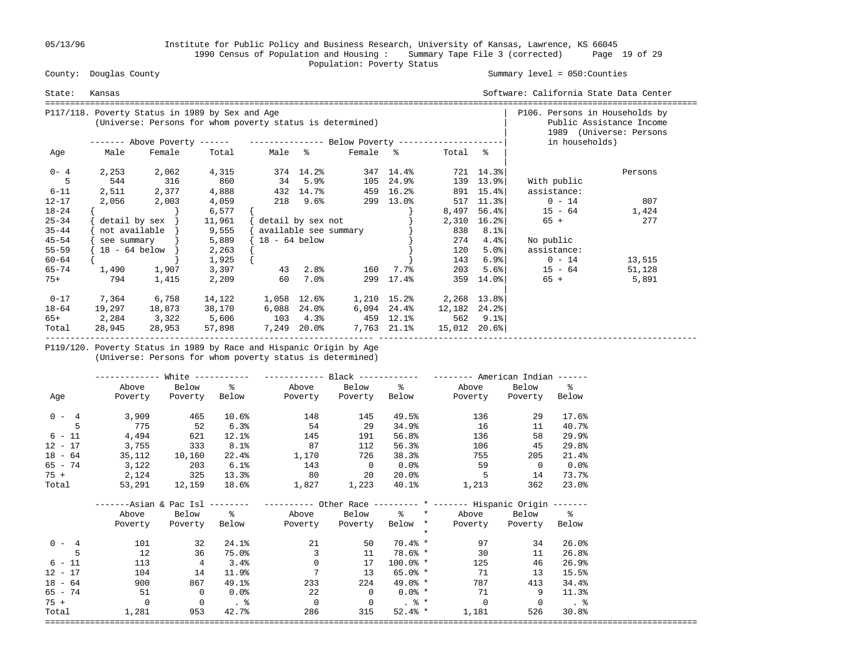05/13/96 Institute for Public Policy and Business Research, University of Kansas, Lawrence, KS 66045 1990 Census of Population and Housing : Summary Tape File 3 (corrected) Page 19 of 29 County: Douglas County (2009) 2012 2014 2014 2014 2014 2015 2014 2014 2014 2015 2016 2017 2018 2019 2014 2015 2016 2017 2018 2017 2018 2019 2014 2015 2016 2017 2018 2019 2014 2015 2016 2017 2018 2017 2018 2019 2017 2017 20

#### Summary level =  $050$ : Counties

| State:    | Kansas |                                                                                                              |           |                   |             |                       |             |                         |                           | Software: California State Data Center |                                                     |
|-----------|--------|--------------------------------------------------------------------------------------------------------------|-----------|-------------------|-------------|-----------------------|-------------|-------------------------|---------------------------|----------------------------------------|-----------------------------------------------------|
|           |        | P117/118. Poverty Status in 1989 by Sex and Age<br>(Universe: Persons for whom poverty status is determined) |           |                   |             |                       |             |                         |                           | P106. Persons in Households by         | Public Assistance Income<br>1989 (Universe: Persons |
|           |        | ------- Above Poverty ------ ---------------- Below Poverty --------------------                             |           |                   |             |                       |             |                         |                           | in households)                         |                                                     |
| Age       | Male   | Female                                                                                                       | Total     | Male %            |             | Female %              |             | Total %                 |                           |                                        |                                                     |
| $0 - 4$   | 2,253  | 2,062                                                                                                        | 4,315     |                   | 374 14.2%   |                       | 347 14.4%   |                         | 721 14.3%                 |                                        | Persons                                             |
| 5         | 544    | 316                                                                                                          | 860       | $34$ 5.9%         |             | 105                   | 24.9%       |                         | 139 13.9%                 | With public                            |                                                     |
| $6 - 11$  |        | 2,511 2,377                                                                                                  | 4,888     | 432 14.7%         |             |                       | 459 16.2%   |                         | 891 15.4%                 | assistance:                            |                                                     |
| $12 - 17$ | 2,056  | 2,003                                                                                                        | 4,059     |                   | 218 9.6%    |                       | 299 13.0%   |                         | $517$ $11.3$ <sup>8</sup> | $0 - 14$                               | 807                                                 |
| $18 - 24$ |        |                                                                                                              | 6,577     |                   |             |                       |             | 8,497                   | $56.4$ $ $                | $15 - 64$                              | 1,424                                               |
| $25 - 34$ |        | $\text{detail by sex }$                                                                                      | 11,961    | detail by sex not |             |                       |             | 2,310                   | $16.2$ $8$                | $65 +$                                 | 277                                                 |
| $35 - 44$ |        | not available                                                                                                | 9,555     |                   |             | available see summary |             | 838                     | 8.1%                      |                                        |                                                     |
| $45 - 54$ |        | see summary }                                                                                                | 5,889     | $18 - 64$ below   |             |                       |             | 274                     | 4.4%                      | No public                              |                                                     |
| $55 - 59$ |        | $18 - 64$ below }                                                                                            | 2,263     |                   |             |                       |             | 120                     | $5.0$ <sup>8</sup>        | assistance:                            |                                                     |
| $60 - 64$ |        |                                                                                                              | 1,925     |                   |             |                       |             | 143                     | $6.9$ <sup>8</sup>        | $0 - 14$                               | 13,515                                              |
| 65-74     |        | 1,490 1,907                                                                                                  |           | 3,397 43 2.8%     |             | 160                   | 7.7%        | 203                     | 5.6%                      | $15 - 64$                              | 51,128                                              |
| $75+$     | 794    | 1,415                                                                                                        | 2,209     | 60                | $7.0\%$     | 299                   | 17.4%       | 359                     | 14.0%                     | $65 +$                                 | 5,891                                               |
| $0 - 17$  | 7,364  | 6,758                                                                                                        | 14,122    | 1,058 12.6%       |             |                       |             | 1,210 15.2% 2,268 13.8% |                           |                                        |                                                     |
| 18-64     | 19,297 | 18,873                                                                                                       | 38,170    |                   | 6,088 24.0% |                       | 6,094 24.4% | 12,182                  | 24.2%                     |                                        |                                                     |
| 65+       | 2,284  | 3,322                                                                                                        | 5,606 103 |                   | 4.3%        |                       | 459 12.1%   | 562                     | 9.1%                      |                                        |                                                     |
| Total     | 28,945 | 28,953                                                                                                       | 57,898    | 7,249             | 20.0%       |                       | 7,763 21.1% | 15,012                  | $20.6$ °                  |                                        |                                                     |

 P119/120. Poverty Status in 1989 by Race and Hispanic Origin by Age (Universe: Persons for whom poverty status is determined)

|           |              |                |          | ------------- White ----------- ------------ Black ------------ -------- American Indian ------  |                |             |                       |                       |                      |
|-----------|--------------|----------------|----------|--------------------------------------------------------------------------------------------------|----------------|-------------|-----------------------|-----------------------|----------------------|
|           | Above        |                | Below %  |                                                                                                  |                |             | Above Below % Above   | Below %               |                      |
| Age       | Poverty      | Poverty        |          | Below Poverty Poverty Below Poverty Poverty Below                                                |                |             |                       |                       |                      |
| $0 - 4$   | 3,909        | 465            |          | 10.6%<br>148                                                                                     | 145            | 49.5%       |                       | 136 130<br>29         | 17.6%                |
|           | 775          | 52             | 6.3%     | 54                                                                                               | -29            | 34.9%       | 16                    | 11                    | 40.7%                |
| $6 - 11$  | 4,494        | 621            | $12.1\%$ | 145                                                                                              | 191            | 56.8%       | 136                   | 58                    | $29.9$ <sup>8</sup>  |
| $12 - 17$ | 3,755        | 333            | 8.1%     | 87                                                                                               | 112            | 56.3%       | 106                   | 45                    | 29.8%                |
| $18 - 64$ | 35,112       | 10,160         |          | 22.4% 1,170                                                                                      | 726            | 38.3%       | 755                   | 205                   | 21.4%                |
| 65 - 74   | 3,122        | 203            | 6.1%     | 143                                                                                              | $\sim$ 0       | $0.0\%$     | 59                    | $\overline{0}$        | 0.0%                 |
|           | $75 + 2,124$ | 325            | 13.3%    |                                                                                                  | 80 20          | 20.0%       | $5^{\circ}$           | 14                    | 73.7%                |
| Total     |              | 53,291 12,159  |          |                                                                                                  |                | 40.1%       | 1,213                 | 362                   | 23.0%                |
|           |              |                |          | -------Asian & Pac Isl -------- ---------- Other Race --------- * ------- Hispanic Origin ------ |                |             |                       |                       |                      |
|           | Above        | Below %        |          |                                                                                                  |                |             | Above Below % * Above | Below %               |                      |
|           |              |                |          | Poverty Poverty Below Poverty Poverty Below *                                                    |                |             |                       | Poverty Poverty Below |                      |
|           |              |                |          |                                                                                                  |                | $\star$     |                       |                       |                      |
| $0 - 4$   | 101          | 32             | 24.1%    | 21                                                                                               | 50             |             | $70.4%$ *<br>97       | 34                    | 26.0%                |
|           | 12           | 36             | 75.0%    | $\overline{3}$                                                                                   | 11             |             | $78.6%$ *<br>30       | 11                    | 26.8%                |
| $6 - 11$  | 113          | 4              | 3.4%     | $\overline{0}$                                                                                   | 17             | $100.0$ % * | 125                   | 46                    | 26.9%                |
| $12 - 17$ | 104          | 14             | 11.9%    | $7\overline{ }$                                                                                  | 13             |             | 65.0% * 71            | 13                    | 15.5%                |
| $18 - 64$ | 900          | 867            | 49.1%    | 233                                                                                              | 224            | $49.0%$ *   | 787                   | 413                   | 34.4%                |
| 65 - 74   | 51           | $\overline{0}$ | $0.0\%$  | 22                                                                                               | $\overline{0}$ | $0.0\%$ *   | 71                    | 9                     | 11.3%                |
| $75 +$    | $\Omega$     | $\overline{0}$ | $\sim$ 8 | $\overline{0}$                                                                                   | $\overline{0}$ | . %         | $\overline{0}$        | $\overline{0}$        | $\ddot{\phantom{1}}$ |
| Total     | 1,281        | 953            | 42.7%    | 286                                                                                              | 315            | $52.4%$ *   | 1,181                 | 526                   | 30.8%                |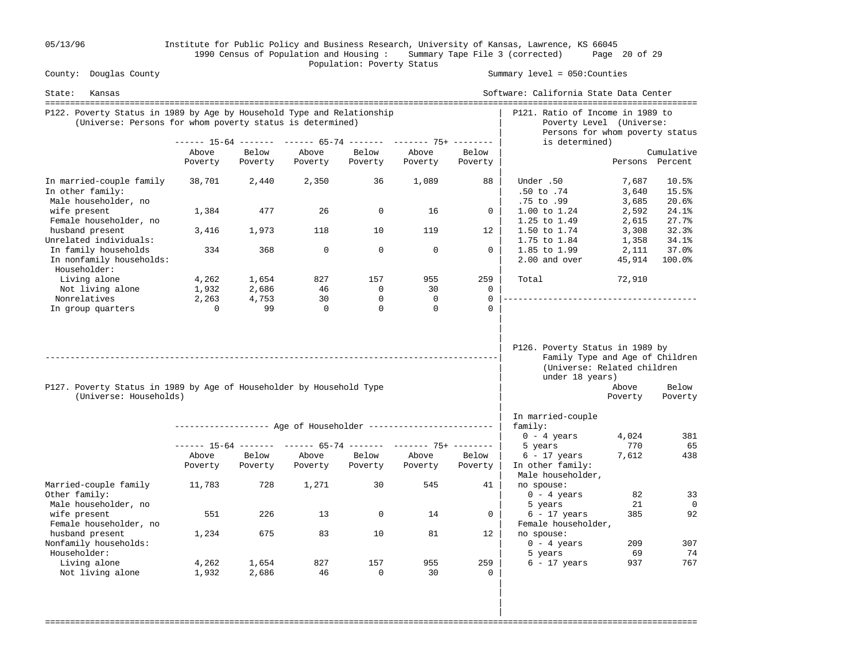05/13/96 Institute for Public Policy and Business Research, University of Kansas, Lawrence, KS 66045 1990 Census of Population and Housing : Summary Tape File 3 (corrected) Page 20 of 29 Population: Poverty Status<br>
County: Douglas County

Summary level =  $050$ : Counties

| State:<br>Kansas                                                                                                                    |                   |                  |                  |                          |                                                                |                      | Software: California State Data Center<br>===================================                                        |                         |                               |
|-------------------------------------------------------------------------------------------------------------------------------------|-------------------|------------------|------------------|--------------------------|----------------------------------------------------------------|----------------------|----------------------------------------------------------------------------------------------------------------------|-------------------------|-------------------------------|
| P122. Poverty Status in 1989 by Age by Household Type and Relationship<br>(Universe: Persons for whom poverty status is determined) |                   |                  |                  |                          |                                                                |                      | P121. Ratio of Income in 1989 to<br>Poverty Level (Universe:<br>Persons for whom poverty status                      |                         |                               |
|                                                                                                                                     |                   |                  |                  |                          | ------ 15-64 ------- ------ 65-74 ------- ------- 75+ -------- |                      | is determined)                                                                                                       |                         |                               |
|                                                                                                                                     | Above<br>Poverty  | Below<br>Poverty | Above<br>Poverty | Below<br>Poverty         | Above<br>Poverty                                               | Below<br>Poverty     |                                                                                                                      |                         | Cumulative<br>Persons Percent |
| In married-couple family<br>In other family:<br>Male householder, no                                                                | 38,701            | 2,440            | 2,350            | 36                       | 1,089                                                          | 88                   | Under .50<br>.50 to .74<br>.75 to .99                                                                                | 7,687<br>3,640<br>3,685 | 10.5%<br>15.5%<br>20.6%       |
| wife present<br>Female householder, no                                                                                              | 1,384             | 477              | 26               | $\mathbf 0$              | 16                                                             | 0                    | 1.00 to 1.24<br>1.25 to 1.49                                                                                         | 2,592<br>2,615          | 24.1%<br>27.7%                |
| husband present<br>Unrelated individuals:                                                                                           | 3,416             | 1,973            | 118              | 10                       | 119                                                            | 12                   | 1.50 to 1.74<br>1.75 to 1.84                                                                                         | 3,308<br>1,358          | 32.3%<br>34.1%                |
| In family households<br>In nonfamily households:<br>Householder:                                                                    | 334               | 368              | $\mathbf 0$      | $\mathbf 0$              | $\mathbf 0$                                                    | $\mathbf 0$          | 1.85 to 1.99<br>2.00 and over                                                                                        | 2,111<br>45,914         | 37.0%<br>100.0%               |
| Living alone<br>Not living alone                                                                                                    | 4,262<br>1,932    | 1,654<br>2,686   | 827<br>46        | 157<br>0                 | 955<br>30                                                      | 259<br>0             | Total                                                                                                                | 72,910                  |                               |
| Nonrelatives<br>In group quarters                                                                                                   | 2,263<br>$\Omega$ | 4,753<br>99      | 30<br>$\Omega$   | $\mathbf{0}$<br>$\Omega$ | $\mathbf 0$<br>$\Omega$                                        | $\Omega$<br>$\Omega$ |                                                                                                                      |                         |                               |
| P127. Poverty Status in 1989 by Age of Householder by Household Type<br>(Universe: Households)                                      |                   |                  |                  |                          |                                                                |                      | P126. Poverty Status in 1989 by<br>Family Type and Age of Children<br>(Universe: Related children<br>under 18 years) | Above<br>Poverty        | Below<br>Poverty              |
|                                                                                                                                     |                   |                  |                  |                          | ------------------ Age of Householder ------------------------ |                      | In married-couple<br>family:                                                                                         |                         |                               |
|                                                                                                                                     |                   |                  |                  |                          | ------ 15-64 ------- ------ 65-74 ------- ------- 75+ -------- |                      | $0 - 4 \text{ years}$<br>5 years                                                                                     | 4,024<br>770            | 381<br>65                     |
|                                                                                                                                     | Above             | Below            | Above            | Below                    | Above                                                          | Below                | $6 - 17$ years                                                                                                       | 7,612                   | 438                           |
|                                                                                                                                     | Poverty           | Poverty          | Poverty          | Poverty                  | Poverty                                                        | Poverty              | In other family:<br>Male householder,                                                                                |                         |                               |
| Married-couple family<br>Other family:                                                                                              | 11,783            | 728              | 1,271            | 30                       | 545                                                            | 41                   | no spouse:<br>$0 - 4$ years                                                                                          | 82                      | 33                            |
| Male householder, no<br>wife present<br>Female householder, no                                                                      | 551               | 226              | 13               | $\mathbf 0$              | 14                                                             | $\mathbf{0}$         | 5 years<br>$6 - 17$ years<br>Female householder,                                                                     | 21<br>385               | $\overline{0}$<br>92          |
| husband present<br>Nonfamily households:<br>Householder:                                                                            | 1,234             | 675              | 83               | 10                       | 81                                                             | $12 \overline{ }$    | no spouse:<br>$0 - 4$ years<br>5 years                                                                               | 209<br>69               | 307<br>74                     |
| Living alone<br>Not living alone                                                                                                    | 4,262<br>1,932    | 1,654<br>2,686   | 827<br>46        | 157<br>$\mathbf 0$       | 955<br>30                                                      | 259<br>$\mathbf{0}$  | $6 - 17$ years                                                                                                       | 937                     | 767                           |

===================================================================================================================================

 | | |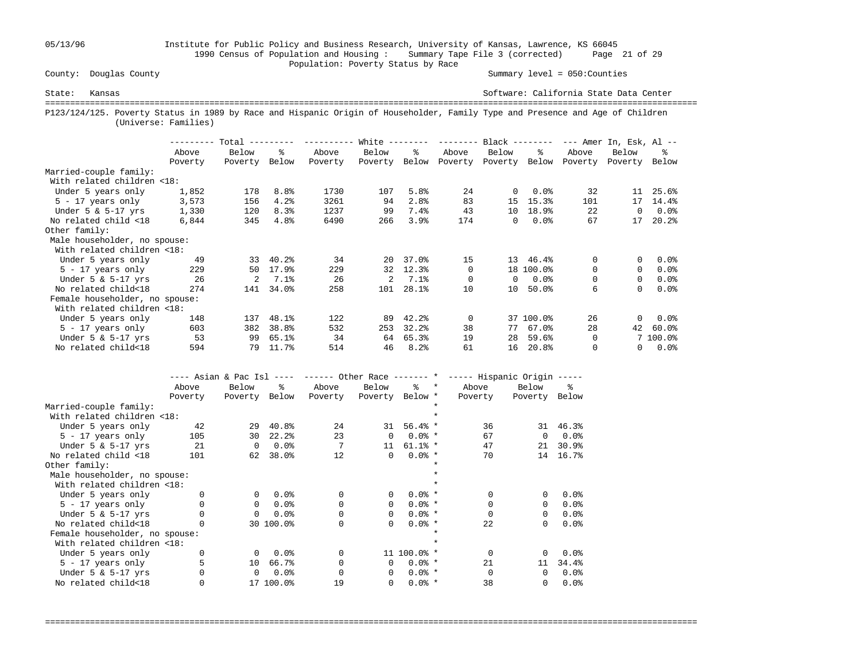05/13/96 Institute for Public Policy and Business Research, University of Kansas, Lawrence, KS 66045 1990 Census of Population and Housing : Summary Tape File 3 (corrected) Page 21 of 29 County: Douglas County **Example 2018** Population: Poverty Status by Race

#### Summary level =  $050$ : Counties

State: Kansas Software: California State Data Center =================================================================================================================================== P123/124/125. Poverty Status in 1989 by Race and Hispanic Origin of Householder, Family Type and Presence and Age of Children (Universe: Families)

|                                |         | Total -- |                  | --------- | White $------$ |       | --------- | $Black$ -------- |           |          | $---$ Amer In, Esk, Al $---$ |          |
|--------------------------------|---------|----------|------------------|-----------|----------------|-------|-----------|------------------|-----------|----------|------------------------------|----------|
|                                | Above   | Below    | ዱ                | Above     | Below          | ៖     | Above     | Below            | ႜ         | Above    | Below                        | ፠        |
|                                | Poverty | Poverty  | Below            | Poverty   | Poverty        | Below | Poverty   | Poverty          | Below     | Poverty  | Poverty                      | Below    |
| Married-couple family:         |         |          |                  |           |                |       |           |                  |           |          |                              |          |
| With related children <18:     |         |          |                  |           |                |       |           |                  |           |          |                              |          |
| Under 5 years only             | 1,852   | 178      | 8.8 <sup>°</sup> | 1730      | 107            | 5.8%  | 24        | $\Omega$         | $0.0$ $8$ | 32       | 11                           | 25.6%    |
| $5 - 17$ years only            | 3,573   | 156      | 4.2%             | 3261      | 94             | 2.8%  | 83        | 15               | 15.3%     | 101      | 17                           | 14.4%    |
| Under $5 \& 5-17$ yrs          | 1,330   | 120      | 8.3%             | 1237      | 99             | 7.4%  | 43        | 10               | 18.9%     | 22       | $\Omega$                     | 0.0%     |
| No related child <18           | 6,844   | 345      | 4.8%             | 6490      | 266            | 3.9%  | 174       | 0                | $0.0$ %   | 67       | 17                           | 20.2%    |
| Other family:                  |         |          |                  |           |                |       |           |                  |           |          |                              |          |
| Male householder, no spouse:   |         |          |                  |           |                |       |           |                  |           |          |                              |          |
| With related children <18:     |         |          |                  |           |                |       |           |                  |           |          |                              |          |
| Under 5 years only             | 49      | 33       | 40.2%            | 34        | 20             | 37.0% | 15        | 13               | 46.4%     | 0        | 0                            | 0.0%     |
| $5 - 17$ years only            | 229     | 50       | 17.9%            | 229       | 32             | 12.3% | $\Omega$  |                  | 18 100.0% | $\Omega$ | $\Omega$                     | $0.0$ %  |
| Under $5 \& 5-17$ yrs          | 26      | 2        | 7.1%             | 26        | $\overline{a}$ | 7.1%  | $\Omega$  | $\Omega$         | $0.0$ %   | 0        | 0                            | $0.0$ %  |
| No related child<18            | 274     | 141      | 34.0%            | 258       | 101            | 28.1% | 10        | 10               | 50.0%     | 6        | $\Omega$                     | 0.0%     |
| Female householder, no spouse: |         |          |                  |           |                |       |           |                  |           |          |                              |          |
| With related children <18:     |         |          |                  |           |                |       |           |                  |           |          |                              |          |
| Under 5 years only             | 148     | 137      | 48.1%            | 122       | 89             | 42.2% | $\Omega$  |                  | 37 100.0% | 26       | $\Omega$                     | 0.0%     |
| $5 - 17$ years only            | 603     | 382      | 38.8%            | 532       | 253            | 32.2% | 38        | 77               | 67.0%     | 28       | 42                           | 60.0%    |
| Under $5 \& 5-17$ yrs          | 53      | 99       | 65.1%            | 34        | 64             | 65.3% | 19        | 28               | 59.6%     | 0        |                              | 7 100.0% |
| No related child<18            | 594     | 79       | 11.7%            | 514       | 46             | 8.2%  | 61        | 16               | 20.8%     |          | 0                            | $0.0$ %  |

|                                | ---- Asian & Pac Isl<br>$- - - - -$ |          |           |          |                 |               |         | ----- Other Race ------- * ----- Hispanic Origin ----- |          |          |
|--------------------------------|-------------------------------------|----------|-----------|----------|-----------------|---------------|---------|--------------------------------------------------------|----------|----------|
|                                | Above                               | Below    | ႜ         | Above    | Below           | ႜႜၟ           | $\star$ | Above                                                  | Below    | ႜ        |
|                                | Poverty                             | Poverty  | Below     | Poverty  | Poverty Below * |               |         | Poverty                                                | Poverty  | Below    |
| Married-couple family:         |                                     |          |           |          |                 |               |         |                                                        |          |          |
| With related children <18:     |                                     |          |           |          |                 |               |         |                                                        |          |          |
| Under 5 years only             | 42                                  | 29       | 40.8%     | 2.4      | 31              | $56.4%$ *     |         | 36                                                     |          | 31 46.3% |
| $5 - 17$ years only            | 105                                 | 30       | 22.2%     | 23       | $\Omega$        | $0.0%$ *      |         | 67                                                     | $\Omega$ | 0.0%     |
| Under $5 \& 5-17$ yrs          | 21                                  | $\Omega$ | 0.0%      |          | 11              | $61.1%$ *     |         | 47                                                     | 21       | 30.9%    |
| No related child <18           | 101                                 | 62       | 38.0%     | 12       | 0               | $0.0%$ *      |         | 70                                                     | 14       | 16.7%    |
| Other family:                  |                                     |          |           |          |                 |               |         |                                                        |          |          |
| Male householder, no spouse:   |                                     |          |           |          |                 |               |         |                                                        |          |          |
| With related children <18:     |                                     |          |           |          |                 |               |         |                                                        |          |          |
| Under 5 years only             |                                     | $\Omega$ | 0.0%      | $\Omega$ | 0               | $0.0%$ *      |         |                                                        | $\Omega$ | 0.0%     |
| $5 - 17$ years only            |                                     | $\Omega$ | 0.0%      |          | $\Omega$        | $0.0%$ *      |         |                                                        | $\Omega$ | 0.0%     |
| Under $5 \& 5-17$ yrs          |                                     | $\Omega$ | 0.0%      | 0        | 0               | $0.0%$ *      |         |                                                        | $\Omega$ | 0.0%     |
| No related child<18            |                                     |          | 30 100.0% | $\Omega$ | 0               | $0.0%$ *      |         | 2.2.                                                   | 0        | 0.0%     |
| Female householder, no spouse: |                                     |          |           |          |                 |               |         |                                                        |          |          |
| With related children <18:     |                                     |          |           |          |                 |               |         |                                                        |          |          |
| Under 5 years only             |                                     | $\Omega$ | 0.0%      | $\Omega$ |                 | $11\ 100.0$ * |         |                                                        | $\Omega$ | 0.0%     |
| $5 - 17$ years only            | 5                                   | 10       | 66.7%     | 0        | 0               | $0.0%$ *      |         | 21                                                     | 11       | 34.4%    |
| Under $5 \& 5-17$ yrs          |                                     | $\Omega$ | 0.0%      |          | $\Omega$        | $0.0%$ *      |         |                                                        | $\Omega$ | 0.0%     |
| No related child<18            |                                     |          | 17 100.0% | 19       | 0               | $0.0%$ *      |         | 38                                                     | 0        | 0.0%     |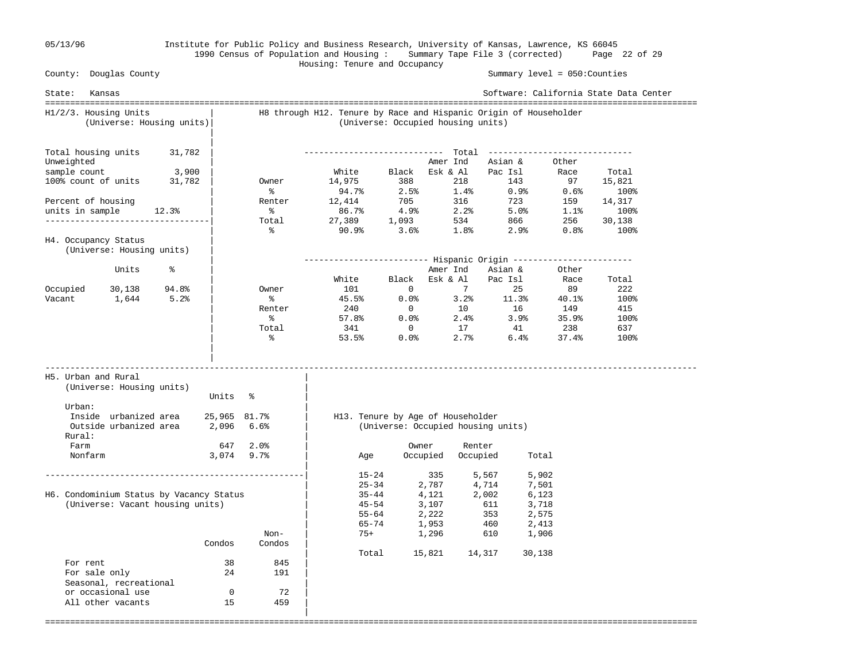#### 05/13/96 Institute for Public Policy and Business Research, University of Kansas, Lawrence, KS 66045 1990 Census of Population and Housing : Summary Tape File 3 (corrected) Page 22 of 29 Housing: Tenure and Occupancy

 County: Douglas County Summary level = 050:Counties State: Kansas Software: California State Data Center =================================================================================================================================== H1/2/3. Housing Units | H8 through H12. Tenure by Race and Hispanic Origin of Householder (Universe: Housing units)| (Universe: Occupied housing units) | | Total housing units 31,782 | ---------------------------- Total ----------------------------- Unweighted Definition of the Community of the Magnetic School and Asian & Other sample count 3,900 | White Black Esk & Al Pac Isl Race Total 100% count of units 31,782 | Owner 14,975 388 218 143 97 15,821  $\frac{1}{2}$  ,  $\frac{1}{2}$  ,  $\frac{1}{2}$  ,  $\frac{1}{2}$  ,  $\frac{1}{2}$  ,  $\frac{1}{2}$  ,  $\frac{1}{2}$  ,  $\frac{1}{2}$  ,  $\frac{1}{2}$  ,  $\frac{1}{2}$  ,  $\frac{1}{2}$  ,  $\frac{1}{2}$  ,  $\frac{1}{2}$  ,  $\frac{1}{2}$  ,  $\frac{1}{2}$  ,  $\frac{1}{2}$  ,  $\frac{1}{2}$  ,  $\frac{1}{2}$  ,  $\frac{1$ Percent of housing The Renter 12,414 705 316 723 159 14,317 units in sample 12.3% | % 86.7% 4.9% 2.2% 5.0% 1.1% 100% ---------------------------------| Total 27,389 1,093 534 866 256 30,138 | % 90.9% 3.6% 1.8% 2.9% 0.8% 100% H4. Occupancy Status (Universe: Housing units) | | ------------------------- Hispanic Origin ------------------------  $\frac{1}{2}$  and  $\frac{1}{2}$  and  $\frac{1}{2}$  amer Ind Asian & Other | White Black Esk & Al Pac Isl Race Total Occupied 30,138 94.8% | Owner 101 0 7 25 89 222 Vacant 1,644 5.2% | % 45.5% 0.0% 3.2% 11.3% 40.1% 100% | Renter 240 0 10 16 149 415  $\sim$  8 57.8% 0.0% 2.4% 3.9% 35.9% 100% | Total 341 0 17 41 238 637 | % 53.5% 0.0% 2.7% 6.4% 37.4% 100% | | ----------------------------------------------------------------------------------------------------------------------------------- H5. Urban and Rural | (Universe: Housing units) | Units % Urban:  $\qquad \qquad \blacksquare$ Inside urbanized area 25,965 81.7% | H13. Tenure by Age of Householder Outside urbanized area 2,096 6.6% | (Universe: Occupied housing units) Rural: | Farm 647 2.0% | Owner Renter Nonfarm 3,074 9.7% | Age Occupied Occupied Total | ----------------------------------------------------| 15-24 335 5,567 5,902  $\begin{array}{|c|c|c|c|c|c|}\hline \rule{0pt}{12pt} & \rule{0pt}{12pt} & \rule{0pt}{12pt} & \rule{0pt}{12pt} & \rule{0pt}{12pt} & \rule{0pt}{12pt} & \rule{0pt}{12pt} & \rule{0pt}{12pt} & \rule{0pt}{12pt} & \rule{0pt}{12pt} & \rule{0pt}{12pt} & \rule{0pt}{12pt} & \rule{0pt}{12pt} & \rule{0pt}{12pt} & \rule{0pt}{12pt} & \rule{0pt}{12pt} & \rule{0pt}{12pt} & \rule{0pt}{12pt} & \$  H6. Condominium Status by Vacancy Status | 35-44 4,121 2,002 6,123 (Universe: Vacant housing units)  $\begin{array}{cccc} | & 45-54 & 3,107 & 611 & 3,718 \\ | & 55-64 & 2,222 & 353 & 2,575 \end{array}$  $\begin{array}{|c|c|c|c|c|c|}\hline \text{55-64} & \text{2,222} & \text{353} & \text{2,575}\ \hline \end{array}$  $|$  65-74 1,953 460 2,413 Non-  $\vert$  75+ 1,296 610 1,906 Condos Condos | | Total 15,821 14,317 30,138 For rent 38 845<br>For sale only 24 191 For sale only 24 Seasonal, recreational<br>
or occasional use 0 0 72 or occasional use  $\begin{array}{ccc} 0 & 72 \\ 15 & 459 \end{array}$ All other vacants |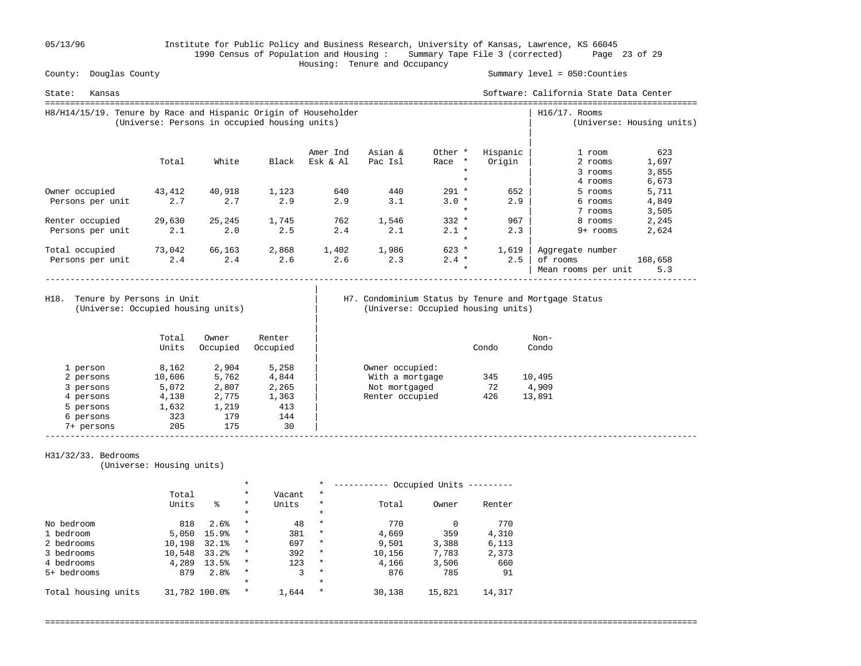05/13/96 Institute for Public Policy and Business Research, University of Kansas, Lawrence, KS 66045 1990 Census of Population and Housing : Summary Tape File 3 (corrected) Page 23 of 29 County: Douglas County **Example 2018** Housing: Tenure and Occupancy

Summary level =  $050$ : Counties

| State:<br>Kansas                                                |        |                                               |       |          |         |                 |          | Software: California State Data Center |                           |
|-----------------------------------------------------------------|--------|-----------------------------------------------|-------|----------|---------|-----------------|----------|----------------------------------------|---------------------------|
| H8/H14/15/19. Tenure by Race and Hispanic Origin of Householder |        | (Universe: Persons in occupied housing units) |       |          |         |                 |          | $H16/17$ . Rooms                       | (Universe: Housing units) |
|                                                                 |        |                                               |       | Amer Ind | Asian & | Other *         | Hispanic | 1 room                                 | 623                       |
|                                                                 | Total  | White                                         | Black | Esk & Al | Pac Isl | $\star$<br>Race | Origin   | 2 rooms                                | 1,697                     |
|                                                                 |        |                                               |       |          |         | $\star$         |          | 3 rooms                                | 3,855                     |
|                                                                 |        |                                               |       |          |         | $\star$         |          | 4 rooms                                | 6,673                     |
| Owner occupied                                                  | 43,412 | 40,918                                        | 1,123 | 640      | 440     | $291 *$         | 652      | 5 rooms                                | 5,711                     |
| Persons per unit                                                | 2.7    | 2.7                                           | 2.9   | 2.9      | 3.1     | $3.0 *$         | 2.9      | 6 rooms                                | 4,849                     |
|                                                                 |        |                                               |       |          |         | $\star$         |          | 7 rooms                                | 3,505                     |
| Renter occupied                                                 | 29,630 | 25,245                                        | 1,745 | 762      | 1,546   | $332 *$         | 967      | 8 rooms                                | 2,245                     |
| Persons per unit                                                | 2.1    | 2.0                                           | 2.5   | 2.4      | 2.1     | $2.1 *$         | 2.3      | 9+ rooms                               | 2,624                     |
|                                                                 |        |                                               |       |          |         | $\star$         |          |                                        |                           |
| Total occupied                                                  | 73,042 | 66,163                                        | 2,868 | 1,402    | 1,986   | $623 *$         | 1,619    | Aggregate number                       |                           |
| Persons per unit                                                | 2.4    | 2.4                                           | 2.6   | 2.6      | 2.3     | $2.4 *$         | 2.5      | of rooms                               | 168,658                   |
|                                                                 |        |                                               |       |          |         | $\star$         |          | Mean rooms per unit                    | 5.3                       |

H18. Tenure by Persons in Unit

(Universe: Occupied housing units) | (Universe: Occupied housing units)

|

# H7. Condominium Status by Tenure and Mortgage Status (Universe: Occupied housing units)

|            | Total<br>Units | Owner<br>Occupied | Renter<br>Occupied |                 | Condo | Non-<br>Condo |
|------------|----------------|-------------------|--------------------|-----------------|-------|---------------|
| 1 person   | 8,162          | 2,904             | 5,258              | Owner occupied: |       |               |
| 2 persons  | 10,606         | 5,762             | 4,844              | With a mortgage | 345   | 10,495        |
| 3 persons  | 5,072          | 2,807             | 2,265              | Not mortgaged   | 72    | 4,909         |
| 4 persons  | 4,138          | 2,775             | 1,363              | Renter occupied | 426   | 13,891        |
| 5 persons  | 1,632          | 1,219             | 413                |                 |       |               |
| 6 persons  | 323            | 179               | 144                |                 |       |               |
| 7+ persons | 205            | 175               | 30                 |                 |       |               |

#### H31/32/33. Bedrooms

(Universe: Housing units)

|                     |        |                  | $\ast$   |        | $\star$ |        | Occupied Units |        |
|---------------------|--------|------------------|----------|--------|---------|--------|----------------|--------|
|                     | Total  |                  | $\star$  | Vacant | $\star$ |        |                |        |
|                     | Units  | る                | $\ast$   | Units  | $\star$ | Total  | Owner          | Renter |
|                     |        |                  | $\ast$   |        | $\star$ |        |                |        |
| No bedroom          | 818    | 2.6%             | $\star$  | 48     | $\star$ | 770    |                | 770    |
| 1 bedroom           | 5,050  | 15.9%            | $^\star$ | 381    | $\star$ | 4,669  | 359            | 4,310  |
| 2 bedrooms          | 10,198 | 32.1%            | $\star$  | 697    | $\star$ | 9,501  | 3,388          | 6,113  |
| 3 bedrooms          | 10,548 | 33.2%            | $\star$  | 392    | $\star$ | 10,156 | 7,783          | 2,373  |
| 4 bedrooms          | 4,289  | 13.5%            | $\star$  | 123    | $\star$ | 4,166  | 3,506          | 660    |
| 5+ bedrooms         | 879    | 2.8 <sup>8</sup> | $\star$  | 3      | $\star$ | 876    | 785            | 91     |
|                     |        |                  | $\ast$   |        | $\star$ |        |                |        |
| Total housing units |        | 31,782 100.0%    | $\ast$   | 1,644  | $\ast$  | 30,138 | 15,821         | 14,317 |

===================================================================================================================================

-----------------------------------------------------------------------------------------------------------------------------------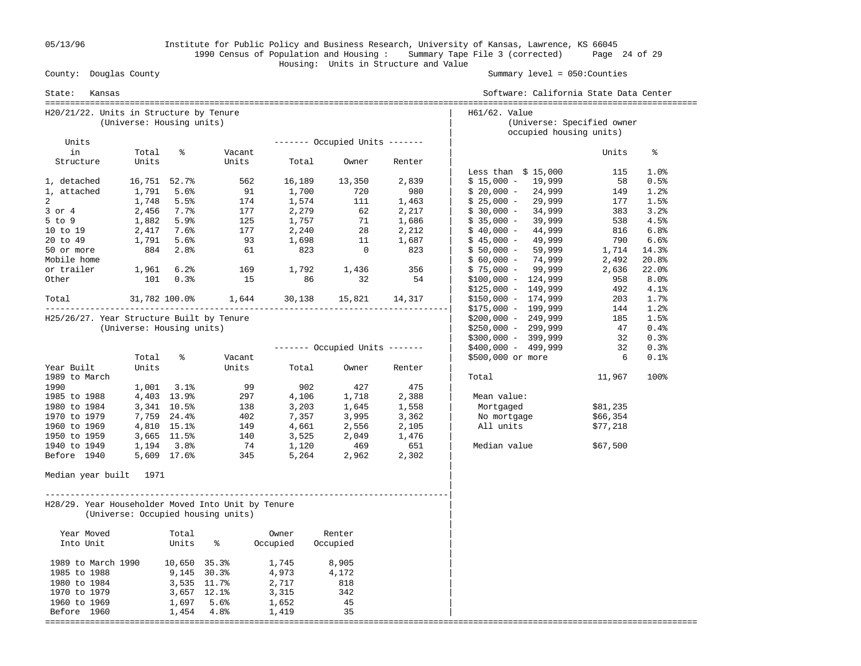05/13/96 Institute for Public Policy and Business Research, University of Kansas, Lawrence, KS 66045 1990 Census of Population and Housing : Summary Tape File 3 (corrected) Page 24 of 29 Housing: Units in Structure and Value

#### Summary level =  $050$ : Counties

| State:<br>Kansas                                   |                           |               |                                    |          |                                |        | Software: California State Data Center                                 |             |              |
|----------------------------------------------------|---------------------------|---------------|------------------------------------|----------|--------------------------------|--------|------------------------------------------------------------------------|-------------|--------------|
| H20/21/22. Units in Structure by Tenure            | (Universe: Housing units) |               |                                    |          |                                |        | H61/62. Value<br>(Universe: Specified owner<br>occupied housing units) |             |              |
| Units                                              |                           |               |                                    |          | ------- Occupied Units ------- |        |                                                                        |             |              |
| in                                                 | Total                     | ి             | Vacant                             |          |                                |        |                                                                        | Units       | ႜ            |
| Structure                                          | Units                     |               | Units                              | Total    | Owner                          | Renter |                                                                        |             |              |
| 1, detached                                        | 16,751 52.7%              |               | 562                                | 16,189   | 13,350                         | 2,839  | Less than $$15,000$<br>$$15,000 - 19,999$                              | 115<br>- 58 | 1.0%<br>0.5% |
| 1, attached                                        | 1,791                     | 5.6%          | 91                                 | 1,700    | 720                            | 980    | $$20,000 -$<br>24,999                                                  | 149         | 1.2%         |
| $\overline{a}$                                     | 1,748                     | 5.5%          | 174                                | 1,574    | 111                            | 1,463  | $$25,000 -$<br>29,999                                                  | 177         | 1.5%         |
| $3$ or $4$                                         | 2,456                     | 7.7%          | 177                                | 2,279    | 62                             | 2,217  | $$30,000 -$<br>34,999                                                  | 383         | 3.2%         |
| $5$ to $9$                                         | 1,882                     | 5.9%          | 125                                | 1,757    | 71                             | 1,686  | $$35,000 -$<br>39,999                                                  | 538         | 4.5%         |
| 10 to 19                                           | 2,417                     | 7.6%          | 177                                |          | 28                             |        | $$40,000 -$<br>44,999                                                  | 816         | 6.8%         |
| 20 to 49                                           |                           | 5.6%          | 93                                 | 2,240    | 11                             | 2,212  |                                                                        | 790         |              |
|                                                    | 1,791                     |               |                                    | 1,698    |                                | 1,687  | $$45,000 -$<br>49,999                                                  |             | 6.6%         |
| 50 or more                                         | 884                       | 2.8%          | 61                                 | 823      | $\overline{0}$                 | 823    | 59,999<br>$$50,000 -$                                                  | 1,714       | 14.3%        |
| Mobile home                                        |                           |               |                                    |          |                                |        | 74,999<br>$$60,000 -$                                                  | 2,492       | 20.8%        |
| or trailer                                         | 1,961                     | 6.2%          | 169                                | 1,792    | 1,436                          | 356    | $$75,000 - 99,999$                                                     | 2,636       | 22.0%        |
| Other                                              | 101                       | 0.3%          | 15                                 | 86       | 32                             | 54     | $$100,000 - 124,999$                                                   | 958         | 8.0%         |
|                                                    |                           |               |                                    |          |                                |        | $$125,000 - 149,999$                                                   | 492         | 4.1%         |
| Total                                              |                           | 31,782 100.0% | 1,644                              | 30,138   | 15,821                         | 14,317 | $$150,000 - 174,999$                                                   | 203         | 1.7%         |
|                                                    |                           |               |                                    |          |                                |        | $$175,000 - 199,999$                                                   | 144         | 1.2%         |
| H25/26/27. Year Structure Built by Tenure          |                           |               |                                    |          |                                |        | $$200,000 - 249,999$                                                   | 185         | 1.5%         |
|                                                    | (Universe: Housing units) |               |                                    |          |                                |        | $$250,000 - 299,999$                                                   | 47          | 0.4%         |
|                                                    |                           |               |                                    |          |                                |        | $$300,000 - 399,999$                                                   | 32          | 0.3%         |
|                                                    |                           |               |                                    |          | ------- Occupied Units ------- |        | $$400,000 - 499,999$                                                   | 32          | 0.3%         |
|                                                    | Total                     | ႜ             | Vacant                             |          |                                |        | \$500,000 or more                                                      | 6           | 0.1%         |
| Year Built                                         | Units                     |               | Units                              | Total    | Owner                          | Renter |                                                                        |             |              |
| 1989 to March                                      |                           |               |                                    |          |                                |        | Total                                                                  | 11,967      | 100%         |
| 1990                                               | 1,001                     | 3.1%          | 99                                 | 902      | 427                            | 475    |                                                                        |             |              |
| 1985 to 1988                                       |                           | 4,403 13.9%   | 297                                | 4,106    | 1,718                          | 2,388  | Mean value:                                                            |             |              |
| 1980 to 1984                                       |                           | 3,341 10.5%   | 138                                | 3,203    | 1,645                          | 1,558  | Mortgaged                                                              | \$81,235    |              |
| 1970 to 1979                                       |                           | 7,759 24.4%   | 402                                | 7,357    | 3,995                          | 3,362  | No mortgage                                                            | \$66,354    |              |
| 1960 to 1969                                       |                           | 4,810 15.1%   | 149                                | 4,661    | 2,556                          | 2,105  | All units                                                              | \$77,218    |              |
| 1950 to 1959                                       |                           | 3,665 11.5%   | 140                                | 3,525    | 2,049                          | 1,476  |                                                                        |             |              |
| 1940 to 1949                                       |                           | 1,194 3.8%    | 74                                 | 1,120    | 469                            | 651    | Median value                                                           | \$67,500    |              |
| Before 1940                                        | 5,609 17.6%               |               | 345                                | 5,264    | 2,962                          | 2,302  |                                                                        |             |              |
| Median year built 1971                             |                           |               |                                    |          |                                |        |                                                                        |             |              |
| H28/29. Year Householder Moved Into Unit by Tenure |                           |               | (Universe: Occupied housing units) |          |                                |        |                                                                        |             |              |
| Year Moved                                         |                           | Total         |                                    | Owner    | Renter                         |        |                                                                        |             |              |
| Into Unit                                          |                           | Units         | ႜ                                  | Occupied | Occupied                       |        |                                                                        |             |              |
| 1989 to March 1990                                 |                           | 10,650 35.3%  |                                    | 1,745    | 8,905                          |        |                                                                        |             |              |
| 1985 to 1988                                       |                           | 9,145 30.3%   |                                    | 4,973    | 4,172                          |        |                                                                        |             |              |
| 1980 to 1984                                       |                           | 3,535 11.7%   |                                    | 2,717    | 818                            |        |                                                                        |             |              |
| 1970 to 1979                                       |                           | 3,657 12.1%   |                                    | 3,315    | 342                            |        |                                                                        |             |              |
| 1960 to 1969                                       |                           | 1,697 5.6%    |                                    | 1,652    | 45                             |        |                                                                        |             |              |
| Before 1960                                        |                           |               | 1,454 4.8%                         | 1,419    | 35                             |        |                                                                        |             |              |
|                                                    |                           |               |                                    |          |                                |        |                                                                        |             |              |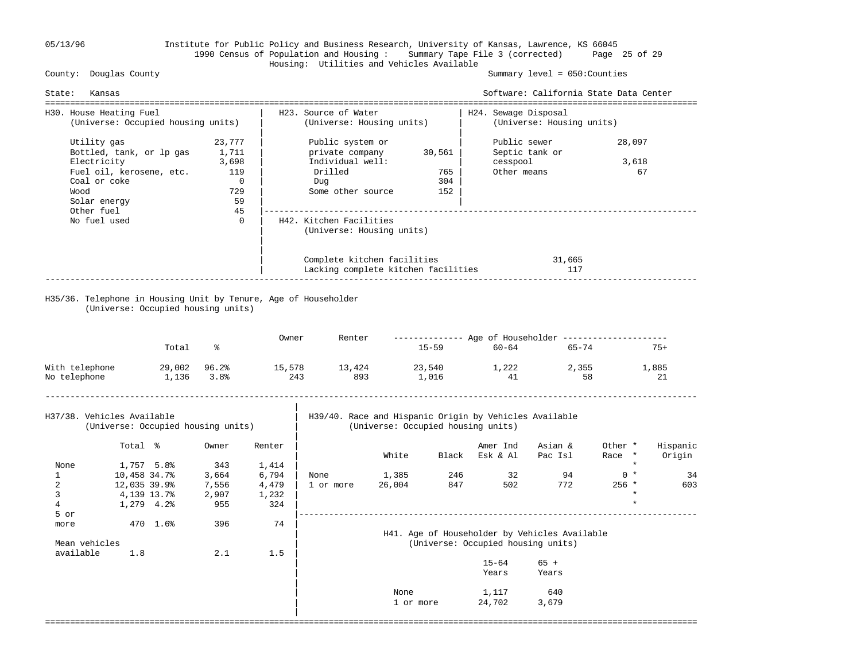### 05/13/96 Institute for Public Policy and Business Research, University of Kansas, Lawrence, KS 66045 1990 Census of Population and Housing : Summary Tape File 3 (corrected) Page 25 of 29 Housing: Utilities and Vehicles Available

Summary level =  $050$ : Counties

|                            |                            |                                    |                                    |        |                                                      |        |        |                                                                                              | Software: California State Data Center                         |                   |                    |
|----------------------------|----------------------------|------------------------------------|------------------------------------|--------|------------------------------------------------------|--------|--------|----------------------------------------------------------------------------------------------|----------------------------------------------------------------|-------------------|--------------------|
| H30. House Heating Fuel    |                            | (Universe: Occupied housing units) |                                    |        | H23. Source of Water<br>(Universe: Housing units)    |        |        | H24. Sewage Disposal                                                                         | (Universe: Housing units)                                      |                   |                    |
| Utility gas                |                            |                                    | 23,777                             |        | Public system or                                     |        |        | Public sewer                                                                                 |                                                                | 28,097            |                    |
|                            |                            | Bottled, tank, or lp gas           | 1,711                              |        | private company                                      |        | 30,561 |                                                                                              | Septic tank or                                                 |                   |                    |
| Electricity                |                            |                                    | 3,698                              |        | Individual well:                                     |        |        | cesspool                                                                                     |                                                                | 3,618             |                    |
|                            |                            | Fuel oil, kerosene, etc.           | 119                                |        | Drilled                                              |        | 765    | Other means                                                                                  |                                                                |                   | 67                 |
| Coal or coke<br>Wood       |                            |                                    | $\overline{0}$<br>729              |        | Dug                                                  |        | 304    |                                                                                              |                                                                |                   |                    |
| Solar energy               |                            |                                    | 59                                 |        | Some other source                                    |        | 152    |                                                                                              |                                                                |                   |                    |
| Other fuel                 |                            |                                    | 45                                 |        |                                                      |        |        |                                                                                              |                                                                |                   |                    |
| No fuel used               |                            |                                    | $\mathbf 0$                        |        | H42. Kitchen Facilities<br>(Universe: Housing units) |        |        |                                                                                              |                                                                |                   |                    |
|                            |                            |                                    |                                    |        | Complete kitchen facilities                          |        |        |                                                                                              | 31,665                                                         |                   |                    |
|                            |                            |                                    |                                    |        | Lacking complete kitchen facilities                  |        |        |                                                                                              | 117                                                            |                   |                    |
|                            |                            | Total                              | ွေ                                 | Owner  | Renter                                               |        | 15-59  | $60 - 64$                                                                                    | ------------- Age of Householder --------------------<br>65-74 |                   | $75+$              |
| With telephone             |                            | 29,002 96.2%                       |                                    | 15,578 | 13,424                                               |        | 23,540 | 1,222                                                                                        | 2,355                                                          |                   | 1,885              |
| No telephone               |                            | 1,136 3.8%                         |                                    | 243    | 893                                                  |        | 1,016  | 41                                                                                           | 58                                                             |                   | 21                 |
| H37/38. Vehicles Available |                            |                                    | (Universe: Occupied housing units) |        |                                                      |        |        | H39/40. Race and Hispanic Origin by Vehicles Available<br>(Universe: Occupied housing units) |                                                                |                   |                    |
|                            |                            |                                    |                                    |        |                                                      |        |        |                                                                                              |                                                                |                   |                    |
|                            | Total %                    |                                    | Owner                              | Renter |                                                      | White  |        | Amer Ind<br>Black Esk & Al                                                                   | Asian &<br>Pac Isl                                             | Other *<br>Race * | Hispanic<br>Origin |
|                            |                            |                                    | 343                                | 1,414  |                                                      |        |        |                                                                                              |                                                                |                   |                    |
|                            |                            |                                    |                                    |        |                                                      |        |        |                                                                                              |                                                                |                   |                    |
| None<br>$\mathbf{1}$       | 1,757 5.8%<br>10,458 34.7% |                                    | 3,664                              | 6,794  | None                                                 | 1,385  | 246    | 32                                                                                           | 94                                                             | $0 *$             | 34                 |
| $\overline{2}$             | 12,035 39.9%               |                                    | 7,556                              | 4,479  | 1 or more                                            | 26,004 | 847    | 502                                                                                          | 772                                                            | $256$ *           |                    |
| 3                          | 4,139 13.7%                |                                    | 2,907                              | 1,232  |                                                      |        |        |                                                                                              |                                                                |                   | 603                |
| 4                          | 1,279 4.2%                 |                                    | 955                                | 324    |                                                      |        |        |                                                                                              |                                                                |                   |                    |
| 5 or                       |                            |                                    |                                    |        |                                                      |        |        |                                                                                              |                                                                |                   |                    |
| more                       |                            | 470 1.6%                           | 396                                | 74     |                                                      |        |        |                                                                                              |                                                                |                   |                    |
|                            |                            |                                    |                                    |        |                                                      |        |        |                                                                                              | H41. Age of Householder by Vehicles Available                  |                   |                    |
| Mean vehicles              |                            |                                    |                                    |        |                                                      |        |        | (Universe: Occupied housing units)                                                           |                                                                |                   |                    |
| available                  | 1.8                        |                                    | 2.1                                | 1.5    |                                                      |        |        |                                                                                              |                                                                |                   |                    |
|                            |                            |                                    |                                    |        |                                                      |        |        | $15 - 64$<br>Years                                                                           | $65 +$<br>Years                                                |                   |                    |
|                            |                            |                                    |                                    |        |                                                      | None   |        | 1,117                                                                                        | 640                                                            |                   |                    |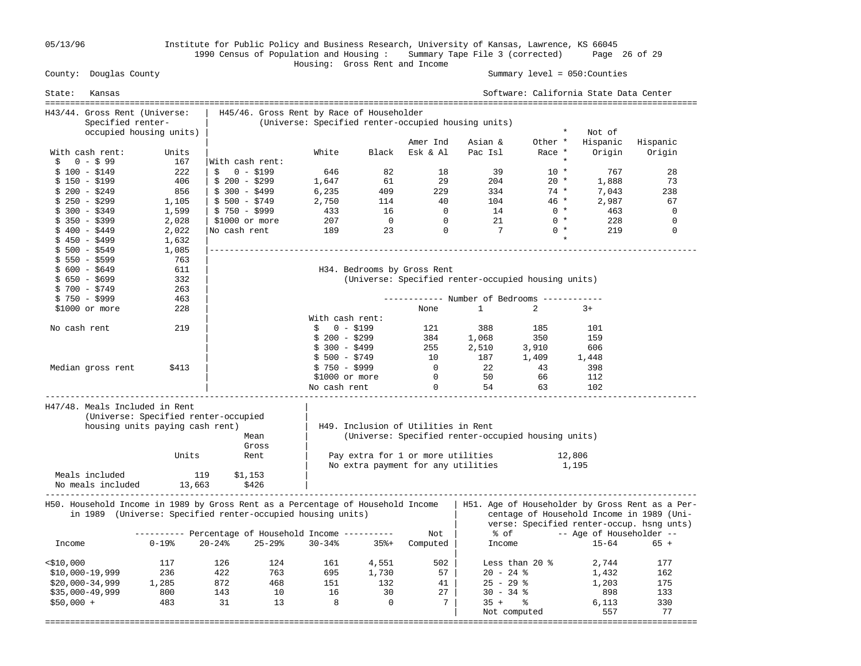05/13/96 Institute for Public Policy and Business Research, University of Kansas, Lawrence, KS 66045 1990 Census of Population and Housing : Summary Tape File 3 (corrected) Page 26 of 29

### Housing: Gross Rent and Income Summary level =  $050$ : Counties

| State:       | Kansas                         |                                                                                                                                                |                                                                                                  |               |                 |                |                                     |                                                     |                | Software: California State Data Center |                                                                                                                                           |  |
|--------------|--------------------------------|------------------------------------------------------------------------------------------------------------------------------------------------|--------------------------------------------------------------------------------------------------|---------------|-----------------|----------------|-------------------------------------|-----------------------------------------------------|----------------|----------------------------------------|-------------------------------------------------------------------------------------------------------------------------------------------|--|
|              | H43/44. Gross Rent (Universe:  |                                                                                                                                                |                                                                                                  |               |                 |                |                                     |                                                     |                |                                        |                                                                                                                                           |  |
|              | Specified renter-              |                                                                                                                                                | H45/46. Gross Rent by Race of Householder<br>(Universe: Specified renter-occupied housing units) |               |                 |                |                                     |                                                     |                |                                        |                                                                                                                                           |  |
|              |                                | occupied housing units)                                                                                                                        |                                                                                                  |               |                 |                |                                     |                                                     | $\star$        | Not of                                 |                                                                                                                                           |  |
|              |                                |                                                                                                                                                |                                                                                                  |               |                 |                | Amer Ind                            | Asian &                                             | Other *        | Hispanic                               | Hispanic                                                                                                                                  |  |
|              | With cash rent:                | Units                                                                                                                                          |                                                                                                  |               | White           | Black          | Esk & Al                            | Pac Isl                                             | Race *         | Origin                                 | Origin                                                                                                                                    |  |
| \$           | $0 - $99$                      | 167                                                                                                                                            | With cash rent:                                                                                  |               |                 |                |                                     |                                                     | $\star$        |                                        |                                                                                                                                           |  |
|              | $$100 - $149$                  | 222                                                                                                                                            | Ŝ.<br>0 - \$199                                                                                  |               | 646             | 82             | 18                                  | 39                                                  | $10 *$         | 767                                    | 28                                                                                                                                        |  |
|              | $$150 - $199$                  | 406                                                                                                                                            | $$200 - $299$                                                                                    |               | 1,647           | 61             | 29                                  | 204                                                 | $20 *$         | 1,888                                  | 73                                                                                                                                        |  |
|              | $$200 - $249$                  | 856                                                                                                                                            | $$300 - $499$                                                                                    |               | 6,235           | 409            | 229                                 | 334                                                 | $74*$          | 7,043                                  | 238                                                                                                                                       |  |
|              | $$250 - $299$                  | 1,105                                                                                                                                          | $$500 - $749$                                                                                    |               | 2,750           | 114            | 40                                  | 104                                                 | $46 *$         | 2,987                                  | 67                                                                                                                                        |  |
|              | $$300 - $349$                  | 1,599                                                                                                                                          | $$750 - $999$                                                                                    |               | 433             | 16             | $\Omega$                            | 14                                                  | $0 *$          | 463                                    | $\mathbf 0$                                                                                                                               |  |
|              | $$350 - $399$                  | 2,028                                                                                                                                          | $$1000$ or more                                                                                  |               | 207             | $\overline{0}$ | $\Omega$                            | 21                                                  | $0 *$          | 228                                    | 0                                                                                                                                         |  |
|              | \$ 400 - \$449                 | 2,022                                                                                                                                          | No cash rent                                                                                     |               | 189             | 23             | $\mathbf 0$                         | $\overline{7}$                                      | $0 *$          | 219                                    | $\mathbf 0$                                                                                                                               |  |
|              | $$450 - $499$                  | 1,632                                                                                                                                          |                                                                                                  |               |                 |                |                                     |                                                     | $\star$        |                                        |                                                                                                                                           |  |
|              | $$500 - $549$                  | 1,085                                                                                                                                          |                                                                                                  |               |                 |                |                                     |                                                     |                |                                        |                                                                                                                                           |  |
|              | \$ 550 - \$599                 | 763                                                                                                                                            |                                                                                                  |               |                 |                |                                     |                                                     |                |                                        |                                                                                                                                           |  |
|              | $$600 - $649$                  | 611                                                                                                                                            |                                                                                                  |               |                 |                | H34. Bedrooms by Gross Rent         |                                                     |                |                                        |                                                                                                                                           |  |
|              | $$650 - $699$                  | 332                                                                                                                                            |                                                                                                  |               |                 |                |                                     | (Universe: Specified renter-occupied housing units) |                |                                        |                                                                                                                                           |  |
|              | $$700 - $749$                  | 263                                                                                                                                            |                                                                                                  |               |                 |                |                                     |                                                     |                |                                        |                                                                                                                                           |  |
|              | $$750 - $999$                  | 463                                                                                                                                            |                                                                                                  |               |                 |                |                                     | ----------- Number of Bedrooms -----------          |                |                                        |                                                                                                                                           |  |
|              | \$1000 or more                 | 228                                                                                                                                            |                                                                                                  |               |                 |                | None                                | $\mathbf{1}$                                        | 2              | $3+$                                   |                                                                                                                                           |  |
|              |                                |                                                                                                                                                |                                                                                                  |               | With cash rent: |                |                                     |                                                     |                |                                        |                                                                                                                                           |  |
| No cash rent |                                | 219                                                                                                                                            |                                                                                                  |               | $$0 - $199$     |                | 121                                 | 388                                                 | 185            | 101                                    |                                                                                                                                           |  |
|              |                                |                                                                                                                                                |                                                                                                  |               | $$200 - $299$   |                | 384                                 | 1,068                                               | 350            | 159                                    |                                                                                                                                           |  |
|              |                                |                                                                                                                                                |                                                                                                  |               | $$300 - $499$   |                | 255                                 | 2,510                                               | 3,910          | 606                                    |                                                                                                                                           |  |
|              |                                |                                                                                                                                                |                                                                                                  |               | $$500 - $749$   |                | 10                                  | 187                                                 | 1,409          | 1,448                                  |                                                                                                                                           |  |
|              | Median gross rent              | \$413                                                                                                                                          |                                                                                                  |               | $$750 - $999$   |                | $\overline{0}$                      | 22                                                  | 43             | 398                                    |                                                                                                                                           |  |
|              |                                |                                                                                                                                                |                                                                                                  |               | \$1000 or more  |                | $\overline{0}$                      | 50                                                  | 66             | 112                                    |                                                                                                                                           |  |
|              |                                |                                                                                                                                                |                                                                                                  |               | No cash rent    |                | $\overline{0}$                      | 54                                                  | 63             | 102                                    |                                                                                                                                           |  |
|              | H47/48. Meals Included in Rent | (Universe: Specified renter-occupied<br>housing units paying cash rent)                                                                        |                                                                                                  | Mean<br>Gross |                 |                | H49. Inclusion of Utilities in Rent | (Universe: Specified renter-occupied housing units) |                |                                        |                                                                                                                                           |  |
|              |                                | Units                                                                                                                                          |                                                                                                  | Rent          |                 |                | Pay extra for 1 or more utilities   |                                                     |                | 12,806                                 |                                                                                                                                           |  |
|              |                                |                                                                                                                                                |                                                                                                  |               |                 |                |                                     | No extra payment for any utilities                  |                | 1,195                                  |                                                                                                                                           |  |
|              | Meals included                 | 119                                                                                                                                            | \$1,153                                                                                          |               |                 |                |                                     |                                                     |                |                                        |                                                                                                                                           |  |
|              | No meals included              | 13,663                                                                                                                                         |                                                                                                  | \$426         |                 |                |                                     |                                                     |                |                                        |                                                                                                                                           |  |
|              |                                | H50. Household Income in 1989 by Gross Rent as a Percentage of Household Income<br>in 1989 (Universe: Specified renter-occupied housing units) |                                                                                                  |               |                 |                |                                     |                                                     |                |                                        | H51. Age of Householder by Gross Rent as a Per-<br>centage of Household Income in 1989 (Uni-<br>verse: Specified renter-occup. hsng unts) |  |
|              |                                | ---------- Percentage of Household Income ----------                                                                                           |                                                                                                  |               |                 |                | Not                                 | % of                                                |                | -- Age of Householder --               |                                                                                                                                           |  |
| Income       |                                | $0 - 198$                                                                                                                                      | $20 - 24$ %                                                                                      | $25 - 29$     | $30 - 34%$      | $35% +$        | Computed                            | Income                                              |                | 15-64                                  | $65 +$                                                                                                                                    |  |
| $<$ \$10,000 |                                | 117                                                                                                                                            | 126                                                                                              | 124           | 161             | 4,551          | 502                                 |                                                     | Less than 20 % | 2,744                                  | 177                                                                                                                                       |  |
|              | $$10,000-19,999$               | 236                                                                                                                                            | 422                                                                                              | 763           | 695             | 1,730          | 57                                  | $20 - 24$ %                                         |                | 1,432                                  | 162                                                                                                                                       |  |
|              | $$20,000-34,999$               | 1,285                                                                                                                                          | 872                                                                                              | 468           | 151             | 132            | 41                                  | $25 - 29$ %                                         |                | 1,203                                  | 175                                                                                                                                       |  |
|              | $$35,000-49,999$               | 800                                                                                                                                            | 143                                                                                              | 10            | 16              | 30             | 27                                  | $30 - 34$ %                                         |                | 898                                    | 133                                                                                                                                       |  |
| $$50,000 +$  |                                | 483                                                                                                                                            | 31                                                                                               | 13            | 8               | $\overline{0}$ | $7\overline{ }$                     | $35 +$ $\frac{6}{3}$                                |                | 6,113                                  | 330                                                                                                                                       |  |
|              |                                |                                                                                                                                                |                                                                                                  |               |                 |                |                                     | Not computed                                        |                | 557                                    | 77                                                                                                                                        |  |
|              |                                |                                                                                                                                                |                                                                                                  |               |                 |                |                                     |                                                     |                |                                        |                                                                                                                                           |  |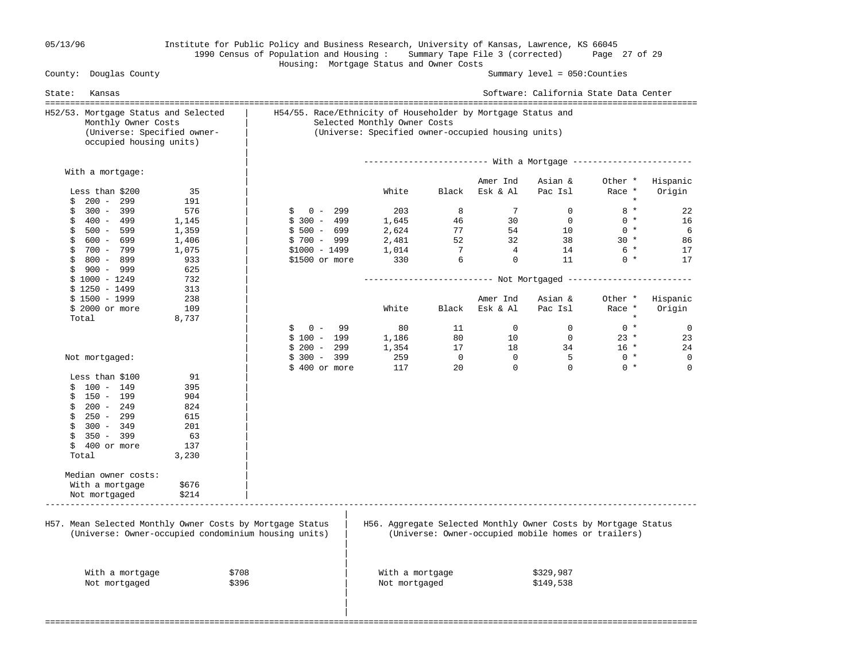## 05/13/96 Institute for Public Policy and Business Research, University of Kansas, Lawrence, KS 66045 1990 Census of Population and Housing : Summary Tape File 3 (corrected) Page 27 of 29 Housing: Mortgage Status and Owner Costs

Summary level =  $050$ : Counties

| Kansas<br>State:                                                                                                      |                                                      |                                                                                                                                                    |                 |                |                | Software: California State Data Center                                                                                |                   |             |  |
|-----------------------------------------------------------------------------------------------------------------------|------------------------------------------------------|----------------------------------------------------------------------------------------------------------------------------------------------------|-----------------|----------------|----------------|-----------------------------------------------------------------------------------------------------------------------|-------------------|-------------|--|
| H52/53. Mortgage Status and Selected<br>Monthly Owner Costs<br>(Universe: Specified owner-<br>occupied housing units) |                                                      | H54/55. Race/Ethnicity of Householder by Mortgage Status and<br>Selected Monthly Owner Costs<br>(Universe: Specified owner-occupied housing units) |                 |                |                |                                                                                                                       |                   |             |  |
|                                                                                                                       |                                                      |                                                                                                                                                    |                 |                |                |                                                                                                                       |                   |             |  |
| With a mortgage:                                                                                                      |                                                      |                                                                                                                                                    |                 |                | Amer Ind       | Asian &                                                                                                               | Other *           | Hispanic    |  |
| Less than \$200<br>$200 - 299$                                                                                        | 35<br>191                                            |                                                                                                                                                    | White           | Black          | Esk & Al       | Pac Isl                                                                                                               | Race *<br>$\star$ | Origin      |  |
| \$<br>$300 - 399$<br>\$                                                                                               | 576                                                  | $0 - 299$<br>Ŝ.                                                                                                                                    | 203             | 8              | 7              | $\mathbf{0}$                                                                                                          | $8 *$             | 22          |  |
| \$<br>400 - 499                                                                                                       | 1,145                                                | $$300 - 499$                                                                                                                                       | 1,645           | 46             | 30             | $\overline{0}$                                                                                                        | $0 *$             | 16          |  |
| \$<br>500 - 599                                                                                                       | 1,359                                                | $$500 - 699$                                                                                                                                       | 2,624           | 77             | 54             | 10                                                                                                                    | $0 *$             | 6           |  |
| \$<br>600 - 699                                                                                                       | 1,406                                                | $$700 - 999$                                                                                                                                       | 2,481           | 52             | 32             | 38                                                                                                                    | $30 *$            | 86          |  |
| 700 - 799<br>\$                                                                                                       | 1,075                                                | $$1000 - 1499$                                                                                                                                     | 1,014           | $\overline{7}$ | $\overline{4}$ | 14                                                                                                                    | 6 *               | 17          |  |
| \$<br>800 - 899                                                                                                       | 933                                                  | \$1500 or more                                                                                                                                     | 330             | 6              | $\mathbf 0$    | 11                                                                                                                    | $0 *$             | 17          |  |
| 900 - 999<br>\$                                                                                                       | 625                                                  |                                                                                                                                                    |                 |                |                |                                                                                                                       |                   |             |  |
| $$1000 - 1249$                                                                                                        | 732                                                  |                                                                                                                                                    |                 |                |                |                                                                                                                       |                   |             |  |
| $$1250 - 1499$                                                                                                        | 313                                                  |                                                                                                                                                    |                 |                |                |                                                                                                                       |                   |             |  |
| $$1500 - 1999$                                                                                                        | 238                                                  |                                                                                                                                                    |                 |                | Amer Ind       | Asian &                                                                                                               | Other *           | Hispanic    |  |
| \$ 2000 or more                                                                                                       | 109                                                  |                                                                                                                                                    | White           | Black          | Esk & Al       | Pac Isl                                                                                                               | Race *            | Origin      |  |
| Total                                                                                                                 | 8,737                                                |                                                                                                                                                    |                 |                |                |                                                                                                                       | $\star$           |             |  |
|                                                                                                                       |                                                      | \$<br>$0 -$<br>99                                                                                                                                  | 80              | 11             | $\Omega$       | $\Omega$                                                                                                              | $0 *$             | $\mathbf 0$ |  |
|                                                                                                                       |                                                      | $$100 - 199$                                                                                                                                       | 1,186           | 80             | 10             | $\overline{0}$                                                                                                        | $23 *$            | 23          |  |
|                                                                                                                       |                                                      | $$200 - 299$                                                                                                                                       | 1,354           | 17             | 18             | 34                                                                                                                    | $16 *$            | 24          |  |
| Not mortgaged:                                                                                                        |                                                      | $$300 - 399$                                                                                                                                       | 259             | $\overline{0}$ | $\Omega$       | $\overline{5}$                                                                                                        | $0 *$             | $\mathbf 0$ |  |
|                                                                                                                       |                                                      | $$400$ or more                                                                                                                                     | 117             | 20             | $\Omega$       | $\Omega$                                                                                                              | $0 *$             | $\Omega$    |  |
| Less than \$100                                                                                                       | 91                                                   |                                                                                                                                                    |                 |                |                |                                                                                                                       |                   |             |  |
| $$100 - 149$                                                                                                          | 395                                                  |                                                                                                                                                    |                 |                |                |                                                                                                                       |                   |             |  |
| 150 - 199<br>\$                                                                                                       | 904                                                  |                                                                                                                                                    |                 |                |                |                                                                                                                       |                   |             |  |
| $200 - 249$<br>\$                                                                                                     | 824                                                  |                                                                                                                                                    |                 |                |                |                                                                                                                       |                   |             |  |
| \$<br>250 - 299                                                                                                       | 615                                                  |                                                                                                                                                    |                 |                |                |                                                                                                                       |                   |             |  |
| $300 - 349$<br>\$                                                                                                     | 201                                                  |                                                                                                                                                    |                 |                |                |                                                                                                                       |                   |             |  |
| \$<br>350 - 399                                                                                                       | 63                                                   |                                                                                                                                                    |                 |                |                |                                                                                                                       |                   |             |  |
| \$<br>400 or more                                                                                                     | 137                                                  |                                                                                                                                                    |                 |                |                |                                                                                                                       |                   |             |  |
| Total                                                                                                                 | 3,230                                                |                                                                                                                                                    |                 |                |                |                                                                                                                       |                   |             |  |
|                                                                                                                       |                                                      |                                                                                                                                                    |                 |                |                |                                                                                                                       |                   |             |  |
| Median owner costs:                                                                                                   |                                                      |                                                                                                                                                    |                 |                |                |                                                                                                                       |                   |             |  |
| With a mortgage                                                                                                       | \$676                                                |                                                                                                                                                    |                 |                |                |                                                                                                                       |                   |             |  |
| Not mortgaged                                                                                                         | \$214                                                |                                                                                                                                                    |                 |                |                |                                                                                                                       |                   |             |  |
| H57. Mean Selected Monthly Owner Costs by Mortgage Status                                                             | (Universe: Owner-occupied condominium housing units) |                                                                                                                                                    |                 |                |                | H56. Aggregate Selected Monthly Owner Costs by Mortgage Status<br>(Universe: Owner-occupied mobile homes or trailers) |                   |             |  |
| With a mortgage                                                                                                       | \$708                                                |                                                                                                                                                    | With a mortgage |                |                | \$329,987                                                                                                             |                   |             |  |
| Not mortgaged                                                                                                         | \$396                                                |                                                                                                                                                    | Not mortgaged   |                |                | \$149,538                                                                                                             |                   |             |  |
|                                                                                                                       |                                                      |                                                                                                                                                    |                 |                |                |                                                                                                                       |                   |             |  |
|                                                                                                                       |                                                      |                                                                                                                                                    |                 |                |                |                                                                                                                       |                   |             |  |
|                                                                                                                       |                                                      |                                                                                                                                                    |                 |                |                |                                                                                                                       |                   |             |  |
|                                                                                                                       |                                                      |                                                                                                                                                    |                 |                |                |                                                                                                                       |                   |             |  |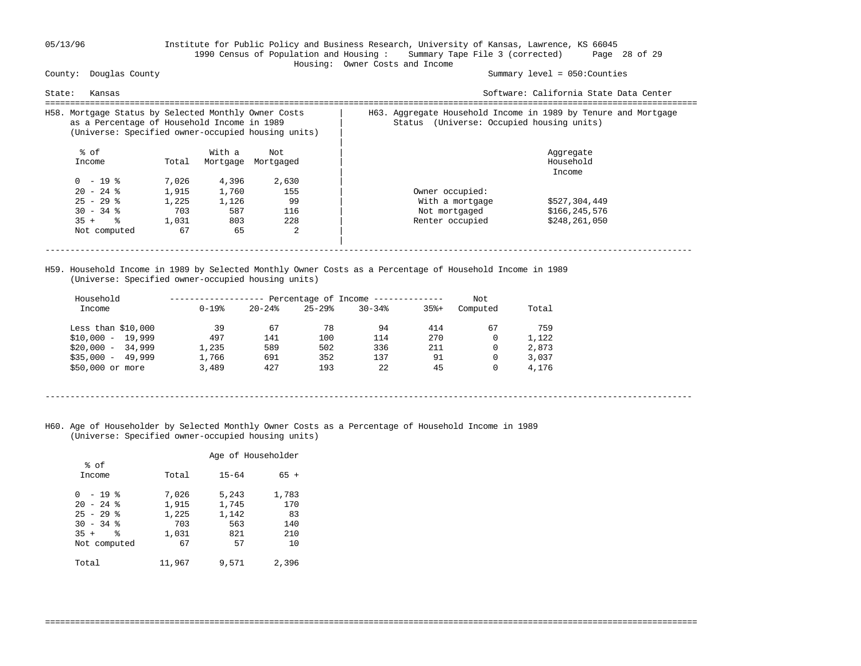## 05/13/96 Institute for Public Policy and Business Research, University of Kansas, Lawrence, KS 66045 1990 Census of Population and Housing : Summary Tape File 3 (corrected) Page 28 of 29 Housing: Owner Costs and Income

Summary level =  $050$ : Counties

| State:<br>Kansas                                                                                                                                          |       |          |           |                                              | Software: California State Data Center                         |
|-----------------------------------------------------------------------------------------------------------------------------------------------------------|-------|----------|-----------|----------------------------------------------|----------------------------------------------------------------|
| H58. Mortgage Status by Selected Monthly Owner Costs<br>as a Percentage of Household Income in 1989<br>(Universe: Specified owner-occupied housing units) |       |          |           | (Universe: Occupied housing units)<br>Status | H63. Aggregate Household Income in 1989 by Tenure and Mortgage |
| % of                                                                                                                                                      |       | With a   | Not       |                                              | Aggregate                                                      |
| Income                                                                                                                                                    | Total | Mortgage | Mortgaged |                                              | Household                                                      |
|                                                                                                                                                           |       |          |           |                                              | Income                                                         |
| $0 - 19$ %                                                                                                                                                | 7,026 | 4,396    | 2,630     |                                              |                                                                |
| $20 - 24$ %                                                                                                                                               | 1,915 | 1,760    | 155       | Owner occupied:                              |                                                                |
| $25 - 29$ %                                                                                                                                               | 1,225 | 1,126    | 99        | With a mortgage                              | \$527,304,449                                                  |
| $30 - 34$ %                                                                                                                                               | 703   | 587      | 116       | Not mortgaged                                | \$166,245,576                                                  |
| $35 +$ $\frac{6}{3}$                                                                                                                                      | 1,031 | 803      | 228       | Renter occupied                              | \$248,261,050                                                  |
| Not computed                                                                                                                                              | 67    | 65       | 2         |                                              |                                                                |
|                                                                                                                                                           |       |          |           |                                              |                                                                |
|                                                                                                                                                           |       |          |           |                                              |                                                                |

 H59. Household Income in 1989 by Selected Monthly Owner Costs as a Percentage of Household Income in 1989 (Universe: Specified owner-occupied housing units)

| Household             |            |           | Percentage of Income - |            |         | Not      |       |
|-----------------------|------------|-----------|------------------------|------------|---------|----------|-------|
| Income                | $0 - 19$ % | $20 - 24$ | $25 - 29$              | $30 - 34%$ | $35% +$ | Computed | Total |
| Less than $$10,000$   | 39         | 67        | 78                     | 94         | 414     | 67       | 759   |
| $$10,000 - 19,999$    | 497        | 141       | 100                    | 114        | 270     | 0        | 1,122 |
| $$20.000 -$<br>34,999 | 1,235      | 589       | 502                    | 336        | 211     | 0        | 2,873 |
| $$35,000 -$<br>49,999 | 1,766      | 691       | 352                    | 137        | 91      | 0        | 3,037 |
| \$50,000 or more      | 3,489      | 427       | 193                    | 22.2       | 45      | 0        | 4,176 |

----------------------------------------------------------------------------------------------------------------------------------

===================================================================================================================================

 H60. Age of Householder by Selected Monthly Owner Costs as a Percentage of Household Income in 1989 (Universe: Specified owner-occupied housing units)

|                        | Age of Householder |           |        |  |  |  |
|------------------------|--------------------|-----------|--------|--|--|--|
| % of                   |                    |           |        |  |  |  |
| Income                 | Total              | $15 - 64$ | $65 +$ |  |  |  |
|                        |                    |           |        |  |  |  |
| - 19 %<br><sup>0</sup> | 7,026              | 5,243     | 1,783  |  |  |  |
| $20 - 24$ %            | 1,915              | 1,745     | 170    |  |  |  |
| $25 - 29$ %            | 1,225              | 1,142     | 83     |  |  |  |
| $30 - 34$ %            | 703                | 563       | 140    |  |  |  |
| ÷<br>$35 +$            | 1,031              | 821       | 210    |  |  |  |
| Not computed           | 67                 | 57        | 10     |  |  |  |
|                        |                    |           |        |  |  |  |
| Total                  | 11,967             | 9,571     | 2,396  |  |  |  |